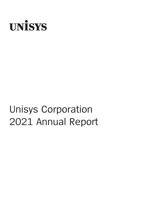

# Unisys Corporation 2021 Annual Report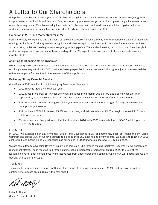# A Letter to Our Shareholders

Unisys had an active and exciting year in 2021. Execution against our strategic initiatives resulted in year-over-year growth in full-year revenue, profitability and free cash flow, supported by year-over-year gross profit and gross margin increases in each of our three segments. We achieved all guided metrics for the year, and our investments in solutions, go-to-market, and workforce management planning have positioned us to advance our momentum in 2022.

#### **Execution in 2021 and Momentum for 2022**

During the year, we expanded and enhanced our solution portfolio in each segment, and we received validation of those new offerings in the form of industry analyst recognition and client receptivity. We invested in our sales force, solution architects and marketing initiatives, leading to year-over-year growth in pipeline. We are also investing in our brand and have brought in world-class agencies to support us in these branding efforts. We expect these investments to help accelerate revenue growth in 2022.

#### **Adapting to Changing Macro Dynamics**

We adapted quickly during the year to the competitive labor market with targeted talent attraction and retention initiatives, resulting in voluntary attrition for 2021 that was below pre-pandemic levels. We are continuing to adjust to the new realities of the marketplace for talent and other elements of the supply chain.

#### **Delivering Strong Financial Results**

Our efforts in 2021 resulted in the following key financial achievements:

- 2021 revenue grew 1.4% year over year
- 2021 gross profit grew 18.4% year over year, and gross profit margin was up 400 basis points year over year, supported by year-over-year gross profit and gross margin improvements in each of our three segments
- 2021 non-GAAP operating profit grew 25.6% year over year, and non-GAAP operating profit margin increased 180 basis points year over year
- 2021 adjusted EBITDA increased 15.3% year over year, and full-year adjusted EBITDA margin increased 220 basis points year over year
- We were free cash flow positive for the first time since 2016, with 2021 free cash flow up \$843.6 million year over year to \$32.3 million

#### **ESG & DEI**

In 2021, we expanded our Environmental, Social, and Governance (ESG) commitments, such as joining the UN Global Compact and driving 75% of our key suppliers to disclose their ESG actions and commitments. We expect to reach our 2026 goal for reduced Scope 1 and 2 greenhouse gas emissions in 2022 and to release new ESG goals in 2022.

We are committed to advancing Diversity, Equity, and Inclusion (DEI) through training initiatives, leadership development and recruitment efforts. These resulted in a three-point increase in percentage representation from 2020 to 2021 at the leadership level for both women globally and associates from underrepresented ethnic groups in our U.S. population (we are tracking this data in the U.S.).

#### **Thank You**

Thank you for your continued support of Unisys. I am proud of the progress we made in 2021, and we look forward to continuing to execute on our goals in the year ahead.

't awt

Peter A. Altabef Chair, President and CEO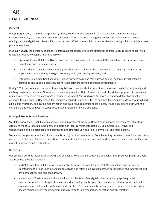# PART I **ITEM 1. BUSINESS**

#### **General**

Unisys Corporation, a Delaware corporation (Unisys, we, our, or the company), is a global information technology (IT) solutions company that delivers successful outcomes for the most demanding businesses and governments. Unisys offerings include digital workplace solutions, cloud and infrastructure solutions, enterprise computing solutions and business process solutions.

In January 2021, the company changed its organizational structure to more effectively address evolving client needs. As a result, our reportable segments are as follows:

- Digital Workplace Solutions (DWS), which provides solutions that transform digital workplaces securely and create exceptional end-user experiences;
- Cloud and Infrastructure Solutions (C&I), which provides solutions that drive modern IT service platforms, cloud applications development, intelligent services, and cybersecurity services; and
- Enterprise Computing Solutions (ECS), which provides solutions that harness secure, continuous high-intensity computing and enable digital services through software-defined operating environments.

During 2021, the company completed three acquisitions to accelerate its pace of innovation and capitalize on growing and evolving markets. In June and November, the company acquired Unify Square, Inc. and, the Mobinergy group of companies, respectively, to advance the company's experience-focused Digital Workplace Solutions set and to deliver higher-value solutions to its clients. In December, the company acquired CompuGain LLC to enhance the company's delivery of rapid and agile cloud migration, application modernization and data value realization to its clients. These acquisitions align with the company's strategy to invest in capabilities that complement its core solutions.

#### **Principal Products and Services**

We deliver advanced IT solutions to clients in our primary target markets: Government (national governments, other than directly to the U.S. federal government, and state and local governments globally), Commercial (e.g., travel and transportation and life sciences and healthcare), and Financial Services (e.g., commercial and retail banking).

We market our products and solutions primarily through a direct sales force. Complementing our direct sales force, we make use of a select group of resellers and alliance partners to market our services and product portfolio. In certain countries, we market primarily through distributors.

#### **Services**

Our principal services include digital workplace solutions, cloud and infrastructure solutions, enterprise computing solutions and business process solutions.

- In digital workplace solutions, we help our clients create the world's leading digital workplace experiences by transforming their end-user experience to engage and retain employees; increase collaboration and innovation; and drive productivity and business growth.
- In cloud and infrastructure solutions, we help our clients achieve digital transformation by applying proven experience to solve the toughest business and technology challenges. Our solutions accelerate hybrid and multicloud adoption and enable application modernization. Our cybersecurity services drive more compliant and highly secure technology environments from strategy through implementation, operation and optimization.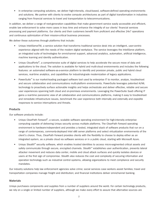In enterprise computing solutions, we deliver high-intensity, cloud-based, software-defined operating environments and solutions. We partner with clients to evolve compute architectures as part of digital transformation in industries ranging from financial services to travel and transportation to telecommunications.

In addition, we deliver a range of next-generation capabilities that make government service easily accessible and efficient, enable law enforcement to solve more cases in less time and enhance the integrity of our clients' financial services processing and payment platforms. Our clients and their customers benefit from proficient and effective 24x7 operations and continuous optimization of their mission-critical business processes.

We deliver these outcomes through platforms that include:

- Unisys InteliServeTM, a service solution that transforms traditional service desk into an intelligent, user-centric experience aligned with the needs of the modern digital workplace. The service leverages the InteliServe platform, an integrated suite of technologies for omnichannel support, advanced analytics, automation, artificial intelligence, machine learning and identity authentication.
- Unisys CloudForte®, a comprehensive suite of digital services to help accelerate the secure move of data and applications to the cloud. The solution is available for hybrid and multi-cloud environments and includes the following features: an automated software-as-a-service platform to identify and provision private, public and hybrid cloud services, real-time analytics, and capabilities for industrial-grade modernization of legacy applications.
- PowerSuite™ is our market-leading packaged software tool used by enterprise IT to monitor, analyze, troubleshoot and secure collaboration and communications multi-platform environments. PowerSuite leverages patented AI/ML technology to proactively surface actionable insights and helps orchestrate and deliver effective, reliable and secure user experiences spanning both cloud and on-premises environments. Leveraging the PowerSuite SaaS offering IT gains a real-time panoramic view of all collaboration and communications platforms, making it easy to troubleshoot and remediate infrastructure issues, benchmark the user experience both internally and externally and expedite responses to service interruptions and threats.

#### **Products**

Our software products include:

- Unisys ClearPath Forward®, a secure, scalable software operating environment for high-intensity enterprise computing capable of delivering Unisys security across multiple platforms. The ClearPath Forward operating environment is hardware-independent and provides a tested, integrated stack of software products that run on a range of contemporary, commonly-deployed Intel x86 server platforms and select virtualization environments of the client's choice. Thus, ClearPath Forward provides clients with the flexibility to choose to deploy either as an integrated system, as a private cloud via software services or in a public cloud, starting with Microsoft Azure.
- Unisys Stealth® security software, which enables trusted identities to access micro-segmented critical assets and safely communicate through secure, encrypted channels. Stealth™ establishes user authentication, prevents lateral attacker movement and reduces data center, mobile and cloud attack surfaces and quickly isolates devices or users at the first sign of compromise. Stealth also reduces the cost and complexity of securing information and operation technology such as industrial control systems, allowing organizations to meet compliance and security mandates.

Our industry solutions help law enforcement agencies solve crime; social services case workers assist families; travel and transportation companies manage freight and distribution; and financial institutions deliver omnichannel banking.

#### **Materials**

Unisys purchases components and supplies from a number of suppliers around the world. For certain technology products, we rely on a single or limited number of suppliers, although we make every effort to assure that alternative sources are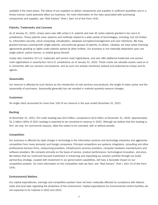available if the need arises. The failure of our suppliers to deliver components and supplies in sufficient quantities and in a timely manner could adversely affect our business. For more information on the risks associated with purchasing components and supplies, see "Risk Factors" (Part I, Item 1A of this Form 10-K).

#### **Patents, Trademarks and Licenses**

As of January 31, 2022, Unisys owns over 485 active U.S. patents and over 45 active patents granted in ten non-U.S. jurisdictions. These patents cover systems and methods related to a wide variety of technologies, including, but not limited to, information security, cloud computing, virtualization, database encryption/management and user interfaces. We have granted licenses covering both single patents, and particular groups of patents, to others. Likewise, we have active licensing agreements granting us rights under patents owned by other entities. Our business is not materially dependent upon any single patent, patent license, or related group thereof.

Unisys also maintains 23 U.S. trademark and service mark registrations, and over 480 additional trademark and service mark registrations in seventy-four non-U.S. jurisdictions as of January 31, 2022. These marks are valuable assets used on or in connection with our services and products, and as such are actively monitored, policed and protected by Unisys and its agents.

#### **Seasonality**

Our revenue is affected by such factors as the introduction of new services and products, the length of sales cycles and the seasonality of purchases. Seasonality generally has not resulted in material quarterly revenue changes.

#### **Customers**

No single client accounted for more than 10% of our revenue in the year ended December 31, 2021.

#### **Backlog**

At December 31, 2021, firm order backlog was \$3.0 billion, compared to \$3.6 billion at December 31, 2020. Approximately \$1.2 billion (40%) of 2021 backlog is expected to be converted to revenue in 2022. Although we believe that this backlog is firm, we may, for commercial reasons, allow the orders to be canceled, with or without penalty.

#### **Competition**

Our business is affected by rapid change in technology in the information services and technology industries and aggressive competition from many domestic and foreign companies. Principal competitors are systems integrators, consulting and other professional services firms, outsourcing providers, infrastructure services providers, computer hardware manufacturers and software providers. We compete primarily on the basis of service, product performance, technological innovation, and price. We believe that our continued focused investment in enhancing and expanding our solution portfolio through our build/ partner/buy strategy, coupled with investment in our go-to-market capabilities, will have a favorable impact on our competitive position. For more information on the competitive risks we face, see "Risk Factors" (Part I, Item 1A of this Form 10-K).

#### **Environmental Matters**

Our capital expenditures, earnings and competitive position have not been materially affected by compliance with federal, state and local laws regulating the protection of the environment. Capital expenditures for environmental control facilities are not expected to be material in 2022 and 2023.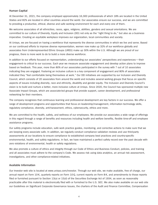#### **Human Capital**

At December 31, 2021, the company employed approximately 16,300 professionals of which 18% are located in the United States and 82% are located in other countries around the world. Our associates ensure our success, and we are committed to providing a productive, ethical, diverse and safe working environment for each and every one of them.

We welcome associates of all ethnicities, races, ages, religions, abilities, genders and sexual orientations. We are committed to our culture of Diversity, Equity and Inclusion (DEI) not only as the "right thing to do," but also as a business imperative. Creating an equitable workplace improves our organization, local communities and society.

At Unisys, we are focused on having a workforce that represents the diverse communities in which we live and serve. Based on our continued efforts to improve diverse representation, women now make up 32% of our workforce globally and associates from Underrepresented Ethnic Groups (UREG) make up 30% within the U.S. Although we are proud of our progress, there is more work to do to build a more diverse workforce.

In addition to our efforts focused on representation, understanding our associates' perspectives and experiences—their engagement-is critical to our success. Each year we measure associate engagement and develop action plans to improve based on feedback. This year, more than 80% of our associates participated in the survey with 7 out of 10 associates indicating they are engaged. Fostering an inclusive culture is a key component of engagement and 80% of associates indicated they "feel comfortable being themselves at work." Our DEI initiatives are supported by our Inclusion and Diversity Council, which consists of 20 associates from around the world and includes several working groups that focus on specific aspects of issues including diversity, race and ethnicity, disability and gender equity. The Inclusion and Diversity Council's vision is to build and nurture a better, more inclusive culture at Unisys. Since 2020, the Council has sponsored multiple new Associate Impact Groups, which are associate-led groups that provide support, career development, and professional networking for their members.

The company recognizes that continuous learning and professional development are key factors in our success. We offer a range of development programs and opportunities that focus on leadership/management, information technology skills, regulatory compliance, diversity, anti-harassment, ethics, cybersecurity, ethics and more.

We are committed to the health, safety, and wellness of our employees. We provide our associates a wide range of offerings in this regard through a range of benefits and resources including health and welfare benefits, flexible time-off and employee assistance programs.

Our safety programs include education, safe work practice guides, monitoring, and corrective actions to make sure that we are keeping every associate safe. In addition, we regularly conduct compliance validation reviews and use third-party assessments at our locations to ensure compliance to established company best practices and country-specific environmental, health, and safety regulations. In fact, we have maintained a perfect safety record over the past decade with zero violations of environmental, health or safety regulations.

We also promote a culture of ethics and integrity through our Code of Ethics and Business Conduct, policies, and training and all associates must adhere to the company's Code. We assess risk using data analytics, an annual risk assessment, investigations, and other compliance-related initiatives.

#### **Available Information**

Our Investor web site is located at www.unisys.com/investor. Through our web site, we make available, free of charge, our annual report on Form 10-K, quarterly reports on Form 10-Q, current reports on Form 8-K, and amendments to those reports filed or furnished pursuant to Section 13(a) or 15(d) of the Securities Exchange Act of 1934, as soon as reasonably practicable after this material is electronically filed with or furnished to the U.S. SEC. We also make available on our web site our Guidelines on Significant Corporate Governance Issues, the charters of the Audit and Finance Committee, Compensation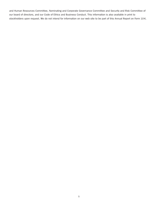and Human Resources Committee, Nominating and Corporate Governance Committee and Security and Risk Committee of our board of directors, and our Code of Ethics and Business Conduct. This information is also available in print to stockholders upon request. We do not intend for information on our web site to be part of this Annual Report on Form 10-K.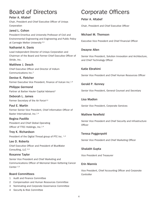# Board of Directors

**Peter A. Altabef** Chair, President and Chief Executive Officer of Unisys Corporation

**Jared L. Cohon** President Emeritus and University Professor of Civil and Environmental Engineering and Engineering and Public Policy at Carnegie Mellon University 2,3

**Nathaniel A. Davis** Lead Independent Director of Unisys Corporation and Chairman of the Board and Former Chief Executive Officer of Stride, Inc.

**Matthew J. Desch** Chief Executive Officer and Director of Iridium Communications Inc.2

**Denise K. Fletcher** Former Executive Vice President, Finance of Vulcan Inc.<sup>1,4</sup>

**Philippe Germond** Partner at Barber Hauler Capital Advisers<sup>3</sup>

**Deborah L. James** Former Secretary of the Air Force<sup>2,3</sup>

**Paul E. Martin** Former Senior Vice President, Chief Information Officer of Baxter International, Inc.1,4

**Regina Paolillo** President and Chief Global Operating Officer of TTEC Holdings, Inc.1,4

**Troy K. Richardson** President of the Digital Thread group of PTC Inc. 1,4

**Lee D. Roberts** Chief Executive Officer and President of BlueWater Consulting, LLC 2,3

# **Roxanne Taylor**

Senior Vice President and Chief Marketing and Communications Officer of Memorial Sloan Kettering Cancer Center 2,3

### **Board Committees**

- 1 Audit and Finance Committee
- 2 Compensation and Human Resources Committee
- 3 Nominating and Corporate Governance Committee
- 4 Security & Risk Committee

# Corporate Officers

# **Peter A. Altabef**

Chair, President and Chief Executive Officer

# **Michael M. Thomson**

Executive Vice President and Chief Financial Officer

# **Dwayne Allen**

Senior Vice President, Solution Innovation and Architecture, and Chief Technology Officer

# **Katie Ebrahimi**

Senior Vice President and Chief Human Resources Officer

**Gerald P. Kenney**

Senior Vice President, General Counsel and Secretary

### **Lisa Madion**

Senior Vice President, Corporate Services

### **Mathew Newfield**

Senior Vice President and Chief Security and Infrastructure **Officer** 

### **Teresa Poggenpohl**

Senior Vice President and Chief Marketing Officer

### **Shalabh Gupta**

Vice President and Treasurer

### **Erin Mannix**

Vice President, Chief Accounting Officer and Corporate Controller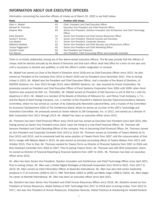# **INFORMATION ABOUT OUR EXECUTIVE OFFICERS**

Information concerning the executive officers of Unisys as of March 25, 2022 is set forth below.

| <b>Name</b>        | Age | <b>Position with Unisys</b>                                                      |
|--------------------|-----|----------------------------------------------------------------------------------|
| Peter A. Altabef   | 62  | Chair, President and Chief Executive Officer                                     |
| Michael M. Thomson | 53  | Executive Vice President and Chief Financial Officer                             |
| Dwayne Allen       | 60  | Senior Vice President, Solution Innovation and Architecture and Chief Technology |
|                    |     | Officer                                                                          |
| Katie Ebrahimi     | 52  | Senior Vice President and Chief Human Resources Officer                          |
| Gerald P. Kenney   | 70  | Senior Vice President, General Counsel and Secretary                             |
| Lisa Madion        | 51  | Senior Vice President, Corporate Services                                        |
| Matthew Newfield   | 50  | Senior Vice President and Chief Security and Infrastructure Officer              |
| Teresa Poggenpohl  | 60  | Senior Vice President and Chief Marketing Officer                                |
| Shalabh Gupta      | 60  | Vice President and Treasurer                                                     |
| Erin Mannix        | 38  | Vice President, Chief Accounting Officer and Corporate Controller                |

There is no family relationship among any of the above-named executive officers. The By-Laws provide that the officers of Unisys shall be elected annually by the Board of Directors and that each officer shall hold office for a term of one year and until a successor is elected and qualified, or until the officer's earlier resignation or removal.

Mr. Altabef has served as Chair of the Board of Directors since 2018 and as Chief Executive Officer since 2015. He also served as President of the Company from 2015 to March 2020 and as President since December 2021. Prior to joining Unisys in 2015, Mr. Altabef was the President and Chief Executive Officer, and a member of the Board of Directors, of MICROS Systems, Inc. from 2013 through 2014, when MICROS Systems, Inc. was acquired by Oracle Corporation. He previously served as President and Chief Executive Officer of Perot Systems Corporation from 2004 until 2009, when Perot Systems was acquired by Dell, Inc. Thereafter, Mr. Altabef served as President of Dell Services (a unit of Dell Inc.) until his departure in 2011. Mr. Altabef is a member of the Boards of Directors of NiSource Inc. and Petrus Trust Company, L.T.A., and the Board of Merit Energy Company, LLC, a member of the President's National Security Telecommunications Advisory Committee, where he has served as co-chair of its Cybersecurity Moonshot subcommittee, and a trustee of the Committee for Economic Development (CED) of The Conference Board, where he serves as co-chair of the CED's Technology and Innovation Committee. He previously served as Senior Advisor to 2M Companies, Inc. in 2012, and served as a director of Belo Corporation from 2011 through 2013. Mr. Altabef has been an executive officer since 2015.

Mr. Thomson has been Chief Financial Officer since 2019 and has served as Executive Vice President since April 2021 after having served as Senior Vice President since 2019. Upon the hiring of a new Chief Financial Officer, Mr. Thomson will become President and Chief Operating Officer of the company. Prior to becoming Chief Financial Officer, Mr. Thomson served as Vice President and Corporate Controller from 2015 to 2019. Mr. Thomson served as Controller of Towers Watson & Co. from 2010 until 2015, and he previously held the same position at Towers Perrin from 2007 until the consummation of that firm's merger with Watson Wyatt in 2010. He also served as principal accounting officer of Towers Watson from 2012 until October 2015. Prior to that, Mr. Thomson worked for Towers Perrin as Director of Financial Systems from 2001 to 2004 and then Assistant Controller from 2004 to 2007. Prior to joining Towers Perrin, Mr. Thomson was with RCN Corporation, where he served as Director of Financial Reporting & Financial Systems from 1997 to 2001. Mr. Thomson has been an executive officer since 2015.

Mr. Allen has been Senior Vice President, Solution Innovation and Architecture and Chief Technology Officer since April 2021. Prior to joining Unisys, Mr. Allen was a Global Digital Strategist at Microsoft Corporation from 2019 to 2021. From 2017 to 2019, Mr. Allen served as Chief Information Officer at Masonite International. Mr. Allen has also held senior leadership positions in IT at Cummins (2009 to 2017), Fifth Third Bank (2003 to 2009) and Wells Fargo (1998 to 2003). Mr. Allen began his career at Marriott International. Mr. Allen has been an executive officer since April 2021.

Ms. Ebrahimi has been Senior Vice President and Chief Human Resources Officer since 2018. Ms. Ebrahimi served as Vice President of Human Resources, Global Delivery at DXC Technology from 2017 to 2018 prior to joining Unisys. From 2015 to 2017, she was Vice President of Human Resources, Enterprise Services, Global Practices & Solutioning for Hewlett-Packard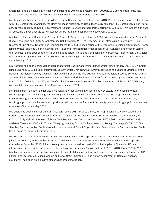Enterprise. She also served in increasingly senior roles with Cisco Systems, Inc. (2009-2015), Sun Microsystems, Inc. (2000-2009) and McAfee, LLC. Ms. Ebrahimi has been an executive officer since 2018.

Mr. Kenney has been Senior Vice President, General Counsel and Secretary since 2013. Prior to joining Unisys, he had been with NEC Corporation of America, the North American subsidiary of global technology company NEC Corporation, since 1999, serving most recently as Senior Vice President, General Counsel and Corporate Secretary (2004-2013). Mr. Kenney has been an executive officer since 2013. Mr. Kenney will be leaving the company effective April 30, 2022.

Ms. Madion has been Senior Vice President, Corporate Services since January 2021. Ms. Madion served as Vice President, Global Operations and Strategy for Enterprise Solutions from 2016 to December 2020 after joining Unisys in 2015 as Director of Operations, Strategy and Planning for the U.S. and Canada region of the Enterprise Solutions organization. Prior to joining Unisys, she was Chief of Staff for the Travel and Transportation organization of Dell Services, and Chief of Staff for the Technical Sales Specialist team in Dell's Infrastructure, Cloud and Computing line of business. Prior to that, Ms. Madion held other management roles at Dell Services with increasing responsibilities. Ms. Madion has been an executive officer since January 2021.

Mr. Newfield has been Senior Vice President and Chief Security and Infrastructure Officer since January 2021. Mr. Newfield joined Unisys in 2018 as Chief Information Security Officer. Mr. Newfield currently serves on the Board of Directors of the National Technology Security Coalition. Prior to joining Unisys, he was Director of Global Managed Security Services for IBM and was the Business Unit Information Security Officer and Global Process Officer for IBM's Security Services Organization from 2014 to 2018. Prior to IBM, Mr. Newfield held senior security leadership roles at Cybertrust, RSA and DDC Advocacy. Mr. Newfield has been an executive officer since January 2021.

Ms. Poggenpohl has been Senior Vice President and Chief Marketing Officer since May 2021. Prior to joining Unisys, Ms. Poggenpohl ran a consulting firm, Poggenpohl Consulting, which she founded in 2020. Ms. Poggenpohl served as the Chief Marketing and Communications Officer for North America at Accenture, from 2017 to 2020. Prior to this role, Ms. Poggenpohl held senior leadership positions within Accenture for more than twenty years. Ms. Poggenpohl has been an executive officer since May 2021.

Mr. Gupta has been Vice President and Treasurer since 2017. Prior to Unisys, Mr. Gupta served as Vice President and Corporate Treasurer for Avon Products from 2012 until 2016. He also served as Treasurer for Evraz North America, Inc. (2011 - 2012) and held the roles of Senior Vice President and Corporate Treasurer (2007 - 2011), Vice President and Assistant Treasurer (2005 - 2007) and Managing Director, Capital Markets, Pensions, Foreign Exchange (2004 - 2005) at Sara Lee Corporation. Mr. Gupta also held treasury roles at Delphi Corporation and General Motors Corporation. Mr. Gupta has been an executive officer since 2017.

Ms. Mannix has been Vice President, Chief Accounting Officer and Corporate Controller since December 2021. Ms. Mannix joined the company in September 2018 as Global Assistant Controller and was elected Vice President and Corporate Controller in December 2019. Prior to joining Unisys, she served as Head of Risk & Compliance Finance at FIS, an international provider of financial services technology and outsourcing services, from 2015 to 2018. From 2009 to 2015, Ms. Mannix held senior accounting positions at Laureate Education and Integral Systems, Inc. (acquired by Kratos in 2011). Earlier in her career, Ms. Mannix was an auditor at Grant Thornton LLP and a staff accountant at Haefele Flanagan. Ms. Mannix has been an executive officer since December 2021.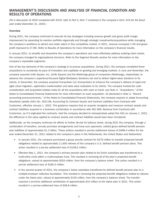# **MANAGEMENT'S DISCUSSION AND ANALYSIS OF FINANCIAL CONDITION AND RESULTS OF OPERATIONS**

*(For a discussion of 2020 compared with 2019, refer to Part II, Item 7 contained in the company's Form 10-K for the fiscal year ended December 31, 2020.)*

#### **Overview**

During 2021, the company continued to execute its key strategies including revenue growth and gross profit margin improvement by expanding its solution portfolio organically and through strategic investments/acquisitions while managing the company's workforce to attract and retain talent in this competitive market. In 2021, revenue increased 1.4% and gross profit improved to 27.8%. Refer to Results of Operations for more information on the company's financial results.

In January 2021, to simplify and streamline the company's operations and more effectively address evolving client needs, the company changed its organizational structure. Refer to the Segment Results section for more information on the company's reportable segments.

One of the key elements of the company's strategy is to pursue acquisitions. During 2021, the company completed three acquisitions to accelerate its pace of innovation and capitalize on growing and emerging markets. In June and November, the company acquired Unify Square, Inc. (Unify Square) and the Mobinergy group of companies (Mobinergy), respectively, to advance the company's experience-focused Digital Workplace Solutions set and to deliver higher-value solutions to its clients. In December, the company acquired CompuGain LLC (CompuGain) to enhance the company's delivery of rapid and agile cloud migration, application modernization and data value realization to its clients. The company funded the cash consideration and acquisition-related costs for all the acquisitions with cash on hand, see Note 4, "Acquisitions," of the Notes to Consolidated Financial Statements for more information on each acquisition. As disclosed in Note 3, "Recent accounting pronouncements," of the Notes to Consolidated Financial Statements, the company expects to adopt Accounting Standards Update (ASU) No. 2021-08, Accounting for Contract Assets and Contract Liabilities from Contracts with Customers, effective January 1, 2022. This guidance requires that an acquirer recognize and measure contract assets and contract liabilities acquired in a business combination in accordance with ASC 606, Revenue from Contracts with Customers, as if it originated the contracts. Had the company decided to retrospectively adopt this ASU on January 1, 2021, the difference in the value applied to contract assets and contract liabilities would have been immaterial.

Additionally, as the company continues its efforts to further de-risk its balance sheet, during 2021 the company, through a combination of transfers, annuity purchase arrangements and lump sum payments, settled gross defined benefit pension plan liabilities of approximately \$1.2 billion. These actions resulted in pre-tax settlement losses of \$499.4 million for the year ended December 31, 2021 related to the company's plans in the Netherlands, the United States and Switzerland.

- In January 2021, the company purchased a group annuity contract for \$279 million to transfer projected benefit obligations related to approximately 11,600 retirees of the company's U.S. defined benefit pension plans. This action resulted in a pre-tax settlement loss of \$158.0 million.
- Effective May 1, 2021, the company's primary pension plan related to its Dutch subsidiary was transferred to a multi-client circle within a multi-employer fund. This resulted in removing all of the plan's projected benefit obligations, valued at approximately \$553 million, from the company's balance sheet. This action resulted in a pre-tax settlement loss of \$182.5 million.
- In the second quarter of 2021, the company's Swiss subsidiary transferred its defined benefit pension plan to a multiple-employer collective foundation. This resulted in removing the projected benefit obligations related to retirees under the Swiss plan, valued at approximately \$100 million, from the company's balance sheet. The transfer required a one-time additional contribution of approximately \$10 million to the Swiss plan in 2021. This action resulted in a pre-tax settlement loss of \$28.8 million.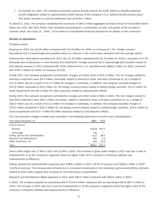• On October 14, 2021, the company purchased a group annuity contract for \$235 million to transfer projected benefit obligations related to approximately 6,900 retirees of the company's U.S. defined benefit pension plans. This action resulted in a pre-tax settlement loss of \$130.1 million.

On March 3, 2021, the company completed the conversion of \$84.2 million aggregate principal amount of Convertible Senior Notes due 2021 (the 2021 Notes) that remained outstanding for a combination of cash and shares of the company's common stock. See Note 16, "Debt," of the Notes to Consolidated Financial Statements for details on the conversion.

#### **Results of operations**

#### *Company results*

Revenue for 2021 was \$2.05 billion compared with \$2.03 billion for 2020, an increase of 1.4%. Foreign currency fluctuations had a 2-percentage-point positive impact on revenue in the current year compared with the year-ago period.

Revenue from international operations for 2021 was \$1.20 billion compared with \$1.24 billion for 2020, a decrease of 3.7% principally due to decreases in Latin America and Asia/Pacific. Foreign currency had a 3-percentage-point positive impact on international revenue in 2021 compared with 2020. Revenue from U.S. operations was \$856.2 million for 2021 compared with \$781.5 million for 2020, an increase of 9.6%.

During 2021, the company recognized cost-reduction charges and other costs of \$23.2 million. The net charges related to work-force reductions were \$0.4 million, principally related to severance costs, and were comprised of: (a) a charge of \$12.3 million and (b) a credit of \$11.9 million for changes in estimates. In addition, the company recorded charges of \$22.8 million comprised of \$4.0 million for net foreign currency losses related to exiting foreign countries, \$12.6 million for asset impairments and \$6.2 million for other expenses related to cost-reduction efforts.

During 2020, the company recognized cost-reduction charges and other costs of \$95.5 million. The net charges related to work-force reductions were \$25.5 million principally, related to severance costs, and were comprised of: (a) a charge of \$39.0 million and (b) a credit of \$13.5 million for changes in estimates. In addition, the company recorded charges of \$70.0 million comprised of \$32.3 million for net foreign currency losses related to exiting foreign countries, \$24.0 million for asset impairments and \$13.7 million for other expenses related to cost-reduction efforts.

The cost reduction charges (credits) were recorded in the following statement of income (loss) classifications:

| Year ended December 31,             | 2021              | 2020  |
|-------------------------------------|-------------------|-------|
| Cost of revenue                     |                   |       |
| <b>Services</b>                     | \$ (2.5) \$22.2\$ |       |
| Technology                          | 7.6               |       |
| Selling, general and administrative | 11.1              | 38.5  |
| Research and development            | 3.0               | 2.5   |
| Other (expenses), net               | 4.0               | 32.3  |
| Total                               | \$23.2            | S95.5 |

Gross profit margin was 27.8% in 2021 and 23.8% in 2020. The increase in gross profit margin in 2021 was due in part to improvements in all the company's segments driven by higher sales of the company's enterprise software and improvements to efficiency.

Selling, general and administrative expenses were \$389.5 million in 2021 (19.0% of revenue) and \$369.4 million in 2020 (18.2% of revenue). The increase was primarily due to increased investments in the company's go-to-market efforts, primarily related to direct sales support and increases to non-cash-based compensation.

Research and development (R&D) expenses in 2021 were \$28.5 million compared with \$26.6 million in 2020.

In 2021, the company reported an operating profit of \$154.0 million compared with an operating profit of \$87.0 million in 2020. The increase in 2021 was due in part by improvements in all the company's segments driven by higher sales of the company's enterprise software and improvements to efficiency.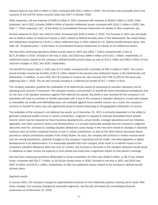Interest expense was \$35.4 million in 2021 compared with \$29.2 million in 2020. The increase was principally due to the issuance of the 6.875% senior secured notes due 2027 in October 2020.

Other (expense), net was expense of \$580.3 million in 2021 compared with expense of \$329.6 million in 2020. Other (expense), net in 2021 includes \$499.4 million of pension settlement losses compared with \$142.1 million in 2020. See Note 7, "Other (expense), net," of the Notes to Consolidated Financial Statements for details of other (expense), net.

Pension expense for 2021 was \$553.9 million compared with \$235.3 million in 2020. The increase in 2021 was principally due to \$499.4 million of settlement losses in 2021 related to defined benefits plans in the Netherlands, the United States and Switzerland compared to a \$142.1 million settlement loss in 2020 related to U.S. defined benefit pension plans. See Note 18, "Employee plans," of the Notes to Consolidated Financial Statements for details of the settlement losses.

The loss from continuing operations before income taxes in 2021 was \$461.7 million compared with a loss of \$271.8 million in 2020. Included in the loss in 2021 and 2020 was \$499.4 million and \$142.1 million, respectively, of settlement losses related to the company's defined benefit pension plans as well as \$23.2 million and \$95.5 million of cost reduction charges in 2021 and 2020, respectively.

The benefit for income taxes in 2021 was \$11.9 million compared with a provision of \$45.4 million in 2020. The current period includes income tax benefits of \$51.5 million related to the pension plan settlement losses in the Netherlands and Switzerland. In addition, in June 2021 the UK enacted an income tax rate increase from 19% to 25% for the fiscal year beginning April 1, 2023. The UK rate increase resulted in a deferred tax benefit of \$17.7 million in 2021.

The company evaluates quarterly the realizability of its deferred tax assets by assessing its valuation allowance and by adjusting such amount, if necessary. The company records a tax provision or benefit for those international subsidiaries that do not have a full valuation allowance against their deferred tax assets. Any profit or loss recorded for the company's U.S. operations will have no provision or benefit associated with it due to the company's valuation allowance, except with respect to refundable tax credits and withholding taxes not creditable against future taxable income. As a result, the company's provision or benefit for taxes may vary significantly period to period depending on the geographic distribution of income.

The realization of the company's net deferred tax assets as of December 31, 2021 is primarily dependent on the ability to generate sustained taxable income in various jurisdictions. Judgment is required to estimate forecasted future taxable income, which may be impacted by future business developments, actual results, strategic operational and tax initiatives, legislative, and other economic factors and developments. It is at least reasonably possible that the company's judgment about the need for, and level of, existing valuation allowances could change in the near term based on changes in objective evidence such as further sustained income or loss in certain jurisdictions, as well as the other factors discussed above, primarily in certain jurisdictions outside of the United States. As such, the company will continue to monitor income levels and mix among jurisdictions, potential changes to the company's operating and tax model, and other legislative or global developments in its determination. It is reasonably possible that such changes could result in a material impact to the company's valuation allowance within the next 12 months. Any increase or decrease in the valuation allowance would result in additional or lower income tax expense in such period and could have a significant impact on that period's earnings.

Net loss from continuing operations attributable to Unisys Corporation for 2021 was \$448.5 million, or \$6.75 per diluted share, compared with \$317.7 million, or \$5.05 per diluted share in 2020. Included in the loss in 2021 and 2020 was \$447.9 million and \$142.1 million, respectively, of after tax settlement losses related to the company's defined benefit pension plans.

#### *Segment results*

In January 2021, the company changed its organizational structure to more effectively address evolving client needs. With these changes, the company changed its reportable segments, but this did not impact the consolidated financial statements as of December 31, 2020.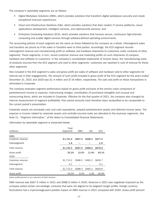The company's reportable segments are as follows:

- Digital Workplace Solutions (DWS), which provides solutions that transform digital workplaces securely and create exceptional end-user experiences;
- Cloud and Infrastructure Solutions (C&I), which provides solutions that drive modern IT service platforms, cloud applications development, intelligent services, and cybersecurity services; and
- Enterprise Computing Solutions (ECS), which provides solutions that harness secure, continuous high-intensity computing and enable digital services through software-defined operating environments.

The accounting policies of each segment are the same as those followed by the company as a whole. Intersegment sales and transfers are priced as if the sales or transfers were to third parties. Accordingly, the ECS segment records intersegment revenue and manufacturing profit on software and hardware shipments to customers under contracts of other segments. These segments, in turn, record customer revenue and marketing profits on such shipments of company hardware and software to customers. In the company's consolidated statements of income (loss), the manufacturing costs of products sourced from the ECS segment and sold to other segments' customers are reported in cost of revenue for these other segments.

Also included in the ECS segment's sales and gross profit are sales of software and hardware sold to other segments for internal use in their engagements. The amount of such profit included in gross profit of the ECS segment for the years ended December 31, 2021 and 2020 was \$1.4 million and \$7.8 million, respectively. The sale and profit on these transactions is eliminated in Corporate.

The company evaluates segment performance based on gross profit exclusive of the service costs component of postretirement income or expense, restructuring charges, amortization of purchased intangible and unusual and nonrecurring items, which are included in Corporate. Effective for the first quarter of 2021, the company also changed its internal measurement of segment profitability. Prior period amounts have therefore been reclassified to be comparable to the current period's presentation.

Corporate assets are principally cash and cash equivalents, prepaid postretirement assets and deferred income taxes. The expense or income related to corporate assets and centrally incurred costs are allocated to the business segments. See Note 21, "Segment information," of the Notes to Consolidated Financial Statements.

Information by reportable segment is presented below:

|                  | Total     |            |         |            |
|------------------|-----------|------------|---------|------------|
| (millions)       | Segments  | <b>DWS</b> | C&I     | <b>ECS</b> |
| 2021             |           |            |         |            |
| Customer revenue | \$1,741.0 | \$567.0    | \$496.5 | \$677.5    |
| Intersegment     | 1.4       |            |         | 1.4        |
| Total revenue    | \$1,742.4 | \$567.0    | \$496.5 | \$678.9    |
| Gross profit     | 32.2%     | 13.5%      | 11.4%   | 63.1%      |
| 2020             |           |            |         |            |
| Customer revenue | \$1,713.2 | \$588.3    | \$465.2 | \$659.7    |
| Intersegment     | 0.1       |            |         | 0.1        |
| Total revenue    | \$1,713.3 | \$588.3    | \$465.2 | \$659.8    |
| Gross profit     | 26.5%     | 9.4%       | 5.0%    | 56.9%      |

*Gross profit percent is as a percent of total revenue.*

DWS revenue was \$567.0 million in 2021 and \$588.3 million in 2020. Revenue in 2021 was negatively impacted as the company exited certain non-strategic contracts that were not aligned to its targeted margin profile. Foreign currency fluctuations had a 2-percentage-point positive impact on DWS revenue in 2021 compared with 2020. Gross profit percent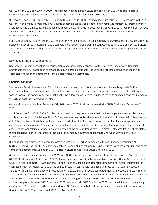was 13.5% in 2021 and 9.4% in 2020. The increase in gross profit in 2021 compared with 2020 was due in part to improvements in efficiency as well as the company's focus on higher margin solutions.

C&I revenue was \$496.5 million in 2021 and \$465.2 million in 2020. The increase in revenue in 2021 compared with 2020 was driven by continued momentum with public sector clients as well as other highly-regulated industries. Foreign currency fluctuations had a 2-percentage-point positive impact on C&I revenue in 2021 compared with 2020. Gross profit percent was 11.4% in 2021 and 5.0% in 2020. The increase in gross profit in 2021 compared with 2020 was due in part to improvements in efficiency.

ECS revenue was \$677.5 million in 2021 and \$659.7 million in 2020. Foreign currency fluctuations had a 2 percentage-point positive impact on ECS revenue in 2021 compared with 2020. Gross profit percent was 63.1% in 2021 and 56.9% in 2020. The increase in revenue and gross profit in 2021 compared with 2020 was due- to higher sales of the company's enterprise software.

#### **New accounting pronouncements**

See Note 3, "Recent accounting pronouncements and accounting changes," of the Notes to Consolidated Financial Statements for a full description of recent accounting pronouncements, including the expected dates of adoption and estimated effects on the company's consolidated financial statements.

#### **Financial condition**

The company's principal sources of liquidity are cash on hand, cash from operations and its revolving credit facility, discussed below. The company and certain international subsidiaries have access to uncommitted lines of credit from various banks. The company believes that it will have adequate sources of liquidity to meet its expected cash requirements through at least the next twelve months.

Cash and cash equivalents at December 31, 2021 were \$552.9 million compared with \$898.5 million at December 31, 2020.

As of December 31, 2021, \$326.6 million of cash and cash equivalents were held by the company's foreign subsidiaries and branches operating outside of the U.S. The company may not be able to readily transfer up to one-third of these funds out of the country in which they are located as a result of local restrictions, contractual or other legal arrangements or commercial considerations. Additionally, any transfers of these funds to the U.S. in the future may require the company to accrue or pay withholding or other taxes on a portion of the amount transferred. See Note 8, "Income taxes," of the Notes to Consolidated Financial Statements regarding the company's intention to indefinitely reinvest earnings of foreign subsidiaries.

During 2021, cash provided by operating activities was \$132.5 million compared with cash used for operations of \$681.2 million during 2020. The operating cash improvement in 2021 was principally due to lower cash contributions to the company's postretirement plans of \$56.4 million in 2021 compared to \$832.2 million in 2020.

Cash used for investing activities during 2021 was \$360.3 million compared with cash provided by investing activities of \$1,041.6 million during 2020. During 2021, the company purchased Unify Square, Mobinergy and CompuGain for cash of \$239.3 million. See Note 4, "Acquisitions," of the Notes to Consolidated Financial Statements for further information on each acquisition. On March 13, 2020, the company sold its U.S. Federal business and received net cash proceeds of \$1,162.9 million. Net purchases of investments were \$19.9 million in 2021 compared with net proceeds of \$9.3 million in 2020. Proceeds from investments and purchases of investments represent derivative financial instruments used to manage the company's currency exposure to market risks from changes in foreign currency exchange rates. In addition, capital additions of properties were \$27.3 million in 2021 compared with \$27.7 million in 2020, capital additions of outsourcing assets were \$18.5 million in 2021 compared with \$30.1 million in 2020 and the investment in marketable software was \$54.4 million in 2021 compared with \$72.3 million in 2020.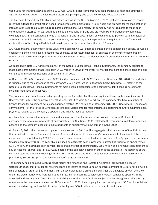Cash used for financing activities during 2021 was \$105.5 million compared with cash provided by financing activities of \$5.1 million during 2020. The cash used in 2021 was principally due to the convertible notes exchange.

The American Rescue Plan Act, which was signed into law in the U.S. on March 11, 2021, includes a provision for pension relief that extends the amortization period for required contributions from 7 to 15 years and provides for the stabilization of interest rates used to calculate future required contributions. As a result, the company was not required to make cash contributions in 2021 to its U.S. qualified defined benefit pension plans and did not make the previously-contemplated voluntary \$200 million contribution to its U.S. pension plans in 2021. Based on year-end 2021 pension data and actuarial assumptions, which are likely to change in the future, the company is not expected to be required to make future cash contributions to its U.S. qualified defined benefit pension plans for at least the next 10 years.

Any future material deterioration in the value of the company's U.S. qualified defined benefit pension plan assets, as well as changes in pension legislation, discount rate changes, asset return changes, or changes in economic or demographic trends, could require the company to make cash contributions to its U.S. defined benefit pension plans that are not currently expected.

As described in Note 18, "Employee plans," of the Notes to Consolidated Financial Statements, the company expects to make cash contributions of approximately \$40.2 million in 2022, primarily for its international defined benefit pension plans compared with cash contributions of \$52.4 million in 2021.

At December 31, 2021, total debt was \$529.4 million compared with \$629.9 million at December 31, 2020. The reduction is primarily due to the conversion of the company's 2021 Notes, which is described below. See Note 16, "Debt," of the Notes to Consolidated Financial Statements for more detailed discussion of the company's debt financing agreements including maturities by fiscal year.

The company has commitments under operating leases for certain facilities and equipment used in its operations. As of December 31, 2021, the company's operating lease liabilities were \$81.5 million. The company also have a number of finance leases for equipment, with lease liabilities totaling \$2.7 million as of December 31, 2021. See Note 6, "Leases and commitments," of the Notes to Consolidated Financial Statements for more information pertaining to future minimum lease payments relating to the company's operating and finance lease obligations.

Additionally as described in Note 5, "Cost-reduction actions," of the Notes to Consolidated Financial Statements, the company expects to make payments of approximately \$14.9 million in 2022 related to the company's work-force reduction actions and the company expects to make payments of approximately \$1.4 million beyond 2022.

On March 3, 2021, the company completed the conversion of \$84.2 million aggregate principal amount of the 2021 Notes that remained outstanding for a combination of cash and shares of the company's common stock. As a result of the conversion of the outstanding 2021 Notes, the company delivered to the holders of such notes (i) aggregate cash payments totaling approximately \$86.5 million, which included an aggregate cash payment for outstanding principal of approximately \$84.2 million, an aggregate cash payment for accrued interest of approximately \$2.3 million and a nominal cash payment in lieu of fractional shares, and (ii) 4,537,123 shares of the company's common stock in the aggregate. The issuance of the common stock was made in exchange for the 2021 Notes pursuant to an exemption from the registration requirements provided by Section 3(a)(9) of the Securities Act of 1933, as amended.

The company has a secured revolving credit facility (the Amended and Restated ABL Credit Facility) that expires on October 29, 2025 that provides for revolving loans and letters of credit up to an aggregate amount of \$145.0 million (with a limit on letters of credit of \$40.0 million), with an accordion feature provision allowing for the aggregate amount available under the credit facility to be increased up to \$175.0 million upon the satisfaction of certain conditions specified in the Amended and Restated ABL Credit Facility. Availability under the credit facility is subject to a borrowing base calculated by reference to the company's receivables. At December 31, 2021, the company had no borrowings and \$5.7 million of letters of credit outstanding, and availability under the facility was \$80.4 million net of letters of credit issued.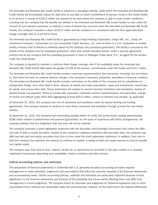The Amended and Restated ABL Credit Facility is subject to a springing maturity, under which the Amended and Restated ABL Credit Facility will immediately mature 91 days prior to any date on which contributions to pension funds in the United States in an amount in excess of \$100.0 million are required to be paid unless the company is able to meet certain conditions, including that the company has the liquidity (as defined in the Amended and Restarted ABL Credit Facility) to cash settle the amount of such pension payments, no default or event of default has occurred under the Amended and Restated ABL Credit Facility, the company's liquidity is above \$130.0 million and the company is in compliance with the then applicable fixed charge coverage ratio on a pro forma basis.

The Amended and Restated ABL Credit Facility is guaranteed by Unisys Holding Corporation, Unisys NPL, Inc., Unisys AP Investment Company I, CompuGain LLC and CompuGain Public Services, LLC, each of which is a U.S. corporation or limited liability company that is directly or indirectly owned by the company (the subsidiary guarantors). The facility is secured by the assets of the company and the subsidiary guarantors, other than certain excluded assets, under a security agreement entered into by the company and the subsidiary guarantors in favor of JPMorgan Chase Bank, N.A., as agent for the lenders under the credit facility.

The company is required to maintain a minimum fixed charge coverage ratio if the availability under the Amended and Restated ABL Credit Facility falls below the greater of 10% of the lenders' commitments under the facility and \$14.5 million.

The Amended and Restated ABL Credit Facility contains customary representations and warranties, including, but not limited to, that there has been no material adverse change in the company's business, properties, operations or financial condition. The Amended and Restated ABL Credit Facility includes restrictions on the ability of the company and its subsidiaries to, among other things, incur other debt or liens, dispose of assets and make acquisitions, loans and investments, repurchase its equity, and prepay other debt. These restrictions are subject to several important limitations and exceptions. Events of default include non-payment, failure to comply with covenants, materially incorrect representations and warranties, change of control and default under other debt aggregating at least \$50.0 million, subject to relevant cure periods, as applicable.

At December 31, 2021, the company has met all covenants and conditions under its various lending and funding agreements. The company expects to continue to meet these covenants and conditions through at least the next twelve months.

At December 31, 2021, the company had outstanding standby letters of credit and surety bonds totaling approximately \$198 million related to performance and payment guarantees. On the basis of experience with these arrangements, the company believes that any obligations that may arise will not be material.

The company maintains a shelf registration statement with the Securities and Exchange Commission that covers the offer and sale of debt or equity securities. Subject to the company's ongoing compliance with securities laws, the company may offer and sell debt and equity securities from time to time under the shelf registration statement. In addition, from time to time the company has explored, and expects to continue to explore, a variety of debt and equity sources to fund its liquidity and capital needs.

The company may, from time to time, redeem, tender for, or repurchase its securities in the open market or in privately negotiated transactions depending upon availability, market conditions and other factors.

#### **Critical accounting policies and estimates**

The preparation of financial statements in conformity with U.S. generally accepted accounting principles requires management to make estimates, judgments and assumptions that affect the amounts reported in the financial statements and accompanying notes. Certain accounting policies, methods and estimates are particularly important because of their significance to the financial statements and because of the possibility that future events affecting them may differ from management's current judgments. The company bases its estimates and judgments on historical experience and on other assumptions that it believes are reasonable under the circumstances; however, to the extent there are material differences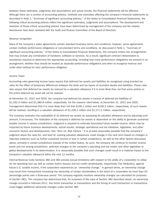between these estimates, judgments and assumptions and actual results, the financial statements will be affected. Although there are a number of accounting policies, methods and estimates affecting the company's financial statements as described in Note 1, "Summary of significant accounting policies," of the Notes to Consolidated Financial Statements, the following critical accounting policies reflect the significant estimates, judgments and assumptions. The development and selection of these critical accounting policies have been determined by management of the company and the related disclosures have been reviewed with the Audit and Finance Committee of the Board of Directors.

#### *Revenue recognition*

Many of the company's sales agreements contain standard business terms and conditions; however, some agreements contain multiple performance obligations or non-standard terms and conditions. As discussed in Note 1, "Summary of significant accounting policies," of the Notes to Consolidated Financial Statements, the company enters into arrangements that may include any combination of hardware, software or services. As a result, significant contract interpretation is sometimes required to determine the appropriate accounting, including how many performance obligations are present in an arrangement, whether they should be treated as separate performance obligations and when to recognize revenue and under what method for each performance obligation.

#### *Income Taxes*

Accounting rules governing income taxes require that deferred tax assets and liabilities be recognized using enacted tax rates for the effect of temporary differences between the book and tax bases of recorded assets and liabilities. These rules also require that deferred tax assets be reduced by a valuation allowance if it is more likely than not that some portion or the entire deferred tax asset will not be realized.

At December 31, 2021 and 2020, the company had deferred tax assets in excess of deferred tax liabilities of \$1,332.3 million and \$1,380.8 million, respectively. For the reasons cited below, at December 31, 2021 and 2020, management determined that it is more likely than not that \$106.1 million and \$109.3 million, respectively, of such assets will be realized, resulting in a valuation allowance of \$1,226.2 million and \$1,271.5 million, respectively.

The company evaluates the realizability of its deferred tax assets by assessing its valuation allowance and by adjusting such amount, if necessary. The realization of the company's deferred tax assets is dependent on the ability to generate sustained taxable income in various jurisdictions. Judgment is required to estimate forecasted future taxable income, which may be impacted by future business developments, actual results, strategic operational and tax initiatives, legislative, and other economic factors and developments. See "Item 1A. Risk Factors." It is at least reasonably possible that the company's judgment about the need for, and level of, existing valuation allowances could change in the near term based on changes in objective evidence such as further sustained income or loss in certain jurisdictions, as well as the other factors discussed above, primarily in certain jurisdictions outside of the United States. As such, the company will continue to monitor income levels and mix among jurisdictions, potential changes to the company's operating and tax model, and other legislative or global developments in its determination. It is reasonably possible that such changes could result in a material impact to the Company's valuation allowance within the next 12 months.

Internal Revenue Code Sections 382 and 383 provide annual limitations with respect to the ability of a corporation to utilize its net operating loss (as well as certain built-in losses) and tax credit carryforwards, respectively (Tax Attributes), against future U.S. taxable income, if the corporation experiences an "ownership change." In general terms, an ownership change may result from transactions increasing the ownership of certain stockholders in the stock of a corporation by more than 50 percentage points over a three-year period. The company regularly monitors ownership changes (as calculated for purposes of Section 382). The company has determined that, for purposes of the rules of Section 382 described above, an ownership change occurred in February 2011. Any future transaction or transactions and the timing of such transaction or transactions could trigger additional ownership changes under Section 382.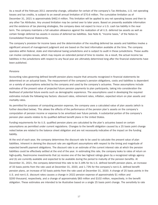As a result of the February 2011 ownership change, utilization for certain of the company's Tax Attributes, U.S. net operating losses and tax credits, is subject to an overall annual limitation of \$70.6 million. The cumulative limitation as of December 31, 2021 is approximately \$462.4 million. This limitation will be applied to any net operating losses and then to any other Tax Attributes. Any unused limitation may be carried over to later years. Based on presently available information and the existence of tax planning strategies, the company does not expect to incur a U.S. cash tax liability in the near term. The company maintains a full valuation allowance against the realization of all U.S. deferred tax assets as well as certain foreign deferred tax assets in excess of deferred tax liabilities. See Note 8, "Income taxes," of the Notes to Consolidated Financial Statements.

The company's provision for income taxes and the determination of the resulting deferred tax assets and liabilities involve a significant amount of management judgment and are based on the best information available at the time. The company operates within federal, state and international taxing jurisdictions and is subject to audit in these jurisdictions. These audits can involve complex issues, which may require an extended period of time to resolve. As a result, the actual income tax liabilities in the jurisdictions with respect to any fiscal year are ultimately determined long after the financial statements have been published.

#### *Pensions*

Accounting rules governing defined benefit pension plans require that amounts recognized in financial statements be determined on an actuarial basis. The measurement of the company's pension obligations, costs and liabilities is dependent on a variety of assumptions selected by the company and used by the company's actuaries. These assumptions include estimates of the present value of projected future pension payments to plan participants, taking into consideration the likelihood of potential future events such as demographic experience. The assumptions used in developing the required estimates include the following key factors: discount rates, retirement rates, inflation, expected return on plan assets and mortality rates.

As permitted for purposes of computing pension expense, the company uses a calculated value of plan assets (which is further described below). This allows the effects of the performance of the pension plan's assets on the company's computation of pension income or expense to be amortized over future periods. A substantial portion of the company's pension plan assets relates to its qualified defined benefit plans in the United States.

Funding requirements for its U.S. qualified pension plans are calculated by the plan's actuaries based on certain assumptions as permitted under current regulations. Changes to the benefit obligation caused by a 25 basis point change noted below are related to the balance sheet obligation and are not necessarily indicative of the impact on the funding liability.

At the end of each year, the company determines the discount rate to be used to calculate the present value of plan liabilities. Inherent in deriving the discount rate are significant assumptions with respect to the timing and magnitude of expected benefit payment obligations. The discount rate is an estimate of the current interest rate at which the pension liabilities could be effectively settled at the end of the year. In estimating this rate, the company looks to rates of return on high-quality, fixed-income investments that (a) receive one of the two highest ratings given by a recognized ratings agency and (b) are currently available and expected to be available during the period to maturity of the pension benefits. At December 31, 2021, the company determined this rate to be 3.18% for its U.S. defined benefit pension plans, an increase of 33 basis points from the rate used at December 31, 2020, and 1.73% for the company's non-U.S. defined benefit pension plans, an increase of 50 basis points from the rate used at December 31, 2020. A change of 25 basis points in the U.S. and non-U.S. discount rates causes a change in 2022 pension expense of approximately \$1 million and \$200 thousand, respectively, and a change of approximately \$83 million and \$102 million, respectively, in the benefit obligation. These estimates are intended to be illustrative based on a single 25 basis point change. The sensitivity to rate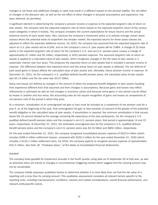changes is not linear and additional changes in rates may result in a different impact on the pension liability. The net effect of changes in the discount rate, as well as the net effect of other changes in actuarial assumptions and experience, has been deferred, as permitted.

A significant element in determining the company's pension income or expense is the expected long-term rate of return on plan assets. The company sets the expected long-term rate of return based on the expected long-term return of the various asset categories in which it invests. The company considers the current expectations for future returns and the actual historical returns of each asset class. Also, because the company's investment policy is to actively manage certain asset classes where the potential exists to outperform the broader market, the expected returns for those asset classes are adjusted to reflect the expected additional returns. For 2022, the company has assumed that the expected long-term rate of return on U.S. plan assets will be 6.50%, and on the company's non-U.S. plan assets will be 3.88%. A change of 25 basis points in the expected long-term rate of return for the company's U.S. and non-U.S. pension plans causes a change of approximately \$7 million and \$5 million, respectively, in 2022 pension expense. The assumed long-term rate of return on assets is applied to a calculated value of plan assets, which recognizes changes in the fair value of plan assets in a systematic manner over four years. This produces the expected return on plan assets that is included in pension income or expense. The difference between this expected return and the actual return on plan assets is deferred. The net deferral of past asset gains or losses affects the calculated value of plan assets and, ultimately, future pension income or expense. At December 31, 2021, for the company's U.S. qualified defined benefit pension plans, the calculated value of plan assets was \$3.14 billion and the fair value was \$3.07 billion.

Gains and losses are defined as changes in the amount of either the projected benefit obligation or plan assets resulting from experience different from that assumed and from changes in assumptions. Because gains and losses may reflect refinements in estimates as well as real changes in economic values and because some gains in one period may be offset by losses in another and vice versa, the accounting rules do not require recognition of gains and losses as components of net pension cost of the period in which they arise.

At a minimum, amortization of an unrecognized net gain or loss must be included as a component of net pension cost for a year if, as of the beginning of the year, that unrecognized net gain or loss exceeds 10 percent of the greater of the projected benefit obligation or the calculated value of plan assets. If amortization is required, the minimum amortization is that excess above the 10 percent divided by the average remaining life expectancy of the plan participants. For the company's U.S. qualified defined benefit pension plans and the company's non-U.S. pension plans, that period is approximately 14 and 23 years, respectively. At December 31, 2021, the estimated unrecognized loss for the company's U.S. qualified defined benefit pension plans and the company's non-U.S. pension plans was \$2.10 billion and \$850 million, respectively.

For the year ended December 31, 2021, the company recognized consolidated pension expense of \$553.9 million (which includes \$499.4 million settlement losses), compared with \$235.3 million for the year ended December 31, 2020 (which includes a \$142.1 million settlement loss). For 2022, the company expects to recognize pension expense of approximately \$42.3 million. See Note 18, "Employee plans," of the Notes to Consolidated Financial Statements.

#### *Goodwill*

The company tests goodwill for impairment annually in the fourth quarter using data as of September 30 of that year, as well as whenever there are events or changes in circumstances (triggering events) which suggest that the carrying amount may not be recoverable.

The company initially assesses qualitative factors to determine whether it is more likely than not that the fair value of a reporting unit is less than its carrying amount. This qualitative assessment considers all relevant factors specific to the reporting units, including macroeconomic conditions, industry and market considerations, overall financial performance, and relevant entity-specific events.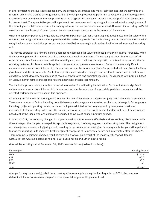If, after completing the qualitative assessment, the company determines it is more likely than not that the fair value of a reporting unit is less than its carrying amount, then the company proceeds to perform a subsequent quantitative goodwill impairment test. Alternatively, the company may elect to bypass the qualitative assessment and perform the quantitative impairment test. The quantitative goodwill impairment test compares each reporting unit's fair value to its carrying value. If the reporting unit's fair value exceeds its carrying value, no further procedures are required. However, if a reporting unit's fair value is less than its carrying value, then an impairment charge is recorded in the amount of the excess.

When the company performs the quantitative goodwill impairment test for a reporting unit, it estimates the fair value of the reporting unit using both the income approach and the market approach. The methodology used to determine the fair values using the income and market approaches, as described below, are weighted to determine the fair value for each reporting unit.

The income approach is a forward-looking approach to estimating fair value and relies primarily on internal forecasts. Within the income approach, the method used is the discounted cash flow method. The company starts with a forecast of all expected net cash flows associated with the reporting unit, which includes the application of a terminal value, and then a reporting unit-specific discount rate is applied to arrive at a net present value amount. Some of the more significant estimates and assumptions inherent in this approach include the amount and timing of projected net cash flows, long-term growth rate and the discount rate. Cash flow projections are based on management's estimates of economic and market conditions, which drive key assumptions of revenue growth rates and operating margins. The discount rate in turn is based on various market factors and specific risk characteristics of each reporting unit.

The market approach relies primarily on external information for estimating the fair value. Some of the more significant estimates and assumptions inherent in this approach include the selection of appropriate guideline companies and the selected performance metric used in this approach.

Estimating the fair value of reporting units requires the use of estimates and significant judgments about key assumptions. There are a number of factors including potential events and changes in circumstances that could change in future periods, including: projected operating results; valuation multiples exhibited by the company and by companies considered comparable to the reporting units; and other macro-economic factors that could impact the discount rate. It is reasonably possible that the judgments and estimates described above could change in future periods.

In January 2021, the company changed its organizational structure to more effectively address evolving client needs. With these changes, the company changed its reportable segments, operating segments and reporting units. The realignment and change was deemed a triggering event, resulting in the company performing an interim quantitative goodwill impairment test on the reporting units impacted by this segment change as of immediately before and immediately after the change. There were no impairment charges resulting from this analysis. As a result of the realignment, goodwill totaling \$108.6 million was reallocated as follows: ECS, \$98.3 million and Other, \$10.3 million.

Goodwill by reporting unit at December 31, 2021, was as follows (dollars in millions):

| Reporting unit | <b>Carrying Amount</b> |
|----------------|------------------------|
| <b>DWS</b>     | \$140.9                |
| C&I            | 65.5                   |
| ECS            | 98.3                   |
| Other          | 10.3                   |
| Total          | \$315.0                |

After performing the annual goodwill impairment qualitative analysis during the fourth quarter of 2021, the company determined it was not necessary to perform the quantitative goodwill impairment test.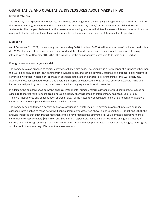# **QUANTITATIVE AND QUALITATIVE DISCLOSURES ABOUT MARKET RISK**

#### **Interest rate risk**

The company has exposure to interest rate risk from its debt. In general, the company's long-term debt is fixed rate and, to the extent it has any, its short-term debt is variable rate. See Note 16, "Debt," of the Notes to Consolidated Financial Statements. The company believes that the market risk assuming a hypothetical 10% increase in interest rates would not be material to the fair value of these financial instruments, or the related cash flows, or future results of operations.

#### **Market risk**

As of December 31, 2021, the company had outstanding \$478.1 million (\$485.0 million face value) of senior secured notes due 2027. The interest rates on the notes are fixed and therefore do not expose the company to risk related to rising interest rates. As of December 31, 2021, the fair value of the senior secured notes due 2027 was \$527.0 million.

#### **Foreign currency exchange rate risk**

The company is also exposed to foreign currency exchange rate risks. The company is a net receiver of currencies other than the U.S. dollar and, as such, can benefit from a weaker dollar, and can be adversely affected by a stronger dollar relative to currencies worldwide. Accordingly, changes in exchange rates, and in particular a strengthening of the U.S. dollar, may adversely affect consolidated revenue and operating margins as expressed in U.S. dollars. Currency exposure gains and losses are mitigated by purchasing components and incurring expenses in local currencies.

In addition, the company uses derivative financial instruments, primarily foreign exchange forward contracts, to reduce its exposure to market risks from changes in foreign currency exchange rates on intercompany balances. See Note 13, "Financial instruments and concentration of credit risks," of the Notes to Consolidated Financial Statements for additional information on the company's derivative financial instruments.

The company has performed a sensitivity analysis assuming a hypothetical 10% adverse movement in foreign currency exchange rates applied to these derivative financial instruments described above. As of December 31, 2021 and 2020, the analysis indicated that such market movements would have reduced the estimated fair value of these derivative financial instruments by approximately \$55 million and \$50 million, respectively. Based on changes in the timing and amount of interest rate and foreign currency exchange rate movements and the company's actual exposures and hedges, actual gains and losses in the future may differ from the above analysis.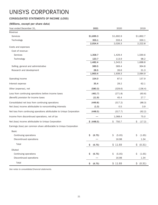# **CONSOLIDATED STATEMENTS OF INCOME (LOSS)**

### **(Millions, except per share data)**

| Year ended December 31,                                                | 2021         | 2020          | 2019         |
|------------------------------------------------------------------------|--------------|---------------|--------------|
| Revenue                                                                |              |               |              |
| Services                                                               | \$1,699.3    | \$1,692.9     | \$1,892.7    |
| Technology                                                             | 355.1        | 333.4         | 330.1        |
|                                                                        | 2,054.4      | 2,026.3       | 2,222.8      |
| Costs and expenses                                                     |              |               |              |
| Cost of revenue:                                                       |              |               |              |
| Services                                                               | 1,358.7      | 1,429.4       | 1,590.6      |
| Technology                                                             | 123.7        | 113.9         | 98.2         |
|                                                                        | 1,482.4      | 1,543.3       | 1,688.8      |
| Selling, general and administrative                                    | 389.5        | 369.4         | 364.8        |
| Research and development                                               | 28.5         | 26.6          | 31.3         |
|                                                                        | 1,900.4      | 1,939.3       | 2,084.9      |
| Operating income                                                       | 154.0        | 87.0          | 137.9        |
| Interest expense                                                       | 35.4         | 29.2          | 62.1         |
| Other (expense), net                                                   | (580.3)      | (329.6)       | (136.4)      |
| Loss from continuing operations before income taxes                    | (461.7)      | (271.8)       | (60.6)       |
| (Benefit) provision for income taxes                                   | (11.9)       | 45.4          | 27.7         |
| Consolidated net loss from continuing operations                       | (449.8)      | (317.2)       | (88.3)       |
| Net (loss) income attributable to noncontrolling interests             | (1.3)        | 0.5           | 3.9          |
| Net loss from continuing operations attributable to Unisys Corporation | (448.5)      | (317.7)       | (92.2)       |
| Income from discontinued operations, net of tax                        |              | 1,068.4       | 75.0         |
| Net (loss) income attributable to Unisys Corporation                   | \$ (448.5)   | \$<br>750.7   | \$<br>(17.2) |
| Earnings (loss) per common share attributable to Unisys Corporation    |              |               |              |
| <b>Basic</b>                                                           |              |               |              |
| Continuing operations                                                  | \$<br>(6.75) | (5.05)<br>\$  | (1.65)<br>\$ |
| Discontinued operations                                                |              | 16.98         | 1.34         |
| Total                                                                  | \$<br>(6.75) | \$11.93       | \$ (0.31)    |
| Diluted                                                                |              |               |              |
| Continuing operations                                                  | (6.75)<br>\$ | (5.05)<br>\$. | (1.65)<br>\$ |
| Discontinued operations                                                |              | 16.98         | 1.34         |
| Total                                                                  | (6.75)<br>\$ | \$11.93       | \$ (0.31)    |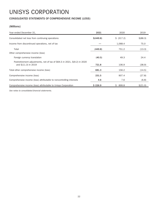# **CONSOLIDATED STATEMENTS OF COMPREHENSIVE INCOME (LOSS)**

### **(Millions)**

| Year ended December 31,                                                                           | 2021      | 2020        | 2019          |
|---------------------------------------------------------------------------------------------------|-----------|-------------|---------------|
| Consolidated net loss from continuing operations                                                  | \$(449.8) | \$ (317.2)  | $$^{(88.3)}$$ |
| Income from discontinued operations, net of tax                                                   |           | 1,068.4     | 75.0          |
| Total                                                                                             | (449.8)   | 751.2       | (13.3)        |
| Other comprehensive income (loss)                                                                 |           |             |               |
| Foreign currency translation                                                                      | (40.5)    | 49.3        | 24.4          |
| Postretirement adjustments, net of tax of \$64.5 in 2021, \$(9.2) in 2020<br>and \$(11.3) in 2019 | 721.8     | 106.9       | (38.9)        |
| Total other comprehensive income (loss)                                                           | 681.3     | 156.2       | (14.5)        |
| Comprehensive income (loss)                                                                       | 231.5     | 907.4       | (27.8)        |
| Comprehensive income (loss) attributable to noncontrolling interests                              | 4.6       | 7.6         | (6.8)         |
| Comprehensive income (loss) attributable to Unisys Corporation                                    | \$226.9   | Ŝ.<br>899.8 | \$(21.0)      |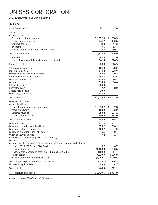# **CONSOLIDATED BALANCE SHEETS**

### **(Millions)**

| As of December 31,                                                                                                                                                  |    | 2021                            |    | 2020                             |
|---------------------------------------------------------------------------------------------------------------------------------------------------------------------|----|---------------------------------|----|----------------------------------|
| Assets                                                                                                                                                              |    |                                 |    |                                  |
| Current assets                                                                                                                                                      |    |                                 |    |                                  |
| Cash and cash equivalents                                                                                                                                           | Ś  | 552.9                           | Ŝ. | 898.5                            |
| Accounts receivable, net                                                                                                                                            |    | 451.7                           |    | 460.5                            |
| Contract assets                                                                                                                                                     |    | 42.0                            |    | 44.3                             |
| Inventories                                                                                                                                                         |    | 7.6                             |    | 13.4                             |
| Prepaid expenses and other current assets                                                                                                                           |    | 78.8                            |    | 89.3                             |
| Total current assets                                                                                                                                                |    | 1,133.0                         |    | 1,506.0                          |
| Properties                                                                                                                                                          |    | 468.0                           |    | 727.0                            |
| Less - Accumulated depreciation and amortization                                                                                                                    |    | 381.5                           |    | 616.5                            |
| Properties, net                                                                                                                                                     |    | 86.5                            |    | 110.5                            |
| Outsourcing assets, net                                                                                                                                             |    | 124.6                           |    | 173.9                            |
| Marketable software, net                                                                                                                                            |    | 176.2                           |    | 193.6                            |
| Operating lease right-of-use assets                                                                                                                                 |    | 62.7                            |    | 79.3                             |
| Prepaid postretirement assets                                                                                                                                       |    | 159.7                           |    | 187.5                            |
| Deferred income taxes                                                                                                                                               |    | 125.3                           |    | 136.2                            |
| Goodwill                                                                                                                                                            |    | 315.0                           |    | 108.6                            |
| Intangible assets, net                                                                                                                                              |    | 34.9                            |    |                                  |
| Restricted cash                                                                                                                                                     |    | 7.7                             |    | 8.2                              |
| Assets held-for-sale                                                                                                                                                |    | 20.0                            |    |                                  |
| Other long-term assets                                                                                                                                              |    | 173.9                           |    | 204.1                            |
| Total assets                                                                                                                                                        |    | \$2,419.5                       |    | \$2,707.9                        |
| Liabilities and deficit<br><b>Current liabilities:</b><br>Current maturities of long-term debt<br>Accounts payable<br>Deferred revenue<br>Other accrued liabilities | \$ | 18.2<br>180.2<br>253.2<br>300.9 | S. | 102.8<br>223.2<br>257.1<br>352.0 |
| Total current liabilities                                                                                                                                           |    | 752.5                           |    | 935.1                            |
| Long-term debt                                                                                                                                                      |    | 511.2                           |    | 527.1                            |
| Long-term postretirement liabilities                                                                                                                                |    | 976.2                           |    | 1,286.1                          |
| Long-term deferred revenue                                                                                                                                          |    | 150.7                           |    | 137.9                            |
| Long-term operating lease liabilities                                                                                                                               |    | 46.1                            |    | 62.4                             |
| Other long-term liabilities                                                                                                                                         |    | 47.2                            |    | 71.4                             |
| Commitments and contingencies (see Note 19)<br>Deficit:                                                                                                             |    |                                 |    |                                  |
| Common stock, par value \$.01 per share (150.0 shares authorized; shares                                                                                            |    |                                 |    |                                  |
| issued: 2021, 72.5 and 2020, 66.8)                                                                                                                                  |    | 0.7                             |    | 0.7                              |
| Accumulated deficit<br>Treasury stock, shares at cost: 2021, 5.3 and 2020, 3.8                                                                                      |    | (1,409.0)                       |    | (960.5)                          |
| Paid-in capital                                                                                                                                                     |    | (152.2)                         |    | (114.4)                          |
| Accumulated other comprehensive loss                                                                                                                                |    | 4,710.9<br>(3,264.1)            |    | 4,656.9<br>(3,939.5)             |
|                                                                                                                                                                     |    |                                 |    |                                  |
| Total Unisys Corporation stockholders' deficit<br>Noncontrolling interests                                                                                          |    | (113.7)<br>49.3                 |    | (356.8)<br>44.7                  |
|                                                                                                                                                                     |    |                                 |    |                                  |
| Total deficit                                                                                                                                                       |    | (64.4)                          |    | (312.1)                          |
| Total liabilities and deficit                                                                                                                                       |    | \$2,419.5                       |    | \$2,707.9                        |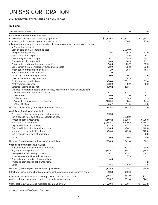# **CONSOLIDATED STATEMENTS OF CASH FLOWS**

#### **(Millions)**

| Year ended December 31,                                                               | 2021         | 2020                     | 2019                     |
|---------------------------------------------------------------------------------------|--------------|--------------------------|--------------------------|
| Cash flows from operating activities                                                  |              |                          |                          |
| Consolidated net loss from continuing operations                                      | (449.8)<br>S | \$ (317.2)               | \$<br>(88.3)             |
| Income from discontinued operations, net of tax                                       |              | 1,068.4                  | 75.0                     |
| Adjustments to reconcile consolidated net income (loss) to net cash provided by (used |              |                          |                          |
| for) operating activities:                                                            |              |                          |                          |
| Gain on sale of U.S. Federal business                                                 |              | (1,060.0)                |                          |
| Foreign currency losses                                                               | 2.6          | 36.2                     | 11.0                     |
| Non-cash interest expense                                                             | 1.8          | 4.6                      | 9.2                      |
| Debt extinguishment charge                                                            |              | 28.5                     | 20.1                     |
| Employee stock compensation                                                           | 18.8         | 14.5                     | 13.2                     |
| Depreciation and amortization of properties                                           | 30.5         | 29.7                     | 35.3                     |
| Depreciation and amortization of outsourcing assets                                   | 68.0         | 65.8                     | 63.8                     |
| Amortization of marketable software                                                   | 71.9         | 65.5                     | 48.3                     |
| Amortization of intangible assets                                                     | 3.0          | $\overline{\phantom{0}}$ |                          |
| Other non-cash operating activities                                                   | (0.6)        | (0.3)                    | (1.6)                    |
| Loss on disposal of capital assets                                                    | 2.2          | 4.5                      | 1.5                      |
| Postretirement contributions                                                          | (56.4)       | (832.2)                  | (109.4)                  |
| Postretirement expense                                                                | 552.0        | 239.2                    | 96.6                     |
| Deferred income taxes, net                                                            | (59.2)       | (13.4)                   | 4.4                      |
| Changes in operating assets and liabilities, excluding the effect of acquisitions:    |              |                          |                          |
| Receivables, net and contract assets                                                  | 47.4         | (74.8)                   | (8.3)                    |
| Inventories                                                                           | 6.0          | 3.0                      | 6.1                      |
| Other assets                                                                          | 8.0          | 5.9                      | 9.9                      |
| Accounts payable and current liabilities                                              | (149.4)      | 3.4                      | (114.4)                  |
| Other liabilities                                                                     | 35.7         | 47.5                     | 51.5                     |
| Net cash provided by (used for) operating activities                                  | 132.5        | (681.2)                  | 123.9                    |
| Cash flows from investing activities                                                  |              |                          |                          |
| Purchases of businesses, net of cash acquired                                         | (239.3)      |                          |                          |
| Net proceeds from sale of U.S. Federal business                                       |              | 1,162.9                  |                          |
| Proceeds from investments                                                             | 4,148.2      | 3,388.5                  | 3,568.9                  |
| Purchases of investments                                                              | (4, 168.1)   | (3,379.2)                | (3,566.1)                |
| Capital additions of properties                                                       | (27.3)       | (27.7)                   | (38.0)                   |
| Capital additions of outsourcing assets                                               | (18.5)       | (30.1)                   | (48.8)                   |
| Investment in marketable software                                                     | (54.4)       | (72.3)                   | (73.0)                   |
| Net proceeds from sale of properties                                                  |              |                          | (0.3)                    |
| Other                                                                                 | (0.9)        | (0.5)                    | (0.9)                    |
| Net cash (used for) provided by investing activities                                  | (360.3)      | 1,041.6                  | (158.2)                  |
| Cash flows from financing activities                                                  |              |                          |                          |
| Proceeds from issuance of long-term debt                                              | 1.5          | 497.3                    | 30.5                     |
| Payments of long-term debt                                                            | (103.1)      | (454.8)                  | (14.4)                   |
| Cash paid for debt extinguishment                                                     |              | (23.7)                   | (56.7)                   |
| Issuance costs relating to long-term debt                                             |              | (7.9)                    |                          |
| Proceeds from exercise of stock options                                               | 4.5          | $\overline{\phantom{0}}$ |                          |
| Proceeds from capped call transactions                                                |              | $\overline{\phantom{0}}$ | 7.2                      |
| Other                                                                                 | (8.4)        | (5.8)                    | (4.6)                    |
| Net cash (used for) provided by financing activities                                  | (105.5)      | 5.1                      | (38.0)                   |
| Effect of exchange rate changes on cash, cash equivalents and restricted cash         | (12.8)       | (10.6)                   | $\overline{\phantom{a}}$ |
| (Decrease) increase in cash, cash equivalents and restricted cash                     | (346.1)      | 354.9                    | (72.3)                   |
| Cash, cash equivalents and restricted cash, beginning of year                         | 906.7        | 551.8                    | 624.1                    |
| Cash, cash equivalents and restricted cash, end of year                               | \$560.6      | 906.7<br>\$              | 551.8<br>\$              |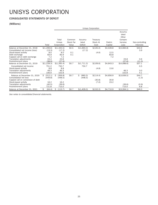# **CONSOLIDATED STATEMENTS OF DEFICIT**

### **(Millions)**

|                                                                                                         |                               |                                |                              |                             | Unisys Corporation           |                     |                                                         |                              |
|---------------------------------------------------------------------------------------------------------|-------------------------------|--------------------------------|------------------------------|-----------------------------|------------------------------|---------------------|---------------------------------------------------------|------------------------------|
|                                                                                                         | Total                         | Total<br>Unisys<br>Corporation | Common<br>Stock Par<br>Value | Accumu-<br>lated<br>Deficit | Treasury<br>Stock At<br>Cost | Paid-in<br>Capital  | Accumu-<br>lated<br>Other<br>Compre-<br>hensive<br>Loss | Non-controlling<br>Interests |
| Balance at December 31, 2018                                                                            | \$(1,299.6)                   | \$(1,343.5)                    | \$0.5                        | \$(1,694.0)                 | \$(105.0)                    | \$4,539.8           | \$(4,084.8)                                             | \$43.9                       |
| Consolidated net income (loss)<br>Stock-based activity<br>Debt exchange<br>Capped call on debt exchange | (13.3)<br>8.0<br>83.9<br>7.2  | (17.2)<br>8.0<br>83.9<br>7.2   | 0.1<br>0.1                   | (17.2)                      | (4.6)                        | 12.5<br>83.8<br>7.2 |                                                         | 3.9                          |
| Translation adjustments<br>Postretirement plans                                                         | 24.4<br>(38.9)                | 23.8<br>(27.6)                 |                              |                             |                              |                     | 23.8<br>(27.6)                                          | 0.6<br>(11.3)                |
| Balance at December 31, 2019                                                                            | \$(1,228.3)                   | \$(1,265.4)                    | \$0.7                        | \$(1,711.2)                 | \$(109.6)                    | \$4,643.3           | \$(4,088.6)                                             | \$37.1                       |
| Consolidated net income<br>Stock-based activity<br>Translation adjustments<br>Postretirement plans      | 751.2<br>8.8<br>49.3<br>106.9 | 750.7<br>8.8<br>46.3<br>102.8  |                              | 750.7                       | (4.8)                        | 13.6                | 46.3<br>102.8                                           | 0.5<br>3.0<br>4.1            |
| Balance at December 31, 2020<br>Consolidated net loss                                                   | Ś<br>(312.1)<br>(449.8)       | (356.8)<br>(448.5)             | \$0.7                        | Ś.<br>(960.5)<br>(448.5)    | \$(114.4)                    | \$4,656.9           | $$$ (3,939.5)                                           | \$44.7<br>(1.3)              |
| Capped call on conversion of debt<br>Stock-based activity                                               | 16.2                          | 16.2                           |                              |                             | (30.8)<br>(7.0)              | 30.8<br>23.2        |                                                         |                              |
| Translation adjustments<br>Postretirement plans                                                         | (40.5)<br>721.8               | (39.6)<br>715.0                |                              |                             |                              |                     | (39.6)<br>715.0                                         | (0.9)<br>6.8                 |
| Balance at December 31, 2021                                                                            | \$<br>(64.4)                  | (113.7)                        | \$0.7                        | \$(1,409.0)                 | \$(152.2)                    | \$4,710.9           | \$(3,264.1)                                             | \$49.3                       |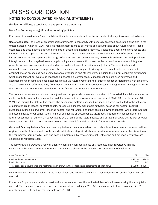# UNISYS CORPORATION **NOTES TO CONSOLIDATED FINANCIAL STATEMENTS**

#### **(Dollars in millions, except share and per share amounts)**

#### **Note 1 – Summary of significant accounting policies**

**Principles of consolidation** The consolidated financial statements include the accounts of all majority-owned subsidiaries.

**Use of estimates** The preparation of financial statements in conformity with generally accepted accounting principles in the United States of America (GAAP) requires management to make estimates and assumptions about future events. These estimates and assumptions affect the amounts of assets and liabilities reported, disclosures about contingent assets and liabilities and the reported amounts of revenue and expenses. Such estimates include the valuation of estimated credit losses, contract assets, operating lease right-of-use assets, outsourcing assets, marketable software, goodwill, purchased intangibles and other long-lived assets, legal contingencies, assumptions used in the calculation for systems integration projects, income taxes and retirement and other post-employment benefits, among others. These estimates and assumptions are based on management's best estimates and judgment. Management evaluates its estimates and assumptions on an ongoing basis using historical experience and other factors, including the current economic environment, which management believes to be reasonable under the circumstances. Management adjusts such estimates and assumptions when facts and circumstances dictate. As future events and their effects cannot be determined with precision, actual results could differ materially from these estimates. Changes in those estimates resulting from continuing changes in the economic environment will be reflected in the financial statements in future periods.

The company assessed certain accounting matters that generally require consideration of forecasted financial information in context with the information reasonably available to us and the unknown future impacts of COVID-19 as of December 31, 2021 and through the date of this report. The accounting matters assessed included, but were not limited to the valuation of estimated credit losses, contract assets, outsourcing assets, marketable software, deferred tax assets, goodwill, purchased intangibles and other long-lived assets, and retirement and other post-employment benefits. While there was not a material impact to our consolidated financial position as of December 31, 2021 resulting from our assessments, our future assessment of our current expectations at that time of the future impacts and duration of COVID-19, as well as other factors, could result in material impacts to our consolidated financial position in future reporting periods.

**Cash and Cash equivalents** Cash and cash equivalents consist of cash on hand, short-term investments purchased with an original maturity of three months or less and certificates of deposit which may be withdrawn at any time at the discretion of the company without penalty. Cash and cash equivalents subject to contractual restrictions and not readily available are classified as restricted cash.

The following table provides a reconciliation of cash and cash equivalents and restricted cash reported within the consolidated balance sheets to the total of the amounts shown in the consolidated statements of cash flows.

| As of December 31,                                                                                  | 2021    | 2020    |
|-----------------------------------------------------------------------------------------------------|---------|---------|
| Cash and cash equivalents                                                                           | \$552.9 | \$898.5 |
| Restricted cash                                                                                     | 77      | 8.2     |
| Total cash, cash equivalents and restricted cash shown in the consolidated statements of cash flows | \$560.6 | S906.7  |

**Inventories** Inventories are valued at the lower of cost and net realizable value. Cost is determined on the first-in, first-out method.

**Properties** Properties are carried at cost and are depreciated over the estimated lives of such assets using the straight-line method. The estimated lives used, in years, are as follows: buildings,  $20 - 50$ ; machinery and office equipment,  $4 - 7$ ; rental equipment, 4; and internal-use software,  $3 - 10$ .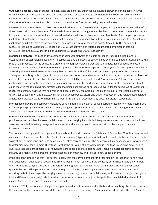**Outsourcing assets** Costs of outsourcing contracts are generally expensed as incurred. However, certain costs incurred upon initiation of an outsourcing contract (principally initial customer setup) are deferred and expensed over the initial contract life. Fixed assets and software used in connection with outsourcing contracts are capitalized and depreciated over the shorter of the initial contract life or in accordance with the fixed asset policy described above.

Recoverability of these costs is subject to various business risks. Quarterly, the company compares the carrying value of these assets with the undiscounted future cash flows expected to be generated by them to determine if there is impairment. If impaired, these assets are reduced to an estimated fair value on a discounted cash flow basis. The company prepares its cash flow estimates based on assumptions that it believes to be reasonable but are also inherently uncertain. Actual future cash flows could differ from these estimates. The gross amount of outsourcing assets totaled \$568.3 million and \$692.1 million as of December 31, 2021 and 2020, respectively, and related accumulated amortization totaled \$443.7 million and \$518.2 million as of December 31, 2021 and 2020, respectively.

**Marketable software** The cost of development of computer software to be sold or leased, incurred subsequent to establishment of technological feasibility, is capitalized and amortized to cost of sales over the estimated revenue-producing lives of the products. For the company's proprietary enterprise software products, the amortization period is five years following product release, and for the remaining products, the amortization period is three years following product release. In assessing the estimated revenue-producing lives and recoverability of the products, the company considers operating strategies, underlying technologies utilized, estimated economic life and external market factors, such as expected levels of competition, barriers to entry by potential competitors, stability in the market and governmental regulation. The company continually reassesses the estimated revenue-producing lives of the products and any change in the company's estimate could result in the remaining amortization expense being accelerated or spread out over a longer period. As of December 31, 2021, the company believes that all unamortized costs are fully recoverable. The gross amount of marketable software totaled \$2,266.1 million and \$2,219.4 million as of December 31, 2021 and 2020, respectively, and related accumulated amortization totaled \$2,089.9 million and \$2,025.8 million as of December 31, 2021 and 2020, respectively.

**Internal-use software** The company capitalizes certain internal and external costs incurred to acquire or create internal-use software, principally related to software coding, designing system interfaces, and installation and testing of the software. These costs are amortized in accordance with the fixed asset policy described above.

**Goodwil**l **and Purchased Intangible Assets** Goodwill arising from the acquisition of an entity represents the excess of the purchase price consideration over the fair value of the underlying identifiable intangible assets and net assets or liabilities assumed. Goodwill is initially recognized as an asset and is subsequently measured at cost less any accumulated impairment losses.

The company tests goodwill for impairment annually in the fourth quarter using data as of September 30 of that year, as well as whenever there are events or changes in circumstances (triggering events) that would more likely than not reduce the fair value of one or more reporting units below its respective carrying amount. The company initially assesses qualitative factors to determine whether it is more likely than not that the fair value of a reporting unit is less than its carrying amount. This qualitative assessment considers all relevant factors specific to the reporting units, including macroeconomic conditions, industry and market considerations, overall financial performance, and relevant entity-specific events.

If the company determines that it is not more likely that the carrying amount for a reporting unit is less than its fair value, then subsequent quantitative goodwill impairment testing is not required. If the company determines that it is more likely than not that the carrying amount for a reporting unit is greater than its fair value, then it proceeds with a subsequent quantitative goodwill impairment test. Under the quantitative test, the company compares the fair value of each of its reporting units to their respective carrying value. If the carrying value exceeds fair value, an impairment charge is recognized for the difference. Impaired goodwill is written down to its fair value through a charge to the consolidated statement of income (loss) in the period the impairment is identified.

In January 2021, the company changed its organizational structure to more effectively address evolving client needs. With these changes, the company changed its reportable segments, operating segments and reporting units. The realignment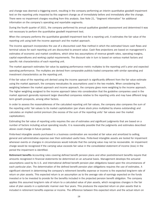and change was deemed a triggering event, resulting in the company performing an interim quantitative goodwill impairment test on the reporting units impacted by this segment change as of immediately before and immediately after the change. There were no impairment charges resulting from this analysis. See Note 21, "Segment information" for additional information on the company's operating and reportable segments.

During the fourth quarter of 2021, the company performed its annual qualitative goodwill assessment and determined it was not necessary to perform the quantitative goodwill impairment test.

When the company performs the quantitative goodwill impairment test for a reporting unit, it estimates the fair value of the reporting unit using both the income approach and the market approach.

The income approach incorporates the use of a discounted cash flow method in which the estimated future cash flows and terminal values for each reporting unit are discounted to present value. Cash flow projections are based on management's estimates of economic and market conditions, which drive key assumptions of revenue growth rates, operating margins, capital expenditures and working capital requirements. The discount rate in turn is based on various market factors and specific risk characteristics of each reporting unit.

The market approach estimates fair value by applying performance metric multiples to the reporting unit's prior and expected operating performance. The multiples are derived from comparable publicly traded companies with similar operating and investment characteristics as the reporting unit.

If the fair value of the reporting unit derived using the income approach is significantly different from the fair value estimate using the market approach, the company reevaluates its assumptions used in the two models. When considering the weighting between the market approach and income approach, the company gives more weighting to the income approach. The higher weighting assigned to the income approach takes into consideration that the guideline companies used in the market approach generally represent larger diversified companies relative to the reporting units and may have different longterm growth prospects, among other factors.

In order to assess the reasonableness of the calculated reporting unit fair values, the company also compares the sum of the reporting units' fair values to its market capitalization (per share stock price multiplied by shares outstanding) and calculates an implied control premium (the excess of the sum of the reporting units' fair values over the market capitalization).

Estimating the fair value of reporting units requires the use of estimates and significant judgments that are based on a number of factors including actual operating results. It is reasonably possible that the judgments and estimates described above could change in future periods.

Finite-lived intangible assets purchased in a business combination are recorded at fair value and amortized to selling, general and administrative expense over their estimated useful lives. Finite-lived intangible assets are tested for impairment whenever events or changes in circumstances would indicate that the carrying value may not be recoverable. An impairment charge would be recognized if the carrying value exceeds fair value in the consolidated statement of income (loss) in the period the impairment is identified.

**Retirement benefits** Accounting rules covering defined benefit pension plans and other postretirement benefits require that amounts recognized in financial statements be determined on an actuarial basis. Management develops the actuarial assumptions used by its U.S. and international defined benefit pension plan obligations based upon the circumstances of each particular plan. The determination of the defined benefit pension plan obligations requires the use of estimates. A significant element in determining the company's retirement benefits expense or income is the expected long-term rate of return on plan assets. This expected return is an assumption as to the average rate of earnings expected on the funds invested or to be invested to provide for the benefits included in the projected pension benefit obligation. The company applies this assumed long-term rate of return to a calculated value of plan assets, which recognizes changes in the fair value of plan assets in a systematic manner over four years. This produces the expected return on plan assets that is included in retirement benefits expense or income. The difference between this expected return and the actual return on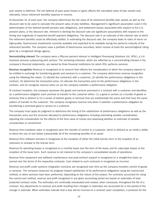plan assets is deferred. The net deferral of past asset losses or gains affects the calculated value of plan assets and, ultimately, future retirement benefits expense or income.

At December 31 of each year, the company determines the fair value of its retirement benefits plan assets as well as the discount rate to be used to calculate the present value of plan liabilities. Management's significant assumption used in the determination of the defined benefit pension plan obligations, and settlement losses associated with respect to the U.S. pension plans, is the discount rate. Inherent in deriving the discount rate are significant assumptions with respect to the timing and magnitude of expected benefit payment obligations. The discount rate is an estimate of the interest rate at which the retirement benefits could be effectively settled. In estimating the discount rate, the company looks to rates of return on high-quality, fixed-income investments currently available and expected to be available during the period to maturity of the retirement benefits. The company uses a portfolio of fixed-income securities, which receive at least the second-highest rating given by a recognized ratings agency.

**Noncontrolling interest** The company owns a fifty-one percent interest in Intelligent Processing Solutions Ltd. (iPSL), a U.K. business process outsourcing joint venture. The remaining interests, which are reflected as a noncontrolling interest in the company's financial statements, are owned by three financial institutions for which iPSL performs services.

**Revenue recognition** Revenue is recognized at an amount that reflects the consideration to which the company expects to be entitled in exchange for transferring goods and services to a customer. The company determines revenue recognition using the following five steps: (1) identify the contract(s) with a customer, (2) identify the performance obligations in the contract, (3) determine the transaction price, (4) allocate the transaction price to the performance obligations in the contract, and (5) recognize revenue when (or as) the company satisfies a performance obligation.

At contract inception, the company assesses the goods and services promised in a contract with a customer and identifies as a performance obligation each promise to transfer to the customer either: (1) a good or service (or a bundle of goods or services) that is distinct or (2) a series of distinct goods or services that are substantially the same and that have the same pattern of transfer to the customer. The company recognizes revenue only when it satisfies a performance obligation by transferring a promised good or service to a customer.

The company must apply its judgment to determine the timing of the satisfaction of performance obligations as well as the transaction price and the amounts allocated to performance obligations including estimating variable consideration, adjusting the consideration for the effects of the time value of money and assessing whether an estimate of variable consideration is constrained.

Revenue from hardware sales is recognized upon the transfer of control to a customer, which is defined as an entity's ability to direct the use of and obtain substantially all of the remaining benefits of an asset.

Revenue from software licenses is recognized at the inception of either the initial license term or the inception of an extension or renewal to the license term.

Revenue for operating leases is recognized on a monthly basis over the term of the lease and for sales-type leases at the inception of the lease term. Such revenue is not material to the company's consolidated results of operations.

Revenue from equipment and software maintenance and post-contract support is recognized on a straight-line basis as earned over the terms of the respective contracts. Cost related to such contracts is recognized as incurred.

Revenue and profit under systems integration contracts are recognized over time as the company transfers control of goods or services. The company measures its progress toward satisfaction of its performance obligations using the cost-to-cost method, or when services have been performed, depending on the nature of the project. For contracts accounted for using the cost-to-cost method, revenue and profit recognized in any given accounting period are based on estimates of total projected contract costs. The estimates are continually reevaluated and revised, when necessary, throughout the life of a contract. Any adjustments to revenue and profit resulting from changes in estimates are accounted for in the period of the change in estimate. When estimates indicate that a loss will be incurred on a contract upon completion, a provision for the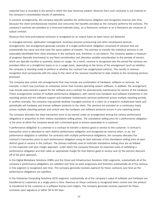expected loss is recorded in the period in which the loss becomes evident. Revenue from such contracts is not material to the company's consolidated results of operations.

In services arrangements, the company typically satisfies the performance obligation and recognizes revenue over time, because the client simultaneously receives and consumes the benefits provided as the company performs the services. The company's services are provided on a time-and-materials basis, as a fixed-price contract or as a fixed-price per measure of output contract.

Revenue from time-and-material contracts is recognized on an output basis as labor hours are delivered.

In managed services, application management, business process outsourcing and other cloud-based services arrangements, the arrangement generally consists of a single performance obligation comprised of services that are substantially the same and that have the same pattern of transfer. The promise to transfer the individual services is not separately identifiable from other promises in the contracts and, therefore, is not distinct. The company applies a measure of progress (typically time-based) to any fixed consideration and allocates variable consideration to the periods of service, which are typically monthly or quarterly, based on usage. As a result, revenue is recognized over the period the services are provided either on a straight-line basis or on a usage basis, depending on the terms of the arrangement (such as whether the company is standing ready to perform or whether the contract has usage-based metrics). This results in revenue recognition that corresponds with the value to the client of the services transferred to date relative to the remaining services promised.

The company also enters into arrangements that may include any combination of hardware, software or services. For example, a client may purchase an enterprise server that includes operating system software. In addition, the arrangement may include post-contract support for the software and a contract for post-warranty maintenance for service of the hardware. These arrangements consist of multiple performance obligations, with control over hardware and software transferred in one reporting period and the software support and hardware maintenance services performed across multiple reporting periods. In another example, the company may provide desktop managed services to a client on a long-term multiple-year basis and periodically sell hardware and license software products to the client. The services are provided on a continuous basis across multiple reporting periods and control over the hardware and software products occurs in one reporting period.

The company allocates the total transaction price to be earned under an arrangement among the various performance obligations in proportion to their relative standalone selling prices. The standalone selling price for a performance obligation is the price at which the company would sell a promised good or service separately to a customer.

A performance obligation is a promise in a contract to transfer a distinct good or service to the customer. A contract's transaction price is allocated to each distinct performance obligation and recognized as revenue when, or as, the performance obligation is satisfied. For contracts with multiple performance obligations, the company allocates the contract's transaction price to each performance obligation using its best estimate of the standalone selling price of each distinct good or service in the contract. The primary methods used to estimate standalone selling price are as follows: (1) the expected cost plus margin approach, under which the company forecasts its expected costs of satisfying a performance obligation and then adds an appropriate margin for that distinct good or service and (2) the percent discount off of list price approach.

In the Digital Workplace Solutions (DWS) and the Cloud and Infrastructure Solutions (C&I) segments, substantially all of the company's performance obligations are satisfied over time as work progresses and therefore substantially all of the revenue in this segment is recognized over time. The company generally receives payment for these contracts over time as the performance obligations are satisfied.

In the Enterprise Computing Solutions (ECS) segment, substantially all of the company's sales of software and hardware are transferred to customers at a single point in time. Revenue on these contracts is recognized when control over the product is transferred to the customer or a software license term begins. The company generally receives payment for these contracts upon signature or within 30 to 60 days.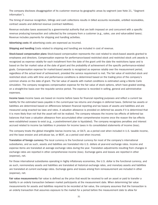The company discloses disaggregation of its customer revenue by geographic areas by segment (see Note 21, "Segment information").

The timing of revenue recognition, billings and cash collections results in billed accounts receivable, unbilled receivables, contract assets and deferred revenue (contract liabilities).

Revenue excludes taxes assessed by a governmental authority that are both imposed on and concurrent with a specific revenue producing transaction and collected by the company from a customer (e.g., sales, use and value-added taxes). Revenue includes payments for shipping and handling activities.

**Advertising costs** All advertising costs are expensed as incurred.

**Shipping and handling** Costs related to shipping and handling are included in cost of revenue.

**Stock-based compensation plans** Stock-based compensation represents the cost related to stock-based awards granted to employees and directors. Compensation expense for performance-based restricted stock and restricted stock unit awards is recognized as expense ratably for each installment from the date of the grant until the date the restrictions lapse and is based on the fair market value at the date of grant and the probability of achievement of the specific performance-related goals. Compensation expense for market-based awards is recognized as expense ratably over the measurement period, regardless of the actual level of achievement, provided the service requirement is met. The fair value of restricted stock and restricted stock units with time and performance conditions is determined based on the trading price of the company's common shares on the date of grant. The fair value of awards with market conditions is estimated using a Monte Carlo simulation. The company recognizes compensation expense for the fair value of stock options, which have graded vesting, on a straight-line basis over the requisite service period. The expense is recorded in selling, general and administrative expenses.

**Income taxes** Income taxes are based on income before taxes for financial reporting purposes and reflect a current tax liability for the estimated taxes payable in the current-year tax returns and changes in deferred taxes. Deferred tax assets or liabilities are determined based on differences between financial reporting and tax bases of assets and liabilities and are measured using enacted tax laws and rates. A valuation allowance is provided on deferred tax assets if it is determined that it is more likely than not that the asset will not be realized. The company releases the income tax effects of deferred tax balances that have a valuation allowance from accumulated other comprehensive income once the reason the tax effects were established ceases to exist (e.g., a postretirement plan is liquidated). The company recognizes penalties and interest accrued related to income tax liabilities in provision for income taxes in its consolidated statements of income (loss).

The company treats the global intangible low-tax income tax, or GILTI, as a period cost when included in U.S. taxable income, and the base erosion and anti-abuse tax, or BEAT, as a period cost when incurred.

**Translation of foreign currency** The local currency is the functional currency for most of the company's international subsidiaries, and as such, assets and liabilities are translated into U.S. dollars at year-end exchange rates. Income and expense items are translated at average exchange rates during the year. Translation adjustments resulting from changes in exchange rates are reported in other comprehensive income (loss). Exchange gains and losses are reported in other (expense), net.

For those international subsidiaries operating in highly inflationary economies, the U.S. dollar is the functional currency, and as such, nonmonetary assets and liabilities are translated at historical exchange rates, and monetary assets and liabilities are translated at current exchange rates. Exchange gains and losses arising from remeasurement are included in other (expense), net.

**Fair value measurements** Fair value is defined as the price that would be received to sell an asset or paid to transfer a liability in an orderly transaction between market participants at the measurement date. When determining fair value measurements for assets and liabilities required to be recorded at fair value, the company assumes that the transaction is an orderly transaction that assumes exposure to the market for a period before the measurement date to allow for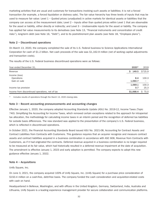marketing activities that are usual and customary for transactions involving such assets or liabilities; it is not a forced transaction (for example, a forced liquidation or distress sale). The fair value hierarchy has three levels of inputs that may be used to measure fair value: Level 1 – Quoted prices (unadjusted) in active markets for identical assets or liabilities that the company can access at the measurement date; Level 2 – Inputs other than quoted prices within Level 1 that are observable for the asset or liability, either directly or indirectly; and Level 3 – Unobservable inputs for the asset or liability. The company has applied fair value measurements to its derivatives (see Note 13, "Financial instruments and concentration of credit risks"), long-term debt (see Note 16, "Debt"), and to its postretirement plan assets (see Note 18, "Employee plans").

#### **Note 2 – Discontinued operations**

On March 13, 2020, the company completed the sale of its U.S. Federal business to Science Applications International Corporation for cash of \$1.2 billion. Net cash proceeds of the sale was \$1,162.9 million (net of working capital adjustments and transaction costs).

The results of the U.S. Federal business discontinued operations were as follows:

| Year ended December 31,                         | $2020*$        | 2019    |
|-------------------------------------------------|----------------|---------|
| Revenue                                         | 149.5<br>s     | \$725.9 |
| Income (loss)                                   |                |         |
| Operations<br>Gain on sale                      | 8.4<br>1,060.7 | 100.3   |
|                                                 | 1,069.1        | 100.3   |
| Income tax provision                            | 0.7            | 25.3    |
| Income from discontinued operations, net of tax | \$1,068.4      | \$ 75.0 |

Includes results of operations through the March 13, 2020 closing date.

#### **Note 3 – Recent accounting pronouncements and accounting changes**

Effective January 1, 2020, the company adopted Accounting Standards Update (ASU) No. 2019-12, Income Taxes (Topic 740): Simplifying the Accounting for Income Taxes, which removed certain exceptions related to the approach for intraperiod tax allocation, the methodology for calculating income taxes in an interim period and the recognition of deferred tax liabilities for outside basis differences. The new standard was applied to the presentation of the company's U.S. Federal business, which is reflected in discontinued operations.

In October 2021, the Financial Accounting Standards Board issued ASU No. 2021-08, Accounting for Contract Assets and Contract Liabilities from Contracts with Customers. This guidance requires that an acquirer recognize and measure contract assets and contract liabilities acquired in a business combination in accordance with ASC 606, Revenue from Contracts with Customers, as if it had originated the contracts. Deferred revenue acquired in a business combination is no longer required to be measured at its fair value, which had historically resulted in a deferred revenue impairment at the date of acquisition. The amendment is effective January 1, 2023 and early adoption is permitted. The company expects to adopt this new guidance effective January 1, 2022.

#### **Note 4 – Acquisitions**

#### Unify Square, Inc.

On June 3, 2021, the company acquired 100% of Unify Square, Inc. (Unify Square) for a purchase price consideration of \$150.4 million on a cash-free, debt-free basis. The company funded the cash consideration and acquisition-related costs with cash on hand.

Headquartered in Bellevue, Washington, and with offices in the United Kingdom, Germany, Switzerland, India, Australia and Lithuania, Unify Square is a leading experience management provider for secure collaboration and communication platforms.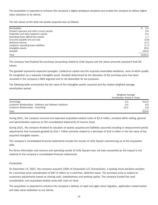The acquisition is expected to enhance the company's digital workplace solutions and enable the company to deliver higher value solutions to its clients.

The fair values of the total net assets acquired was as follows:

| Receivables                               | S. | 3.4     |
|-------------------------------------------|----|---------|
| Prepaid expenses and other current assets |    | 0.6     |
| Properties and other long-term assets     |    | 0.4     |
| Operating lease right-of-use assets       |    | 1.7     |
| Accounts payable and accruals             |    | (3.8)   |
| Deferred revenue                          |    | (2.7)   |
| Long-term operating lease liabilities     |    | (1.7)   |
| Intangible assets                         |    | 19.6    |
| Goodwill                                  |    | 132.9   |
| Total                                     |    | \$150.4 |

The company has finalized the purchase accounting related to Unify Square and the above amounts represent final fair values.

The goodwill represents expected synergies, intellectual capital and the acquired assembled workforce, none of which qualify for recognition as a separate intangible asset. Goodwill determined by the allocation of the purchase price has been recorded in the company's DWS segment and is not deductible for tax purposes.

The following table summarizes the fair value of the intangible assets acquired and the related weighted average amortization period:

| Technology                                               | Weighted Average<br>Amortization Period in Years |        |
|----------------------------------------------------------|--------------------------------------------------|--------|
|                                                          | 3.2                                              | \$10.0 |
| Customer Relationships - Software and Software Solutions | 3.0                                              | 6.6    |
| Customer Relationships - Consulting                      | 10.0                                             | 3.0    |
| Total                                                    |                                                  | \$19.6 |

During 2021, the company incurred and expensed acquisition-related costs of \$2.4 million, included within selling, general and administrative expense on the consolidated statements of income (loss).

During 2021, the company finalized its valuation of assets acquired and liabilities assumed resulting in measurement period adjustments that increased goodwill by \$16.7 million primarily related to a decrease of \$16.3 million in the fair value of the acquired intangible assets.

The company's consolidated financial statements include the results of Unify Square commencing as of the acquisition date.

Pro forma information and revenue and operating results of Unify Square have not been presented as the impact is not material to the company's consolidated financial statements.

#### CompuGain

On December 14, 2021, the company acquired 100% of CompuGain LLC (CompuGain), a leading cloud solutions provider, for a purchase price consideration of \$87.0 million on a cash-free, debt-free basis. The purchase price is subject to customary adjustments based on closing cash, indebtedness and working capital. The company funded the cash consideration and acquisition-related costs with cash on hand.

The acquisition is expected to enhance the company's delivery of rapid and agile cloud migration, application modernization and data value realization to our clients.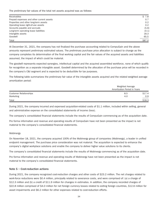The preliminary fair values of the total net assets acquired was as follows:

| Receivables                               | \$7.8  |
|-------------------------------------------|--------|
|                                           |        |
| Prepaid expenses and other current assets | 0.7    |
| Properties and other long-term assets     | 0.2    |
| Operating lease right-of-use assets       | 0.2    |
| Accounts payable and accruals             | (5.6)  |
| Long-term operating lease liabilities     | (0.1)  |
| Intangible assets                         | 18.3   |
| Goodwill                                  | 65.5   |
| Total                                     | \$87.0 |

At December 31, 2021, the company has not finalized the purchase accounting related to CompuGain and the above amounts represent preliminary estimated values. The preliminary purchase price allocation is subject to change as the company completes its determination of the final working capital and the fair values of the acquired assets and liabilities assumed, the impact of which could be material.

The goodwill represents expected synergies, intellectual capital and the acquired assembled workforce, none of which qualify for recognition as a separate intangible asset. Goodwill determined by the allocation of the purchase price will be recorded in the company's C&I segment and is expected to be deductible for tax purposes.

The following table summarizes the preliminary fair value of the intangible assets acquired and the related weighted average amortization period:

|                               | Weighted Average<br>Amortization Period in Years |                                                                                                                                                                                                                                                                                                                                                                                                                                                                                   |
|-------------------------------|--------------------------------------------------|-----------------------------------------------------------------------------------------------------------------------------------------------------------------------------------------------------------------------------------------------------------------------------------------------------------------------------------------------------------------------------------------------------------------------------------------------------------------------------------|
| <b>Customer Relationships</b> | 8.5                                              | \$17.4                                                                                                                                                                                                                                                                                                                                                                                                                                                                            |
| Marketing                     | 4.0                                              | 0.9<br>$\frac{1}{2} \left( \frac{1}{2} \right) \left( \frac{1}{2} \right) \left( \frac{1}{2} \right) \left( \frac{1}{2} \right) \left( \frac{1}{2} \right) \left( \frac{1}{2} \right) \left( \frac{1}{2} \right) \left( \frac{1}{2} \right) \left( \frac{1}{2} \right) \left( \frac{1}{2} \right) \left( \frac{1}{2} \right) \left( \frac{1}{2} \right) \left( \frac{1}{2} \right) \left( \frac{1}{2} \right) \left( \frac{1}{2} \right) \left( \frac{1}{2} \right) \left( \frac$ |
| Total                         |                                                  | \$18.3                                                                                                                                                                                                                                                                                                                                                                                                                                                                            |

During 2021, the company incurred and expensed acquisition-related costs of \$1.1 million, included within selling, general and administrative expense on the consolidated statements of income (loss).

The company's consolidated financial statements include the results of CompuGain commencing as of the acquisition date.

Pro forma information and revenue and operating results of CompuGain have not been presented as the impact is not material to the company's consolidated financial statements.

#### Mobinergy

On November 18, 2021, the company acquired 100% of the Mobinergy group of companies (Mobinergy), a leader in unified endpoint management. The purchase price consideration was not material. The acquisition is expected to enhance the company's digital workplace solutions and enable the company to deliver higher value solutions to its clients.

The company's consolidated financial statements include the results of Mobinergy commencing as of the acquisition date.

Pro forma information and revenue and operating results of Mobinergy have not been presented as the impact is not material to the company's consolidated financial statements.

#### **Note 5 – Cost-reduction actions**

During 2021, the company recognized cost-reduction charges and other costs of \$23.2 million. The net charges related to work-force reductions were \$0.4 million, principally related to severance costs, and were comprised of: (a) a charge of \$12.3 million and (b) a credit of \$11.9 million for changes in estimates. In addition, the company recorded charges of \$22.8 million comprised of \$4.0 million for net foreign currency losses related to exiting foreign countries, \$12.6 million for asset impairments and \$6.2 million for other expenses related to cost-reduction efforts.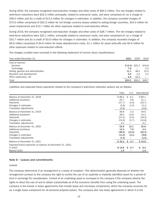During 2020, the company recognized cost-reduction charges and other costs of \$95.5 million. The net charges related to work-force reductions were \$25.5 million principally, related to severance costs, and were comprised of: (a) a charge of \$39.0 million and (b) a credit of \$13.5 million for changes in estimates. In addition, the company recorded charges of \$70.0 million comprised of \$32.3 million for net foreign currency losses related to exiting foreign countries, \$24.0 million for asset impairments and \$13.7 million for other expenses related to cost-reduction efforts.

During 2019, the company recognized cost-reduction charges and other costs of \$28.7 million. The net charges related to work-force reductions were \$22.1 million, principally related to severance costs, and were comprised of: (a) a charge of \$25.7 million and (b) a credit of \$3.6 million for changes in estimates. In addition, the company recorded charges of \$6.6 million comprised of \$4.6 million for lease abandonment costs, \$1.1 million for asset write-offs and \$0.9 million for other expenses related to cost-reduction efforts.

The charges (credits) were recorded in the following statement of income (loss) classifications:

| Year ended December 31,             | 2021   | 2020                     | 2019              |
|-------------------------------------|--------|--------------------------|-------------------|
| Cost of revenue                     |        |                          |                   |
| Services                            |        | \$ (2.5) \$22.2 \$10.8   |                   |
| Technology                          | 7.6    | $\overline{\phantom{m}}$ | 0.2               |
| Selling, general and administrative | 11.1   | 38.5                     | 15.5              |
| Research and development            | 3.0    | 2.5                      | 2.2               |
| Other (expenses), net               | 4.0    | 32.3                     | $\qquad \qquad -$ |
| Total                               | \$23.2 | \$95.5                   | \$28.7            |

Liabilities and expected future payments related to the company's work-force reduction actions are as follows:

|                                                           | Total  | U.S.      | International |
|-----------------------------------------------------------|--------|-----------|---------------|
| Balance at December 31, 2018                              | \$86.2 | \$<br>6.1 | \$80.1        |
| Additional provisions                                     | 25.7   | 4.6       | 21.1          |
| Payments                                                  | (57.7) | (4.0)     | (53.7)        |
| Changes in estimates                                      | (3.6)  | (1.5)     | (2.1)         |
| Translation adjustments                                   | (0.8)  | -         | (0.8)         |
| Balance at December 31, 2019                              | 49.8   | 5.2       | 44.6          |
| Additional provisions                                     | 39.0   | 13.8      | 25.2          |
| Payments                                                  | (21.5) | (3.2)     | (18.3)        |
| Changes in estimates                                      | (13.5) | (2.7)     | (10.8)        |
| Translation adjustments                                   | 2.1    |           | 2.1           |
| Balance at December 31, 2020                              | 55.9   | 13.1      | 42.8          |
| Additional provisions                                     | 12.3   | 7.9       | 4.4           |
| Payments                                                  | (38.5) | (13.2)    | (25.3)        |
| Changes in estimates                                      | (11.9) | (2.1)     | (9.8)         |
| Translation adjustments                                   | (1.5)  |           | (1.5)         |
| Balance at December 31, 2021                              | \$16.3 | Ŝ.<br>5.7 | \$10.6        |
| Expected future payments on balance at December 31, 2021: |        |           |               |
| In 2022                                                   | \$14.9 | Ŝ<br>5.7  | Ś.<br>9.2     |
| Beyond 2022                                               | 1.4    |           | 1.4           |

#### **Note 6 – Leases and commitments**

#### Leases

The company determines if an arrangement is a lease at inception. This determination generally depends on whether the arrangement conveys to the company the right to control the use of an explicitly or implicitly identified asset for a period of time in exchange for consideration. Control of an underlying asset is conveyed to the company if the company obtains the rights to direct the use of and to obtain substantially all of the economic benefits from using the underlying asset. The company is the lessee in lease agreements that include lease and non-lease components, which the company accounts for as a single lease component for all personal property leases. The company also has lease agreements in which it is the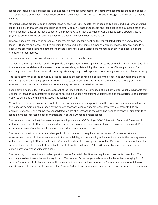lessor that include lease and non-lease components. For these agreements, the company accounts for these components as a single lease component. Lease expense for variable leases and short-term leases is recognized when the expense is incurred.

Operating leases are included in operating lease right-of-use (ROU) assets, other accrued liabilities and long-term operating lease liabilities on the consolidated balance sheets. Operating lease ROU assets and lease liabilities are recognized at the commencement date of the lease based on the present value of lease payments over the lease term. Operating lease payments are recognized as lease expense on a straight-line basis over the lease term.

Finance leases are included in outsourcing assets, net and long-term debt on the consolidated balance sheets. Finance lease ROU assets and lease liabilities are initially measured in the same manner as operating leases. Finance lease ROU assets are amortized using the straight-line method. Finance lease liabilities are measured at amortized cost using the effective interest method.

The company has not capitalized leases with terms of twelve months or less.

As most of the company's leases do not provide an implicit rate, the company uses its incremental borrowing rate, based on the information available at the lease commencement date, in determining the present value of lease payments. The company determines the incremental borrowing rate using the portfolio approach considering lease term and lease currency.

The lease term for all of the company's leases includes the non-cancelable period of the lease plus any additional periods covered by either a company option to extend (or not to terminate) the lease that the company is reasonably certain to exercise, or an option to extend (or not to terminate) the lease controlled by the lessor.

Lease payments included in the measurement of the lease liability are comprised of fixed payments, variable payments that depend on index or rate, amounts expected to be payable under a residual value guarantee and the exercise of the company option to purchase the underlying asset, if reasonably certain.

Variable lease payments associated with the company's leases are recognized when the event, activity, or circumstance in the lease agreement on which those payments are assessed occurs. Variable lease payments are presented as an operating expense in the company's consolidated results of operations in the same line item as expense arising from fixed lease payments (operating leases) or amortization of the ROU asset (finance leases).

The company uses the long-lived assets impairment guidance in ASC Subtopic 360-10 *Property, Plant, and Equipment* to determine whether a ROU asset is impaired, and if so, the amount of the impairment loss to recognize. If impaired, ROU assets for operating and finance leases are reduced for any impairment losses.

The company monitors for events or changes in circumstances that require a reassessment of its leases. When a reassessment results in the remeasurement of a lease liability, a corresponding adjustment is made to the carrying amount of the corresponding ROU asset unless doing so would reduce the carrying amount of the ROU asset to an amount less than zero. In that case, the amount of the adjustment that would result in a negative ROU asset balance is recorded in the consolidated statement of income (loss).

The company has commitments under operating leases for certain facilities and equipment used in its operations. The company also has finance leases for equipment. The company's leases generally have initial lease terms ranging from 1 year to 8 years, most of which include options to extend or renew the leases for up to 5 years, and some of which may include options to terminate the leases within 1 year. Certain lease agreements contain provisions for future rent increases.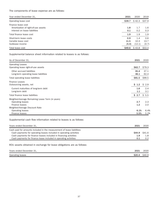The components of lease expense are as follows:

| Year ended December 31,                                                                    | 2021                 | 2020                  | 2019                 |
|--------------------------------------------------------------------------------------------|----------------------|-----------------------|----------------------|
| Operating lease cost                                                                       | \$39.7               | \$42.3                | \$37.9               |
| Finance lease cost<br>Amortization of right-of-use assets<br>Interest on lease liabilities | 1.8<br>0.1           | 1.7<br>0.2            | 1.6<br>0.3           |
| Total finance lease cost                                                                   | 1.9                  | 1.9                   | 1.9                  |
| Short-term lease costs<br>Variable lease cost<br>Sublease income                           | 0.9<br>11.5<br>(4.4) | 1.4<br>10.3<br>(12.1) | 0.6<br>13.7<br>(0.7) |
| Total lease cost                                                                           | \$49.6               | \$43.8                | \$53.4               |

Supplemental balance sheet information related to leases is as follows:

| As of December 31,                               | 2021   | 2020   |
|--------------------------------------------------|--------|--------|
| <b>Operating Leases</b>                          |        |        |
| Operating lease right-of-use assets              | \$62.7 | \$79.3 |
| Other accrued liabilities                        | 35.4   | 37.1   |
| Long-term operating lease liabilities            | 46.1   | 62.4   |
| Total operating lease liabilities                | \$81.5 | \$99.5 |
| Finance Leases                                   |        |        |
| Outsourcing assets, net                          | \$1.2  | \$2.9  |
| Current maturities of long-term debt             | 1.6    | 2.4    |
| Long-term debt                                   | 1.1    | 3.1    |
| Total finance lease liabilities                  | \$2.7  | \$5.5  |
| Weighted-Average Remaining Lease Term (in years) |        |        |
| Operating leases                                 | 2.7    | 2.3    |
| Finance leases                                   | 1.2    | 2.0    |
| Weighted-Average Discount Rate                   |        |        |
| Operating leases                                 | 6.1%   | 6.4%   |
| Finance leases                                   | 5.5%   | 5.2%   |

Supplemental cash flow information related to leases is as follows:

| Years ended December 31,                                                | 2021  | 2020   |
|-------------------------------------------------------------------------|-------|--------|
| Cash paid for amounts included in the measurement of lease liabilities: |       |        |
| Cash payments for operating leases included in operating activities     | S44.9 | \$41.6 |
| Cash payments for finance leases included in financing activities       | 1.9   | 1.8    |
| Cash payments for finance lease included in operating activities        | 0.1   | 0.2    |

ROU assets obtained in exchange for lease obligations are as follows:

| Years ended December 31, | 2021   | 2020  |
|--------------------------|--------|-------|
| Operating leases         | بـ20\$ | S40.9 |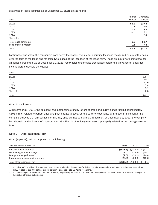Maturities of lease liabilities as of December 31, 2021 are as follows:

| Year                  | Finance<br>Leases | Operating<br>Leases |
|-----------------------|-------------------|---------------------|
| 2022                  | \$1.6             | \$39.2              |
| 2023                  | 0.7               | 25.6                |
| 2024                  | 0.5               | 15.8                |
| 2025                  | $\qquad \qquad$   | 6.1                 |
| 2026                  | -                 | 2.0                 |
| Thereafter            |                   |                     |
| Total lease payments  | 2.8               | 88.7                |
| Less imputed interest | 0.1               | 7.2                 |
| Total                 | \$2.7             | \$81.5              |

For transactions where the company is considered the lessor, revenue for operating leases is recognized on a monthly basis over the term of the lease and for sales-type leases at the inception of the lease term. These amounts were immaterial for all periods presented. As of December 31, 2021, receivables under sales-type leases before the allowance for unearned income were collectible as follows:

| Year                                               |        |
|----------------------------------------------------|--------|
|                                                    | \$36.4 |
|                                                    | 10.3   |
|                                                    | 11.6   |
|                                                    | 7.4    |
|                                                    | 5.2    |
| 2022<br>2023<br>2024<br>2025<br>2026<br>Thereafter | 0.5    |
| Total                                              | \$71.4 |

## Other Commitments

At December 31, 2021, the company had outstanding standby letters of credit and surety bonds totaling approximately \$198 million related to performance and payment guarantees. On the basis of experience with these arrangements, the company believes that any obligations that may arise will not be material. In addition, at December 31, 2021, the company had deposits and collateral of approximately \$8 million in other long-term assets, principally related to tax contingencies in Brazil.

## **Note 7 – Other (expense), net**

Other (expense), net is comprised of the following:

| Year ended December 31,            | 2021                     | 2020                                                                                              | 2019   |
|------------------------------------|--------------------------|---------------------------------------------------------------------------------------------------|--------|
| Postretirement expense*            |                          | $\angle$ \$(548.6) $\angle$ (235.9) $\angle$ (93.3)                                               |        |
| Debt extinguishment charge         | $\overline{\phantom{0}}$ | (28.5)                                                                                            | (20.1) |
| Foreign exchange losses**          | (2.5)                    | (36.2)                                                                                            | (10.4) |
| Environmental costs and other, net | (29.2)                   | (29.0)                                                                                            | (12.6) |
| Total other (expense), net         |                          | $\textbf{\$}(\textbf{580.3}) \quad \textbf{\$}(\textbf{329.6}) \quad \textbf{\$}(\textbf{136.4})$ |        |

\* Includes \$499.4 million of settlement losses in 2021 related to the company's defined benefit pension plans and \$142.1 million settlement loss in 2020 related to the U.S. defined benefit pension plans. See Note 18, "Employee plans."

\*\* Includes charges of \$4.0 million and \$32.3 million, respectively, in 2021 and 2020 for net foreign currency losses related to substantial completion of liquidation of foreign subsidiaries.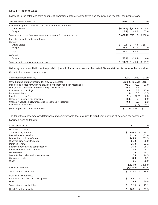#### **Note 8 – Income taxes**

Following is the total loss from continuing operations before income taxes and the provision (benefit) for income taxes.

| Year ended December 31,                                                                         | 2021                        | 2020                                    | 2019             |
|-------------------------------------------------------------------------------------------------|-----------------------------|-----------------------------------------|------------------|
| Income (loss) from continuing operations before income taxes<br><b>United States</b><br>Foreign | (18.2)                      | $\$(443.5) \$(316.3) \$(148.4)$<br>44.5 | 87.8             |
| Total income (loss) from continuing operations before income taxes                              |                             | $$$ (461.7) $$$ (271.8) \$ (60.6)       |                  |
| Provision (benefit) for income taxes<br>Current<br>United States<br>Foreign                     | $9.1 \quad S$<br>Ŝ.<br>38.1 | 7.3<br>51.5                             | \$(17.7)<br>41.0 |
| Total                                                                                           | 47.2                        | 58.8                                    | 23.3             |
| Deferred<br>Foreign                                                                             | (59.1)                      | (13.4)                                  | 4.4              |
| Total (benefit) provision for income taxes                                                      | \$ (11.9) \$                | 45.4                                    | 27.7<br>S        |

Following is a reconciliation of the provision (benefit) for income taxes at the United States statutory tax rate to the provision (benefit) for income taxes as reported:

| Year ended December 31,                                                 | 2021      | 2020                   | 2019          |
|-------------------------------------------------------------------------|-----------|------------------------|---------------|
| United States statutory income tax provision (benefit)                  | \$ (96.9) | \$ (57.1)              | \$(12.7)      |
| Income and losses for which no provision or benefit has been recognized | 91.1      | 78.6                   | 23.9          |
| Foreign rate differential and other foreign tax expense                 | 0.4       | 5.9                    | 3.2           |
| Income tax withholdings                                                 | 13.5      | 16.8                   | 17.6          |
| Permanent items                                                         | (1.8)     | 0.8                    | (2.5)         |
| Enacted rate changes                                                    | (17.1)    | (4.0)                  | 0.5           |
| Change in uncertain tax positions                                       | (0.3)     | 3.6                    | $0.2^{\circ}$ |
| Change in valuation allowances due to changes in judgment               | (0.8)     | 2.9                    | (2.3)         |
| Income tax credits, U.S.                                                |           | (2.1)                  | (0.2)         |
| (Benefit) provision for income taxes                                    |           | \$(11.9) \$45.4 \$27.7 |               |

The tax effects of temporary differences and carryforwards that give rise to significant portions of deferred tax assets and liabilities were as follows:

| As of December 31,                     | 2021        | 2020        |
|----------------------------------------|-------------|-------------|
| Deferred tax assets                    |             |             |
| Tax loss carryforwards                 | \$<br>840.4 | 795.2<br>Ŝ. |
| Postretirement benefits                | 211.8       | 253.0       |
| Foreign tax credit carryforwards       | 145.9       | 201.3       |
| Other tax credit carryforwards         | 31.9        | 29.2        |
| Deferred revenue                       | 35.8        | 31.1        |
| Employee benefits and compensation     | 25.8        | 25.3        |
| Purchased capitalized software         | 24.2        | 24.1        |
| Depreciation                           | 31.6        | 28.2        |
| Warranty, bad debts and other reserves | 7.5         | 10.5        |
| Capitalized costs                      | 3.9         | 8.1         |
| Other                                  | 46.1        | 52.0        |
|                                        | 1,404.9     | 1,458.0     |
| Valuation allowance                    | (1,226.2)   | (1, 271.5)  |
| Total deferred tax assets              | \$<br>178.7 | 186.5<br>Ś  |
| Deferred tax liabilities               |             |             |
| Capitalized research and development   | \$<br>43.1  | Ŝ.<br>47.4  |
| Other                                  | 29.5        | 29.8        |
| Total deferred tax liabilities         | \$<br>72.6  | Ŝ.<br>77.2  |
| Net deferred tax assets                | Ś<br>106.1  | 109.3<br>Ś  |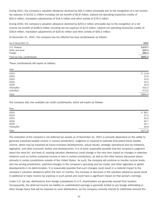During 2021, the company's valuation allowance declined by \$45.3 million principally due to the recognition of a net income tax expense of \$(102.1) million including net tax benefit of \$0.8 million, expired net operating losses/tax credits of \$50.0 million, translation adjustments of \$18.4 million and other activity of \$79.0 million.

During 2020, the company's valuation allowance declined by \$253.2 million principally due to the recognition of a net income tax benefit of \$189.0 million including net tax expense of \$2.9 million, expired net operating losses/tax credits of \$28.9 million, translation adjustments of \$(20.9) million and other activity of \$56.2 million.

At December 31, 2021, the company has tax effected tax loss carryforwards as follows:

| As of December 31,           | 2021    |
|------------------------------|---------|
| U.S. Federal                 | \$370.7 |
| State and local              | 203.4   |
| Foreign                      | 266.3   |
| Total tax loss carryforwards | \$840.4 |

These carryforwards will expire as follows:

| Year       |         |
|------------|---------|
| 2022       | \$13.8  |
| 2023       | 13.0    |
| 2024       | 13.0    |
| 2025       | 15.5    |
| 2026       | 10.3    |
| Thereafter | 502.3   |
| Unlimited  | 272.5   |
| Total      | \$840.4 |

The company also has available tax credit carryforwards, which will expire as follows:

| Year       |                       |
|------------|-----------------------|
| 2022       | \$38.1                |
| 2023       | 27.0                  |
| 2024       | 22.5                  |
| 2025       | 20.7                  |
| 2026       | 33.7                  |
| Thereafter | $\frac{35.8}{$177.8}$ |
| Total      |                       |

The realization of the company's net deferred tax assets as of December 31, 2021 is primarily dependent on the ability to generate sustained taxable income in various jurisdictions. Judgment is required to estimate forecasted future taxable income, which may be impacted by future business developments, actual results, strategic operational and tax initiatives, legislative, and other economic factors and developments. It is at least reasonably possible that the company's judgment about the need for, and level of, existing valuation allowances could change in the near term based on changes in objective evidence such as further sustained income or loss in certain jurisdictions, as well as the other factors discussed above, primarily in certain jurisdictions outside of the United States. As such, the company will continue to monitor income levels and mix among jurisdictions, potential changes to the company's operating and tax model, and other legislative or global developments in its determination. It is reasonably possible that such changes could result in a material impact to the company's valuation allowance within the next 12 months. Any increase or decrease in the valuation allowance would result in additional or lower income tax expense in such period and could have a significant impact on that period's earnings.

Under U.S. tax law, distributions from foreign subsidiaries to U.S. shareholders are generally exempt from taxation. Consequently, the deferred income tax liability on undistributed earnings is generally limited to any foreign withholding or other foreign taxes that will be imposed on such distributions. As the company currently intends to indefinitely reinvest the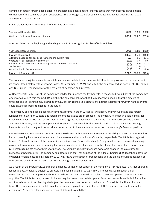earnings of certain foreign subsidiaries, no provision has been made for income taxes that may become payable upon distribution of the earnings of such subsidiaries. The unrecognized deferred income tax liability at December 31, 2021 approximated \$28.0 million.

Cash paid for income taxes, net of refunds was as follows:

| Year ended December 31,                    | 2021 | 2020                 | 2019 |
|--------------------------------------------|------|----------------------|------|
| Cash paid for income taxes, net of refunds |      | \$53.7 \$24.7 \$37.6 |      |

A reconciliation of the beginning and ending amount of unrecognized tax benefits is as follows:

| Year ended December 31,                                                | 2021   | 2020   | 2019   |
|------------------------------------------------------------------------|--------|--------|--------|
| Balance at January 1                                                   | S30.9  | \$25.6 | \$18.9 |
| Additions based on tax positions related to the current year           | 3.5    | 8.5    | 11.1   |
| Changes for tax positions of prior years                               | (8.8)  | (0.7)  | (0.6)  |
| Reductions as a result of a lapse of applicable statute of limitations | (2.6)  | (2.3)  | (2.3)  |
| <b>Settlements</b>                                                     | (0.3)  | (1.8)  | (1.1)  |
| Changes due to foreign currency                                        | (1.1)  | 1.6    | (0.4)  |
| Balance at December 31                                                 | \$21.6 | \$30.9 | \$25.6 |

The company recognizes penalties and interest accrued related to income tax liabilities in the provision for income taxes in its consolidated statements of income (loss). At December 31, 2021 and 2020, the company had an accrual of \$3.8 million and \$3.9 million, respectively, for the payment of penalties and interest.

At December 31, 2021, all of the company's liability for unrecognized tax benefits, if recognized, would affect the company's effective tax rate. Within the next 12 months, the company believes that it is reasonably possible that the amount of unrecognized tax benefits may decrease by \$1.9 million related to a statute of limitation expiration; however, various events could cause this belief to change in the future.

The company and its subsidiaries file income tax returns in the U.S. federal jurisdiction, and various states and foreign jurisdictions. Several U.S. state and foreign income tax audits are in process. The company is under an audit in India, for which years prior to 2007 are closed. For the most significant jurisdictions outside the U.S., the audit periods through 2016 are closed for Brazil, and the audit periods through 2017 are closed for the United Kingdom. All of the various ongoing income tax audits throughout the world are not expected to have a material impact on the company's financial position.

Internal Revenue Code Sections 382 and 383 provide annual limitations with respect to the ability of a corporation to utilize its net operating loss (as well as certain built-in losses) and tax credit carryforwards, respectively (Tax Attributes), against future U.S. taxable income, if the corporation experiences an "ownership change." In general terms, an ownership change may result from transactions increasing the ownership of certain stockholders in the stock of a corporation by more than 50 percentage points over a three-year period. The company regularly monitors ownership changes (as calculated for purposes of Section 382). The company has determined that, for purposes of the rules of Section 382 described above, an ownership change occurred in February 2011. Any future transaction or transactions and the timing of such transaction or transactions could trigger additional ownership changes under Section 382.

As a result of the February 2011 ownership change, utilization for certain of the company's Tax Attributes, U.S. net operating losses and tax credits, is subject to an overall annual limitation of \$70.6 million. The cumulative limitation as of December 31, 2021 is approximately \$462.4 million. This limitation will be applied to any net operating losses and then to any other Tax Attributes. Any unused limitation may be carried over to later years. Based on presently available information and the existence of tax planning strategies, the company does not expect to incur a U.S. cash tax liability in the near term. The company maintains a full valuation allowance against the realization of all U.S. deferred tax assets as well as certain foreign deferred tax assets in excess of deferred tax liabilities.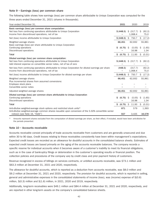## **Note 9 – Earnings (loss) per common share**

The following table shows how earnings (loss) per common share attributable to Unisys Corporation was computed for the three years ended December 31, 2021 (shares in thousands).

| Year ended December 31,                                                                                                                                                                                                           | 2021                       | 2020                           | 2019                     |
|-----------------------------------------------------------------------------------------------------------------------------------------------------------------------------------------------------------------------------------|----------------------------|--------------------------------|--------------------------|
| Basic earnings (loss) per common share computation:<br>Net loss from continuing operations attributable to Unisys Corporation<br>Income from discontinued operations, net of tax                                                  | \$ (448.5)                 | \$ (317.7) \$<br>1,068.4       | (92.2)<br>75.0           |
| Net (loss) income attributable to Unisys Corporation                                                                                                                                                                              | \$ (448.5)                 | Ŝ.<br>750.7                    | \$<br>(17.2)             |
| Weighted average shares<br>Basic earnings (loss) per share attributable to Unisys Corporation<br>Continuing operations<br>Discontinued operations                                                                                 | 66,451<br>$(6.75)$ \$<br>S | 62,932<br>$(5.05)$ \$<br>16.98 | 55,961<br>(1.65)<br>1.34 |
| Total                                                                                                                                                                                                                             | \$.                        | $(6.75)$ \$ 11.93              | (0.31)<br>S.             |
| Diluted earnings (loss) per common share computation:<br>Net loss from continuing operations attributable to Unisys Corporation<br>Add interest expense on convertible senior notes, net of tax of zero                           |                            | \$ (448.5) \$ (317.7)          | (92.2)<br>Ŝ              |
| Net loss from continuing operations attributable to Unisys Corporation for diluted earnings per share<br>Income from discontinued operations, net of tax                                                                          | (448.5)                    | (317.7)<br>1,068.4             | (92.2)<br>75.0           |
| Net (loss) income attributable to Unisys Corporation for diluted earnings per share                                                                                                                                               | \$ (448.5)                 | Ŝ.<br>750.7                    | (17.2)<br>S.             |
| Weighted average shares<br>Plus incremental shares from assumed conversions:<br>Employee stock plans<br>Convertible senior notes                                                                                                  | 66,451                     | 62,932                         | 55,961                   |
| Adjusted weighted average shares                                                                                                                                                                                                  | 66,451                     | 62,932                         | 55,961                   |
| Diluted earnings (loss) per common share attributable to Unisys Corporation<br>Continuing operations<br>Discontinued operations                                                                                                   | Ś<br>$(6.75)$ \$           | (5.05)<br>16.98                | (1.65)<br>- S<br>1.34    |
| Total                                                                                                                                                                                                                             | $(6.75)$ \$<br>S           | 11.93                          | Ŝ.<br>(0.31)             |
| Anti-dilutive weighted-average stock options and restricted stock units <sup>(i)</sup><br>Anti-dilutive weighted-average common shares issuable upon conversion of the 5.50% convertible senior<br>notes(i) (see Note 16, "Debt") | 871<br>557                 | 579<br>3,425                   | 1,393<br>16,578          |

 $^{(i)}$  Amounts represent shares excluded from the computation of diluted earnings per share, as their effect, if included, would have been anti-dilutive for the periods presented.

#### **Note 10 – Accounts receivable**

Accounts receivable consist principally of trade accounts receivable from customers and are generally unsecured and due within 30 to 90 days. Credit losses relating to these receivables consistently have been within management's expectations. Expected credit losses are recorded as an allowance for doubtful accounts in the consolidated balance sheets. Estimates of expected credit losses are based primarily on the aging of the accounts receivable balances. The company records a specific reserve for individual accounts when it becomes aware of a customer's inability to meet its financial obligations, such as in the case of bankruptcy filings or deterioration in the customer's operating results or financial position. The collection policies and procedures of the company vary by credit class and prior payment history of customers.

Revenue recognized in excess of billings on services contracts, or unbilled accounts receivable, was \$73.1 million and \$63.3 million at December 31, 2021 and 2020, respectively.

The allowance for doubtful accounts, which is reported as a deduction from accounts receivable, was \$8.0 million and \$9.2 million at December 31, 2021 and 2020, respectively. The provision for doubtful accounts, which is reported in selling, general and administrative expenses in the consolidated statements of income (loss), was (income) expense of \$(0.6) million, \$(0.3) million and \$(1.6) million, in 2021, 2020 and 2019, respectively.

Additionally, long-term receivables were \$49.1 million and \$84.4 million at December 31, 2021 and 2020, respectively, and are reported in other long-term assets on the company's consolidated balance sheets.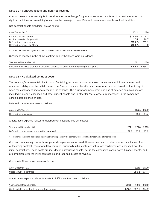#### **Note 11 – Contract assets and deferred revenue**

Contract assets represent rights to consideration in exchange for goods or services transferred to a customer when that right is conditional on something other than the passage of time. Deferred revenue represents contract liabilities.

Net contract assets (liabilities) are as follows:

| As of December 31,                         | 2021     | 2020    |
|--------------------------------------------|----------|---------|
| Contract assets - current                  | $S$ 42.0 | \$44.3  |
| Contract assets - long-term <sup>(i)</sup> | 17.4     | 20.7    |
| Deferred revenue - current                 | (253.2)  | (257.1) |
| Deferred revenue - long-term               | (150.7)  | (137.9) |

 $(i)$  Reported in other long-term assets on the company's consolidated balance sheets

Significant changes in the above contract liability balances were as follows:

| Year ended December 31,                                                                 | 2021            | 2020 |
|-----------------------------------------------------------------------------------------|-----------------|------|
| Revenue recognized that was included in deferred revenue at the beginning of the period | \$245.8 \$236.1 |      |

## **Note 12 – Capitalized contract costs**

The company's incremental direct costs of obtaining a contract consist of sales commissions which are deferred and amortized ratably over the initial contract life. These costs are classified as current or noncurrent based on the timing of when the company expects to recognize the expense. The current and noncurrent portions of deferred commissions are included in prepaid expenses and other current assets and in other long-term assets, respectively, in the company's consolidated balance sheets.

Deferred commissions were as follows:

| As of December 31,   | 2021        | 2020         |
|----------------------|-------------|--------------|
| Deferred commissions | <b>\$6.</b> | <b>\$8.,</b> |

Amortization expense related to deferred commissions was as follows:

| Year ended December 31,                                    | 2021 | 2020  | 2019  |
|------------------------------------------------------------|------|-------|-------|
| Deferred commissions - amortization expense <sup>(i)</sup> |      | \$3.2 | \$3.1 |

 $(0)$  Reported in selling, general and administrative expense in the company's consolidated statements of income (loss)

Costs on outsourcing contracts are generally expensed as incurred. However, certain costs incurred upon initiation of an outsourcing contract (costs to fulfill a contract), principally initial customer setup, are capitalized and expensed over the initial contract life. These costs are included in outsourcing assets, net in the company's consolidated balance sheets, and are amortized over the initial contract life and reported in cost of revenue.

Costs to fulfill a contract were as follows:

| As of December 31,                                                          |      | 2021 | 2020          |
|-----------------------------------------------------------------------------|------|------|---------------|
| Costs to fulfill a contract                                                 |      |      | \$56.2 \$74.4 |
| Amortization expense related to costs to fulfill a contract was as follows: |      |      |               |
| Year ended December 31,                                                     | 2021 | 2020 | 2019          |

| 1.0111<br>$\sim$<br>Cost:<br>contract<br>tultıll<br>xpense:<br>וטר<br>$\sim$<br>$\cdots$ | ^^<br>$\sim$ . $\sim$ | $\sim$ $\sim$ $\sim$<br>--<br>$\lambda$ | $\overline{\phantom{a}}$<br>ے ر<br>- <del>1</del> . 2 |
|------------------------------------------------------------------------------------------|-----------------------|-----------------------------------------|-------------------------------------------------------|
|                                                                                          |                       |                                         |                                                       |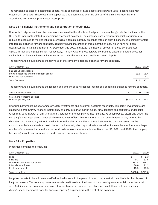The remaining balance of outsourcing assets, net is comprised of fixed assets and software used in connection with outsourcing contracts. These costs are capitalized and depreciated over the shorter of the initial contract life or in accordance with the company's fixed asset policy.

#### **Note 13 – Financial instruments and concentration of credit risks**

Due to its foreign operations, the company is exposed to the effects of foreign currency exchange rate fluctuations on the U.S. dollar, principally related to intercompany account balances. The company uses derivative financial instruments to reduce its exposure to market risks from changes in foreign currency exchange rates on such balances. The company enters into foreign exchange forward contracts, generally having maturities of three months or less, which have not been designated as hedging instruments. At December 31, 2021 and 2020, the notional amount of these contracts was \$552.2 million and \$588.5 million, respectively. The fair value of these forward contracts is based on quoted prices for similar but not identical financial instruments; as such, the inputs are considered Level 2 inputs.

The following table summarizes the fair value of the company's foreign exchange forward contracts.

| As of December 31,                        |       | 2021 2020     |
|-------------------------------------------|-------|---------------|
| <b>Balance Sheet Location</b>             |       |               |
| Prepaid expenses and other current assets |       | $$3.6$ $$1.4$ |
| Other accrued liabilities                 | 2.1   | 1.0           |
| Total fair value                          | \$1.5 | \$0.4         |

The following table summarizes the location and amount of gains (losses) recognized on foreign exchange forward contracts.

| Year Ended December 31,      | 2021                  | 2020 | 2019 |
|------------------------------|-----------------------|------|------|
| Statement of Income Location |                       |      |      |
| Other (expense), net         | $$(18.8)$ \$7.6 \$1.7 |      |      |

Financial instruments include temporary cash investments and customer accounts receivable. Temporary investments are placed with creditworthy financial institutions, primarily in money market funds, time deposits and certificate of deposits which may be withdrawn at any time at the discretion of the company without penalty. At December 31, 2021 and 2020, the company's cash equivalents principally have maturities of less than one month or can be withdrawn at any time at the discretion of the company without penalty. Due to the short maturities of these instruments, they are carried on the consolidated balance sheets at cost plus accrued interest, which approximates fair value. Receivables are due from a large number of customers that are dispersed worldwide across many industries. At December 31, 2021 and 2020, the company had no significant concentrations of credit risk with any one customer.

## **Note 14 – Properties**

Properties comprise the following:

| As of December 31.             | 2021    | 2020    |
|--------------------------------|---------|---------|
| Land                           | S.      | 2.3     |
| <b>Buildings</b>               | 0.3     | 63.5    |
| Machinery and office equipment | 267.8   | 466.7   |
| Internal-use software          | 186.0   | 171.2   |
| Rental equipment               | 13.9    | 23.3    |
| Total properties               | \$468.0 | \$727.0 |

Long-lived assets to be sold are classified as held-for-sale in the period in which they meet all the criteria for the disposal of long-lived assets. The company measures assets held-for-sale at the lower of their carrying amount or fair value less cost to sell. Additionally, the company determined that such assets comprise operations and cash flows that can be clearly distinguished, operationally and for financial reporting purposes, from the rest of the company.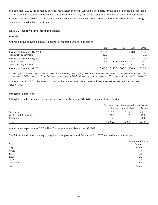In September 2021, the company entered into a letter of intent (LOI) with a third party for the sale of certain facilities, land and equipment related to a data center facility located in Eagan, Minnesota. Upon the execution of the LOI, these assets were classified as held-for-sale in the company's consolidated balance sheet and measured at the lower of their carrying amount or fair value less cost to sell.

## **Note 15 – Goodwill and intangible assets**

Goodwill

Changes in the carrying amount of goodwill by reporting unit were as follows:

|                                                                                        | Total                 | <b>DWS</b>                               | C&I            | ECS                              | Other           |
|----------------------------------------------------------------------------------------|-----------------------|------------------------------------------|----------------|----------------------------------|-----------------|
| Balance at December 31, 2019<br>Translation adjustments                                | S110.4<br>(1.8)       |                                          |                | <b>\$98.3</b>                    | \$12.1<br>(1.8) |
| Balance at December 31, 2020<br>Acquisitions <sup>(i)</sup><br>Translation adjustments | 108.6<br>206.3<br>0.1 | $\overline{\phantom{m}}$<br>140.8<br>0.1 | -<br>65.5<br>— | 98.3<br>$\overline{\phantom{m}}$ | 10.3            |
| Balance at December 31, 2021                                                           | \$315.0               | \$140.9                                  | \$65.5         | \$98.3                           | \$10.3          |

(i) During 2021, the company acquired Unify Square and Mobinergy resulting in goodwill of \$132.9 million and \$7.9 million, respectively, recorded in the company's DWS segment and CompuGain resulting in goodwill of \$65.5 million recorded in the company's C&I segment. See Note 4, "Acquisitions."

At December 31, 2021, the amount of goodwill allocated to reporting units with negative net assets within Other was \$10.3 million.

#### Intangible Assets, Net

Intangible assets, net (see Note 4, "Acquisitions") at December 31, 2021 consists of the following:

|                               | Gross Carrying Accumulated Net Carrying<br>Amount | Amortization             | Amount |
|-------------------------------|---------------------------------------------------|--------------------------|--------|
| Technology                    | \$10.0                                            | <b>S1.8</b>              | \$8.2  |
| <b>Customer Relationships</b> | 27.0                                              | 1.2                      | 25.8   |
| Marketing                     | 0.9                                               | $\overline{\phantom{0}}$ | 0.9    |
| Total                         | \$37.9                                            | \$3.0                    | \$34.9 |

Amortization expense was \$3.0 million for the year ended December 31, 2021.

The future amortization relating to acquired intangible assets at December 31, 2021 was estimated as follows:

| Year       | <b>Future Amortization</b><br>Expense |
|------------|---------------------------------------|
| 2022       | \$8.3                                 |
| 2023       | 7.9                                   |
| 2024       | 5.4                                   |
| 2025       | 2.6                                   |
| 2026       | 2.3                                   |
| Thereafter | 8.4                                   |
| Total      | \$34.9                                |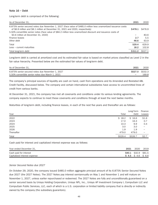## **Note 16 – Debt**

Long-term debt is comprised of the following:

| As of December 31,                                                                                                                                                                                 | 2021    | 2020    |
|----------------------------------------------------------------------------------------------------------------------------------------------------------------------------------------------------|---------|---------|
| 6.875% senior secured notes due November 1, 2027 (Face value of \$485.0 million less unamortized issuance costs<br>of \$6.9 million and \$8.1 million at December 31, 2021 and 2020, respectively) | \$478.1 | \$476.9 |
| 5.50% convertible senior notes (Face value of \$84.2 million less unamortized discount and issuance costs of<br>\$0.6 million at December 31, 2020)                                                | -       | 83.6    |
| Finance leases                                                                                                                                                                                     | 2.7     | 5.5     |
| Other debt                                                                                                                                                                                         | 48.6    | 63.9    |
| Total                                                                                                                                                                                              | 529.4   | 629.9   |
| $\text{Less}$ – current maturities                                                                                                                                                                 | 18.2    | 102.8   |
| Total long-term debt                                                                                                                                                                               | \$511.2 | \$527.1 |

Long-term debt is carried at amortized cost and its estimated fair value is based on market prices classified as Level 2 in the fair value hierarchy. Presented below are the estimated fair values of long-term debt.

| As of December 31,                               | 2021 | 2020            |
|--------------------------------------------------|------|-----------------|
| 6.875% senior secured notes due November 1, 2027 |      | \$527.0 \$532.3 |
| 5.50% convertible senior notes due March 1, 2021 | -    | 169.8           |

The company's principal sources of liquidity are cash on hand, cash from operations and its Amended and Restated ABL Credit Facility, discussed below. The company and certain international subsidiaries have access to uncommitted lines of credit from various banks.

At December 31, 2021, the company has met all covenants and conditions under its various lending agreements. The company expects to continue to meet these covenants and conditions through at least the next twelve months.

Maturities of long-term debt, including finance leases, in each of the next five years and thereafter are as follows:

| Year       | Total   | Long-Term<br>Debt | Finance<br>Leases        |
|------------|---------|-------------------|--------------------------|
| 2022       | \$18.2  | \$16.6            | \$1.6                    |
| 2023       | 17.0    | 16.3              | 0.7                      |
| 2024       | 10.3    | 9.9               | 0.4                      |
| 2025       | 3.0     | 3.0               | $\overline{\phantom{m}}$ |
| 2026       | 1.9     | 1.9               |                          |
| Thereafter | 479.0   | 479.0             | $\qquad \qquad -$        |
| Total      | \$529.4 | \$526.7           | \$2.7                    |

Cash paid for interest and capitalized interest expense was as follows:

| Year ended December 31,      | 2021 | 2020                 | 2019 |
|------------------------------|------|----------------------|------|
| Cash paid for interest       |      | \$40.1 \$32.9 \$61.5 |      |
| Capitalized interest expense |      | $$4.5 \t$4.6 \t$6.6$ |      |

#### *Senior Secured Notes due 2027*

On October 29, 2020, the company issued \$485.0 million aggregate principal amount of its 6.875% Senior Secured Notes due 2027 (the 2027 Notes). The 2027 Notes pay interest semiannually on May 1 and November 1 and will mature on November 1, 2027, unless earlier repurchased or redeemed. The 2027 Notes are fully and unconditionally guaranteed on a senior secured basis by Unisys Holding Corporation, Unisys NPL, Inc., Unisys AP Investment Company I, CompuGain LLC and CompuGain Public Services, LLC, each of which is a U.S. corporation or limited liability company that is directly or indirectly owned by the company (the subsidiary guarantors).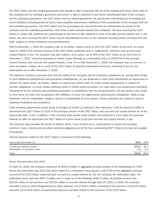The 2027 Notes and the related guarantees rank equally in right of payment with all of the existing and future senior debt of the company and its subsidiary guarantors and senior in right of payment to any future subordinated debt of the company and its subsidiary guarantors. The 2027 Notes and the related guarantees are structurally subordinated to all existing and future liabilities (including preferred stock, trade payables and pension liabilities) of the subsidiaries of the company that are not subsidiary guarantors. The 2027 Notes and the guarantees are secured by liens on substantially all assets of the company and the subsidiary guarantors, other than certain excluded assets (the collateral). The liens securing the 2027 Notes on certain ABL collateral are subordinated to the liens on ABL collateral in favor of the ABL secured parties and, in the future, the liens securing the 2027 Notes may be subordinated to liens on the collateral securing certain permitted first lien debt, subject to certain limitations and permitted liens.

Prior to November 1, 2023 the company may, at its option, redeem some or all of the 2027 Notes at any time, at a price equal to 100% of the principal amount of the 2027 Notes redeemed plus a "make-whole" premium, plus accrued and unpaid interest, if any. The company may also redeem, at its option, up to 40% of the 2027 Notes at any time prior to November 1, 2023, using the proceeds of certain equity offerings at a redemption price of 106.875% of the principal amount thereof, plus accrued and unpaid interest, if any. On or after November 1, 2023, the company may, on any one or more occasions, redeem all or a part of the 2027 Notes at specified redemption premiums, declining to par for any redemptions on or after November 1, 2025.

The indenture contains covenants that limit the ability of the company and its restricted subsidiaries to, among other things: (i) incur additional indebtedness and guarantee indebtedness; (ii) pay dividends or make other distributions or repurchase or redeem its capital stock; (iii) prepay, redeem or repurchase certain debt; (iv) make certain prepayments in respect of pension obligations; (v) issue certain preferred stock or similar equity securities; (vi) make loans and investments (including investments by the company and subsidiary guarantors in subsidiaries that are not guarantors); (vii) sell assets; (viii) create or incur liens; (ix) enter into transactions with affiliates; (x) enter into agreements restricting its subsidiaries' ability to pay dividends; and (xi) consolidate, merge or sell all or substantially all of its assets. These covenants are subject to several important limitations and exceptions.

If the company experiences certain kinds of changes of control (as defined in the indenture), it will be required to offer to repurchase the 2027 Notes at 101% of the principal amount of the 2027 Notes, plus accrued and unpaid interest as of the repurchase date, if any. In addition, if the company sells assets under certain circumstances it must apply the proceeds towards an offer to repurchase the 2027 Notes at a price equal to par plus accrued and unpaid interest, if any.

The indenture also provides for events of default, which, if any of them occur, would permit or require the principal, premium, if any, interest and any other monetary obligations on all the then outstanding 2027 Notes to be due and payable immediately.

Interest expense related to the 2027 Notes is comprised of the following:

| Year ended December 31,        |                | 2021 2020 |
|--------------------------------|----------------|-----------|
| Contractual interest coupon    | $$33.3$ $$5.7$ |           |
| Amortization of issuance costs | 1.2            | 0.2       |
| Total                          | \$34.5         | \$5.9     |

## *Senior Secured Notes due 2022*

On April 15, 2020, the company redeemed all \$440.0 million in aggregate principal amount of its outstanding 10.750% Senior Secured Notes due 2022 (the 2022 Notes) for a redemption price equal to 105.375% of the aggregate principal amount of the 2022 Notes redeemed plus accrued but unpaid interest to, but not including, the redemption date. The redemption price paid was \$487.3 million and is made up of the following: \$440.0 million of principal amount due, \$23.65 million of call premium and \$23.65 million of accrued interest through April 14, 2020. In 2020, the company recorded a loss on debt extinguishment in other expense, net of \$28.5 million consisting of the premium of \$23.65 million and write off of \$4.8 million of unamortized discount and fees related to the issuance of the 2022 Notes.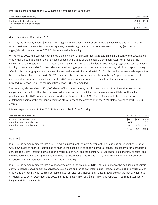Interest expense related to the 2022 Notes is comprised of the following:

| Year ended December 31,        | 2020          | 2019         |
|--------------------------------|---------------|--------------|
| Contractual interest coupon    | \$13.8 \$47.3 |              |
| Amortization of issuance costs |               | 2.4          |
| Total                          | S14.5         | <b>S49.7</b> |

## *Convertible Senior Notes Due 2021*

In 2016, the company issued \$213.5 million aggregate principal amount of Convertible Senior Notes due 2021 (the 2021 Notes). Following the completion of the separate, privately negotiated exchange agreements in 2019, \$84.2 million aggregate principal amount of 2021 Notes remained outstanding.

On March 3, 2021, the company completed the conversion of \$84.2 million aggregate principal amount of the 2021 Notes that remained outstanding for a combination of cash and shares of the company's common stock. As a result of the conversion of the outstanding 2021 Notes, the company delivered to the holders of such notes (i) aggregate cash payments totaling approximately \$86.5 million, which included an aggregate cash payment for outstanding principal of approximately \$84.2 million, an aggregate cash payment for accrued interest of approximately \$2.3 million and a nominal cash payment in lieu of fractional shares, and (ii) 4,537,123 shares of the company's common stock in the aggregate. The issuance of the common stock was made in exchange for the 2021 Notes pursuant to an exemption from the registration requirements provided by Section 3(a)(9) of the Securities Act of 1933, as amended.

The company also received 1,251,460 shares of its common stock, held in treasury stock, from the settlement of the capped call transactions that the company had entered into with the initial purchasers and/or affiliates of the initial purchasers of the 2021 Notes in connection with the issuance of the 2021 Notes. As a result, the net number of outstanding shares of the company's common stock following the conversion of the 2021 Notes increased by 3,285,663 shares.

Interest expense related to the 2021 Notes is comprised of the following:

| Year ended December 31,             | 2021 | 2020                 | 2019   |
|-------------------------------------|------|----------------------|--------|
| Contractual interest coupon         |      | $$0.8$ $$4.6$ $$8.9$ |        |
| Amortization of debt discount       | 0.5  | 3.1                  | 5.5    |
| Amortization of debt issuance costs | 0.1  | 0.5                  | 0.9    |
| Total                               | S1.4 | S8.2                 | \$15.3 |

#### *Other Debt*

In 2019, the company entered into a \$27.7 million Installment Payment Agreement (IPA) maturing on December 20, 2023 with a syndicate of financial institutions to finance the acquisition of certain software licenses necessary for the provision of services to a client. Interest accrues at an annual rate of 7.0% and the company is required to make monthly principal and interest payments on each agreement in arrears. At December 31, 2021 and 2020, \$5.5 million and \$6.5 million, was reported in current maturities of long-term debt, respectively.

In 2019, the company entered into a vendor agreement in the amount of \$19.3 million to finance the acquisition of certain software licenses used to provide services to our clients and for its own internal use. Interest accrues at an annual rate of 5.47% and the company is required to make annual principal and interest payments in advance with the last payment due on March 1, 2024. At December 31, 2021 and 2020, \$3.8 million and \$3.6 million was reported in current maturities of long-term debt, respectively.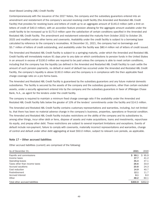#### *Asset Based Lending (ABL) Credit Facility*

Contemporaneously with the issuance of the 2027 Notes, the company and the subsidiary guarantors entered into an amendment and restatement of the company's secured revolving credit facility (the Amended and Restated ABL Credit Facility) that provides for revolving loans and letters of credit up to an aggregate amount of \$145.0 million (with a limit on letters of credit of \$40.0 million), with an accordion feature provision allowing for the aggregate amount available under the credit facility to be increased up to \$175.0 million upon the satisfaction of certain conditions specified in the Amended and Restated ABL Credit Facility. The amendment and restatement extended the maturity from October 2022 to October 29, 2025 and modified certain other terms and covenants. Availability under the credit facility is subject to a borrowing base calculated by reference to the company's receivables. At December 31, 2021, the company had no borrowings and \$5.7 million of letters of credit outstanding, and availability under the facility was \$80.4 million net of letters of credit issued.

The Amended and Restated ABL Credit Facility is subject to a springing maturity, under which the Amended and Restated ABL Credit Facility will immediately mature 91 days prior to any date on which contributions to pension funds in the United States in an amount in excess of \$100.0 million are required to be paid unless the company is able to meet certain conditions, including that the company has the liquidity (as defined in the Amended and Restarted ABL Credit Facility) to cash settle the amount of such pension payments, no default or event of default has occurred under the Amended and Restated ABL Credit Facility, the company's liquidity is above \$130.0 million and the company is in compliance with the then applicable fixed charge coverage ratio on a pro forma basis.

The Amended and Restated ABL Credit Facility is guaranteed by the subsidiary guarantors and any future material domestic subsidiaries. The facility is secured by the assets of the company and the subsidiary guarantors, other than certain excluded assets, under a security agreement entered into by the company and the subsidiary guarantors in favor of JPMorgan Chase Bank, N.A., as agent for the lenders under the credit facility.

The company is required to maintain a minimum fixed charge coverage ratio if the availability under the Amended and Restated ABL Credit Facility falls below the greater of 10% of the lenders' commitments under the facility and \$14.5 million.

The Amended and Restated ABL Credit Facility contains customary representations and warranties, including, but not limited to, that there has been no material adverse change in the company's business, properties, operations or financial condition. The Amended and Restated ABL Credit Facility includes restrictions on the ability of the company and its subsidiaries to, among other things, incur other debt or liens, dispose of assets and make acquisitions, loans and investments, repurchase its equity, and prepay other debt. These restrictions are subject to several important limitations and exceptions. Events of default include non-payment, failure to comply with covenants, materially incorrect representations and warranties, change of control and default under other debt aggregating at least \$50.0 million, subject to relevant cure periods, as applicable.

#### **Note 17 – Other accrued liabilities**

Other accrued liabilities (current) are comprised of the following:

| As of December 31,              | 2021    | 2020    |
|---------------------------------|---------|---------|
| Payrolls and commissions        | \$99.1  | \$95.9  |
| Income taxes                    | 37.7    | 41.2    |
| Operating leases                | 35.4    | 37.1    |
| Taxes other than income taxes   | 26.6    | 33.0    |
| Accrued vacations               | 20.8    | 24.3    |
| Cost reduction                  | 14.9    | 40.7    |
| Postretirement                  | 12.1    | 11.7    |
| Accrued interest                | 6.1     | 8.0     |
| Other                           | 48.2    | 60.1    |
| Total other accrued liabilities | \$300.9 | \$352.0 |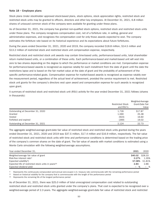## **Note 18 – Employee plans**

Stock plans Under stockholder approved stock-based plans, stock options, stock appreciation rights, restricted stock and restricted stock units may be granted to officers, directors and other key employees. At December 31, 2021, 6.8 million shares of unissued common stock of the company were available for granting under these plans.

As of December 31, 2021, the company has granted non-qualified stock options, restricted stock and restricted stock units under these plans. The company recognizes compensation cost, net of a forfeiture rate, in selling, general and administrative expenses, and recognizes the compensation cost for only those awards expected to vest. The company estimates the forfeiture rate based on its historical experience and its expectations about future forfeitures.

During the years ended December 31, 2021, 2020 and 2019, the company recorded \$18.8 million, \$14.5 million and \$13.2 million of restricted stock and restricted stock unit compensation expense, respectively.

Restricted stock and restricted stock unit awards may contain time-based units, performance-based units, total shareholder return market-based units, or a combination of these units. Each performance-based and market-based unit will vest into zero to two shares depending on the degree to which the performance or market conditions are met. Compensation expense for performance-based awards is recognized as expense ratably for each installment from the date of grant until the date the restrictions lapse and is based on the fair market value at the date of grant and the probability of achievement of the specific performance-related goals. Compensation expense for market-based awards is recognized as expense ratably over the measurement period, regardless of the actual level of achievement, provided the service requirement is met. Restricted stock unit grants for the company's directors vest upon award and compensation expense for such awards is recognized upon grant.

A summary of restricted stock and restricted stock unit (RSU) activity for the year ended December 31, 2021 follows (shares in thousands):

|                                  | <b>Restricted Stock</b><br>and RSU's | Weighted-Average<br>Grant-Date Fair<br>Value |
|----------------------------------|--------------------------------------|----------------------------------------------|
| Outstanding at December 31, 2020 | 1,726                                | \$17.87                                      |
| Granted                          | 1,590                                | 25.38                                        |
| Vested                           | (923)                                | 16.60                                        |
| Forfeited and expired            | (269)                                | 19.02                                        |
| Outstanding at December 31, 2021 | 2.124                                | 22.73                                        |

The aggregate weighted-average grant-date fair value of restricted stock and restricted stock units granted during the years ended December 31, 2021, 2020 and 2019 was \$37.5 million, \$17.4 million and \$16.9 million, respectively. The fair value of restricted stock and restricted stock units with time and performance conditions is determined based on the trading price of the company's common shares on the date of grant. The fair value of awards with market conditions is estimated using a Monte Carlo simulation with the following weighted-average assumptions.

| Year ended December 31,                                           | 2021    | 2020          |
|-------------------------------------------------------------------|---------|---------------|
| Weighted-average fair value of grant                              | \$40.02 | \$28.33       |
| Risk-free interest rate <sup>(i)</sup>                            | 0.27%   | 1.35%         |
| Expected volatility(ii)                                           |         | 57.08% 51.81% |
| Expected life of restricted stock units in years <sup>(iii)</sup> | 2.84    | 2.86          |
| Expected dividend yield                                           | $-$ %   | $-$ %         |

<sup>(i)</sup> Represents the continuously compounded semi-annual zero-coupon U.S. treasury rate commensurate with the remaining performance period

(ii) Based on historical volatility for the company that is commensurate with the length of the performance period

(iii) Represents the remaining life of the longest performance period

As of December 31, 2021, there was \$25.0 million of total unrecognized compensation cost related to outstanding restricted stock and restricted stock units granted under the company's plans. That cost is expected to be recognized over a weighted-average period of 2.3 years. The aggregate weighted-average grant-date fair value of restricted stock and restricted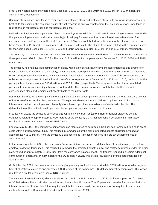stock units vested during the years ended December 31, 2021, 2020 and 2019 was \$15.3 million, \$13.0 million and \$14.9 million, respectively.

Common stock issued upon lapse of restrictions on restricted stock and restricted stock units are newly issued shares. In light of its tax position, the company is currently not recognizing any tax benefits from the issuance of stock upon lapse of restrictions on restricted stock and restricted stock units.

Defined contribution and compensation plans U.S. employees are eligible to participate in an employee savings plan. Under this plan, employees may contribute a percentage of their pay for investment in various investment alternatives. The company matches 50 percent of the first 6 percent of eligible pay contributed by participants to the plan on a before-tax basis (subject to IRS limits). The company funds the match with cash. The charge to income related to the company match for the years ended December 31, 2021, 2020 and 2019, was \$7.5 million, \$8.8 million and \$8.2 million, respectively.

The company has defined contribution plans in certain locations outside the United States. The charge to income related to these plans was \$16.4 million, \$16.2 million and \$19.3 million, for the years ended December 31, 2021, 2020 and 2019, respectively.

The company has non-qualified compensation plans, which allow certain highly compensated employees and directors to defer the receipt of a portion of their salary, bonus and fees. Participants can earn a return on their deferred balance that is based on hypothetical investments in various investment vehicles. Changes in the market value of these investments are reflected as an adjustment to the liability with an offset to expense. As of December 31, 2021 and 2020, the liability to the participants of these plans was \$10.6 million and \$12.7 million, respectively. These amounts reflect the accumulated participant deferrals and earnings thereon as of that date. The company makes no contributions to the deferred compensation plans and remains contingently liable to the participants.

Retirement benefits For the company's more significant defined benefit pension plans, including the U.S. and U.K., accrual of future benefits under the plans has ceased. Management develops the actuarial assumptions used by its U.S. and international defined benefit pension plan obligations based upon the circumstances of each particular plan. The determination of the defined benefit pension plan obligations requires the use of estimates.

In January of 2021, the company purchased a group annuity contract for \$279 million to transfer projected benefit obligations related to approximately 11,600 retirees of the company's U.S. defined benefit pension plans. This action resulted in a pre-tax settlement loss of \$158.0 million.

Effective May 1, 2021, the company's primary pension plan related to its Dutch subsidiary was transferred to a multi-client circle within a multi-employer fund. This resulted in removing all of the plan's projected benefit obligations, valued at approximately \$553 million, from the company's balance sheet. This action resulted in a pre-tax settlement loss of \$182.5 million.

In the second quarter of 2021, the company's Swiss subsidiary transferred its defined benefit pension plan to a multipleemployer collective foundation. This resulted in removing the projected benefit obligations related to retirees under the Swiss plan, valued at approximately \$100 million, from the company's balance sheet. The transfer required a one-time additional contribution of approximately \$10 million to the Swiss plan in 2021. This action resulted in a pre-tax settlement loss of \$28.8 million.

On October 14, 2021, the company purchased a group annuity contract for approximately \$235 million to transfer projected benefit obligations related to approximately 6,900 retirees of the company's U.S. defined benefit pension plans. This action resulted in a pre-tax settlement loss of \$130.1 million.

The American Rescue Plan Act, which was signed into law in the U.S. on March 11, 2021, includes a provision for pension relief that extends the amortization period for required contributions from 7 to 15 years and provides for the stabilization of interest rates used to calculate future required contributions. As a result, the company was not required to make cash contributions to its U.S. qualified defined benefit pension plans in 2021.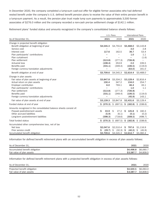In December 2020, the company completed a lump-sum cash-out offer for eligible former associates who had deferred vested benefit under the company's U.S. defined benefit pension plans to receive the value of their entire pension benefit in a lump-sum payment. As a result, the pension plan trust made lump sum payments to approximately 3,500 former associates of \$276.0 million and the company recorded a non-cash pre-tax settlement charge of \$142.1 million.

Retirement plans' funded status and amounts recognized in the company's consolidated balance sheets follows:

|                                                                                                                                                                         | U.S. Plans                     |                                | <b>International Plans</b>                                                    |                                 |  |
|-------------------------------------------------------------------------------------------------------------------------------------------------------------------------|--------------------------------|--------------------------------|-------------------------------------------------------------------------------|---------------------------------|--|
| As of December 31,                                                                                                                                                      | 2021                           | 2020                           | 2021                                                                          | 2020                            |  |
| Change in projected benefit obligation                                                                                                                                  |                                |                                |                                                                               |                                 |  |
| Benefit obligation at beginning of year                                                                                                                                 | \$4,545.3                      | \$4,755.6                      | \$3,468.0                                                                     | \$3,143.8                       |  |
| Service cost                                                                                                                                                            |                                |                                | 3.0                                                                           | 2.8                             |  |
| Interest cost                                                                                                                                                           | 117.6                          | 162.5                          | 36.7                                                                          | 53.4                            |  |
| Plan participants' contributions<br>Plan curtailment                                                                                                                    | $\overline{\phantom{0}}$       | $\overline{\phantom{0}}$       | 1.0<br>$\overline{\phantom{0}}$                                               | 1.1                             |  |
| Plan settlement                                                                                                                                                         | (513.8)                        | (277.3)                        | (726.8)                                                                       | (1.6)                           |  |
| <b>Actuarial loss</b>                                                                                                                                                   | (108.4)                        | 253.9                          | 2.0                                                                           | 226.5                           |  |
| Benefits paid                                                                                                                                                           | (331.1)                        | (349.4)                        | (106.5)                                                                       | (119.0)                         |  |
| Foreign currency translation adjustments                                                                                                                                |                                |                                | (63.0)                                                                        | 161.0                           |  |
| Benefit obligation at end of year                                                                                                                                       | \$3,709.6                      | \$4,545.3                      | \$2,614.4                                                                     | \$3,468.0                       |  |
| Change in plan assets                                                                                                                                                   |                                |                                |                                                                               |                                 |  |
| Fair value of plan assets at beginning of year                                                                                                                          | \$3,847.8                      | \$3,334.2                      | \$3,129.4                                                                     | \$2,816.4                       |  |
| Actual return on plan assets                                                                                                                                            | 130.4                          | 347.2                          | 134.0                                                                         | 254.7                           |  |
| Employer contribution                                                                                                                                                   | 6.0                            | 793.1                          | 46.4                                                                          | 33.1                            |  |
| Plan participants' contributions                                                                                                                                        |                                |                                | 1.0                                                                           | 1.1                             |  |
| Plan settlement                                                                                                                                                         | (513.8)                        | (277.3)                        | (726.8)                                                                       | $\overline{\phantom{0}}$        |  |
| Benefits paid                                                                                                                                                           | (331.1)                        | (349.4)                        | (106.5)                                                                       | (119.0)                         |  |
| Foreign currency translation adjustments                                                                                                                                | -                              |                                | (45.9)                                                                        | 143.1                           |  |
| Fair value of plan assets at end of year                                                                                                                                | \$3,139.3                      | \$3,847.8                      | \$2,431.6                                                                     | \$3,129.4                       |  |
| Funded status at end of year                                                                                                                                            |                                | $$$ (570.3) $$$ (697.5)        | \$ (182.8)                                                                    | \$ (338.6)                      |  |
| Amounts recognized in the consolidated balance sheets consist of:<br>Prepaid postretirement assets<br>Other accrued liabilities<br>Long-term postretirement liabilities | Ś.<br>33.9<br>(5.9)<br>(598.3) | -Ŝ<br>27.2<br>(6.1)<br>(718.6) | Ŝ.<br>125.8<br>(0.1)<br>(308.5)                                               | Ŝ.<br>160.3<br>(0.2)<br>(498.7) |  |
| Total funded status                                                                                                                                                     |                                |                                | $$$ (570.3) $$$ (697.5) $$$ (182.8) $$$                                       | (338.6)                         |  |
| Accumulated other comprehensive loss, net of tax<br>Net loss<br>Prior service credit                                                                                    | \$2,047.6<br>(29.7)<br>S.      | \$2,510.4                      | 797.6<br>S.<br>$\frac{1}{2}$ (32.3) $\frac{1}{2}$ (40.2) $\frac{1}{2}$ (45.9) | \$1,116.9                       |  |
| Accumulated benefit obligation                                                                                                                                          | \$3,709.6                      | \$4,545.3                      | \$2,612.7                                                                     | \$3,360.4                       |  |

Information for defined benefit retirement plans with an accumulated benefit obligation in excess of plan assets follows:

| As of December 31.             | 2021                | 2020 |
|--------------------------------|---------------------|------|
| Accumulated benefit obligation | \$4,498.8 \$6,060.7 |      |
| Fair value of plan assets      | \$3,587.7 \$4,839.5 |      |

Information for defined benefit retirement plans with a projected benefit obligation in excess of plan assets follows:

| As of December 31,           | 2021      | 2020                |
|------------------------------|-----------|---------------------|
| Projected benefit obligation |           | \$4,500.5 \$6,063.0 |
| Fair value of plan assets    | \$3,587.7 | S4.839.5            |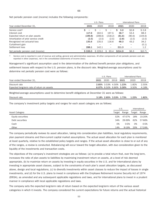Net periodic pension cost (income) includes the following components:

|                                      | U.S. Plans                    |         |            |          | <b>International Plans</b> |         |
|--------------------------------------|-------------------------------|---------|------------|----------|----------------------------|---------|
| Year ended December 31,              | 2021                          | 2020    | 2019       | 2021     | 2020                       | 2019    |
| Service cost <sup>(i)</sup>          | S<br>$\overline{\phantom{0}}$ | -       |            | S<br>3.0 | \$2.8                      | \$2.8   |
| Interest cost                        | 117.6                         | 162.5   | 197.5      | 36.7     | 53.4                       | 68.3    |
| Expected return on plan assets       | (199.8)                       | (208.6) | (218.2)    | (81.6)   | (90.6)                     | (104.6) |
| Amortization of prior service credit | (2.5)                         | (2.5)   | (2.5)      | (2.8)    | (2.5)                      | (2.5)   |
| Recognized net actuarial loss        | 135.6                         | 135.5   | 116.6      | 48.3     | 43.2                       | 34.2    |
| Curtailment gain                     |                               |         |            |          |                            | (0.1)   |
| Settlement loss                      | 288.1                         | 142.1   | -          | 211.3    |                            | 1.2     |
| Net periodic pension cost (income)   | S 339.0                       | \$229.0 | S.<br>93.4 | \$214.9  | \$6.3                      | \$(0.7) |

Service cost is reported in cost of revenue and selling, general and administrative expenses. All other components of net periodic pension cost are reported in other (expense), net in the consolidated statements of income (loss).

Management's significant assumption used in the determination of the defined benefit pension plan obligations, and settlement losses with respect to the U.S. pension plans, is the discount rate. Weighted-average assumptions used to determine net periodic pension cost were as follows:

|                                             |      | U.S. Plans |                |                         | International Plans |       |  |
|---------------------------------------------|------|------------|----------------|-------------------------|---------------------|-------|--|
| Year ended December 31,                     | 2021 |            | 2020 2019 2021 |                         | 2020                | 2019  |  |
| Discount rate                               |      |            |                | 2.85% 3.53% 4.50% 1.23% | 1.82%               | 2.55% |  |
| Expected long-term rate of return on assets |      |            |                | 6.07% 6.50% 6.80% 3.30% | 3.50%               | 4.18% |  |

Weighted-average assumptions used to determine benefit obligations at December 31 were as follows:

| Discount rate | ⊥.73%<br>3.53%<br>$2.85\%$<br>3.18% | 3%. 1.23<br>⊥.82% |
|---------------|-------------------------------------|-------------------|
|               |                                     |                   |

The company's investment policy targets and ranges for each asset category are as follows:

|                       |        | U.S.     |        | International |  |
|-----------------------|--------|----------|--------|---------------|--|
| <b>Asset Category</b> | Target | Range    | Target | Range         |  |
| Equity securities     | 52%    | 47-57%   | 18%    | 15-20%        |  |
| Debt securities       | 34%    | 29-39%   | 62%    | 57-66%        |  |
| Cash                  | 0%     | $0 - 5%$ | 0%     | 0-5%          |  |
| Other                 | 14%    | 9-19%    | 20%    | 17-24%        |  |

The company periodically reviews its asset allocation, taking into consideration plan liabilities, local regulatory requirements, plan payment streams and then-current capital market assumptions. The actual asset allocation for each plan is monitored at least quarterly, relative to the established policy targets and ranges. If the actual asset allocation is close to or out of any of the ranges, a review is conducted. Rebalancing will occur toward the target allocation, with due consideration given to the liquidity of the investments and transaction costs.

The objectives of the company's investment strategies are as follows: (a) to provide a total return that, over the long term, increases the ratio of plan assets to liabilities by maximizing investment return on assets, at a level of risk deemed appropriate, (b) to maximize return on assets by investing in equity securities in the U.S. and for international plans by investing in appropriate asset classes, subject to the constraints of each plan's asset allocation targets, as discussed above, design and local regulations, (c) to diversify investments within asset classes to reduce the impact of losses in single investments, and (d) for the U.S. plans to invest in compliance with the Employee Retirement Income Security Act of 1974 (ERISA), as amended and any subsequent applicable regulations and laws, and for international plans to invest in a prudent manner in compliance with local applicable regulations and laws.

The company sets the expected long-term rate of return based on the expected long-term return of the various asset categories in which it invests. The company considered the current expectations for future returns and the actual historical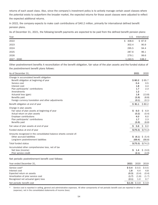returns of each asset class. Also, since the company's investment policy is to actively manage certain asset classes where the potential exists to outperform the broader market, the expected returns for those asset classes were adjusted to reflect the expected additional returns.

In 2022, the company expects to make cash contributions of \$40.2 million, primarily for international defined benefit pension plans.

As of December 31, 2021, the following benefit payments are expected to be paid from the defined benefit pension plans:

| Year        | U.S.    | International |
|-------------|---------|---------------|
| 2022        | \$308.6 | \$87.9        |
| 2023        | 302.4   | 90.9          |
| 2024        | 295.5   | 94.4          |
| 2025        | 287.6   | 96.1          |
| 2026        | 279.1   | 99.6          |
| 2027 - 2030 | 1,240.5 | 538.2         |

Other postretirement benefits A reconciliation of the benefit obligation, fair value of the plan assets and the funded status of the postretirement benefit plans follows:

| As of December 31,                                                | 2021      | 2020                  |
|-------------------------------------------------------------------|-----------|-----------------------|
| Change in accumulated benefit obligation                          |           |                       |
| Benefit obligation at beginning of year                           | \$80.2    | \$95.7                |
| Service cost                                                      | 0.4       | 0.5                   |
| Interest cost                                                     | 1.8       | 4.4                   |
| Plan participants' contributions                                  | 1.7       | 2.3                   |
| Amendments                                                        | 1.2       |                       |
| Actuarial loss (gain)                                             | 1.8       | (13.8)                |
| Benefits paid                                                     | (5.9)     | (8.8)                 |
| Foreign currency translation and other adjustments                | (0.1)     | (0.1)                 |
| Benefit obligation at end of year                                 | \$3.1     | \$80.2                |
| Change in plan assets                                             |           |                       |
| Fair value of plan assets at beginning of year                    | Ś.<br>6.0 | Ŝ<br>6.9              |
| Actual return on plan assets                                      | (0.2)     | (0.4)                 |
| <b>Employer contributions</b>                                     | 4.0       | 6.0                   |
| Plan participants' contributions                                  | 1.7       | 2.3                   |
| Benefits paid                                                     | (5.9)     | (8.8)                 |
| Fair value of plan assets at end of year                          | \$5.6     | \$<br>6.0             |
| Funded status at end of year                                      |           | $$$ (75.5) $$$ (74.2) |
| Amounts recognized in the consolidated balance sheets consist of: |           |                       |
| Other accrued liabilities                                         |           | \$ (6.1) \$ (5.4)     |
| Long-term postretirement liabilities                              | (69.4)    | (68.8)                |
| Total funded status                                               |           | $$$ (75.5) $$$ (74.2) |
| Accumulated other comprehensive loss, net of tax                  |           |                       |
| Net loss (income)                                                 | Ŝ.<br>1.4 | \$<br>(3.0)           |
| Prior service credit                                              | (2.1)     | (4.9)                 |

#### Net periodic postretirement benefit cost follows:

| Year ended December 31,              | 2021  | 2020                   | 2019  |
|--------------------------------------|-------|------------------------|-------|
| Service cost <sup>(i)</sup>          |       | $$0.4$ \$0.5 \$0.5     |       |
| Interest cost                        | 1.8   | 4.4                    | 4.8   |
| Expected return on assets            | (0.3) | (0.4)                  | (0.4) |
| Amortization of prior service cost   | (1.7) | (1.6)                  | (1.7) |
| Recognized net actuarial (gain) loss | (2.1) | 1.0                    | 0.7   |
| Net periodic benefit cost            |       | $$(1.9)$ $$3.9$ $$3.9$ |       |

(i) Service cost is reported in selling, general and administrative expenses. All other components of net periodic benefit cost are reported in other (expense), net in the consolidated statements of income (loss).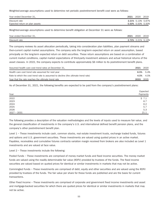Weighted-average assumptions used to determine net periodic postretirement benefit cost were as follows:

| Year ended December 31,        | 2021 | 2020              | 2019 |
|--------------------------------|------|-------------------|------|
| Discount rate                  |      | 2.21% 5.13% 5.67% |      |
| Expected return on plan assets |      | 5.50% 5.50% 5.50% |      |

Weighted-average assumptions used to determine benefit obligation at December 31 were as follows:

| Year ended December 31. | 2021 | 2020              | 2019 |
|-------------------------|------|-------------------|------|
| Discount rate           |      | 2.70% 2.21% 5.13% |      |

The company reviews its asset allocation periodically, taking into consideration plan liabilities, plan payment streams and then-current capital market assumptions. The company sets the long-term expected return on asset assumption, based principally on the long-term expected return on debt securities. These return assumptions are based on a combination of current market conditions, capital market expectations of third-party investment advisors and actual historical returns of the asset classes. In 2022, the company expects to contribute approximately \$6 million to its postretirement benefit plans.

| Assumed health care cost trend rates at December 31,                              | 2021 2020 |           |
|-----------------------------------------------------------------------------------|-----------|-----------|
| Health care cost trend rate assumed for next year                                 |           | 6.5% 5.4% |
| Rate to which the cost trend rate is assumed to decline (the ultimate trend rate) |           | 4.5% 4.5% |
| Year that the rate reaches the ultimate trend rate                                | 2033 2025 |           |

As of December 31, 2021, the following benefits are expected to be paid from the company's postretirement plans:

| Year          | Expected<br>Payments |
|---------------|----------------------|
| 2022          | \$7.1                |
| 2023          | 6.7                  |
| 2024          | 6.2                  |
| 2025<br>2026  | 5.7                  |
|               | 5.3                  |
| $2027 - 2031$ | 21.1                 |

The following provides a description of the valuation methodologies and the levels of inputs used to measure fair value, and the general classification of investments in the company's U.S. and international defined benefit pension plans, and the company's other postretirement benefit plan.

Level 1 – These investments include cash, common stocks, real estate investment trusts, exchange traded funds, futures and options and U.S. government securities. These investments are valued using quoted prices in an active market. Payables, receivables and cumulative futures contracts variation margin received from brokers are also included as Level 1 investments and are valued at face value.

Level 2 – These investments include the following:

Pooled Funds – These investments are comprised of money market funds and fixed income securities. The money market funds are valued using the readily determinable fair value (RDFV) provided by trustees of the funds. The fixed income securities are valued based on quoted prices for identical or similar investments in markets that may not be active.

Commingled Funds – These investments are comprised of debt, equity and other securities and are valued using the RDFV provided by trustees of the funds. The fair value per share for these funds are published and are the basis for current transactions.

Other Fixed Income – These investments are comprised of corporate and government fixed income investments and asset and mortgage-backed securities for which there are quoted prices for identical or similar investments in markets that may not be active.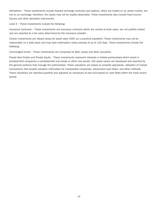Derivatives – These investments include forward exchange contracts and options, which are traded on an active market, but not on an exchange; therefore, the inputs may not be readily observable. These investments also include fixed income futures and other derivative instruments.

Level 3 – These investments include the following:

Insurance Contracts – These investments are insurance contracts which are carried at book value, are not publicly traded and are reported at a fair value determined by the insurance provider.

Certain investments are valued using net asset value (NAV) as a practical expedient. These investments may not be redeemable on a daily basis and may have redemption notice periods of up to 120 days. These investments include the following:

Commingled Funds – These investments are comprised of debt, equity and other securities.

Private Real Estate and Private Equity – These investments represent interests in limited partnerships which invest in privately-held companies or privately-held real estate or other real assets. Net asset values are developed and reported by the general partners that manage the partnerships. These valuations are based on property appraisals, utilization of market transactions that provide valuation information for comparable companies, discounted cash flows, and other methods. These valuations are reported quarterly and adjusted as necessary at year end based on cash flows within the most recent period.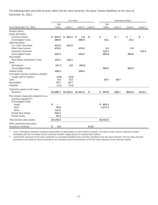The following table sets forth by level, within the fair value hierarchy, the plans' assets (liabilities) at fair value at December 31, 2021.

|                                                                 |    | U.S. Plans |    |            |  |                 |               |  | <b>International Plans</b> |         |            |         |         |
|-----------------------------------------------------------------|----|------------|----|------------|--|-----------------|---------------|--|----------------------------|---------|------------|---------|---------|
|                                                                 |    | Fair       |    |            |  |                 |               |  |                            | Fair    |            |         |         |
| As of December 31, 2021                                         |    | Value      |    | Level 1    |  | Level 2 Level 3 |               |  |                            | Value   | Level 1    | Level 2 | Level 3 |
| Pension plans                                                   |    |            |    |            |  |                 |               |  |                            |         |            |         |         |
| <b>Equity Securities</b>                                        |    |            |    |            |  |                 |               |  |                            |         |            |         |         |
| Common Stocks                                                   |    | \$654.3    | \$ | $652.4$ \$ |  | 1.9             | $\mathsf{S}-$ |  | \$                         |         | $\sin 5 -$ | Ś       | \$      |
| Commingled Funds                                                |    | 398.9      |    |            |  | 398.9           |               |  |                            | 34.1    |            | 34.1    |         |
| <b>Debt Securities</b>                                          |    |            |    |            |  |                 |               |  |                            |         |            |         |         |
| U.S. Govt. Securities                                           |    | 413.2      |    | 413.2      |  |                 |               |  |                            |         |            |         |         |
| Other Fixed Income                                              |    | 479.3      |    |            |  | 479.3           |               |  |                            | 3.0     |            | 3.0     |         |
| Insurance Contracts                                             |    |            |    |            |  |                 |               |  |                            | 110.2   |            |         | 110.2   |
| Commingled Funds                                                |    | 525.2      |    |            |  | 525.2           |               |  |                            | 383.8   |            | 383.8   |         |
| <b>Real Estate</b>                                              |    |            |    |            |  |                 |               |  |                            |         |            |         |         |
| <b>Real Estate Investment Trusts</b>                            |    | 154.1      |    | 154.1      |  |                 |               |  |                            |         |            |         |         |
| Other                                                           |    |            |    |            |  |                 |               |  |                            |         |            |         |         |
| Derivatives <sup>(i)</sup>                                      |    | (53.7)     |    | 5.8        |  | (59.5)          |               |  |                            |         |            |         |         |
| Commingled Funds                                                |    |            |    |            |  |                 |               |  |                            | 390.0   |            | 390.0   |         |
| Pooled Funds                                                    |    | 108.4      |    |            |  | 108.4           |               |  |                            |         |            |         |         |
| Cumulative futures contracts variation                          |    |            |    |            |  |                 |               |  |                            |         |            |         |         |
| margin paid to brokers                                          |    | (5.8)      |    | (5.8)      |  |                 |               |  |                            |         |            |         |         |
| Cash                                                            |    | 0.2        |    | 0.2        |  |                 |               |  |                            | 28.7    | 28.7       |         |         |
| Receivables                                                     |    | 15.7       |    | 15.7       |  |                 |               |  |                            |         |            |         |         |
| Payables                                                        |    | (1.1)      |    | (1.1)      |  |                 |               |  |                            |         |            |         |         |
| Total plan assets in fair value                                 |    |            |    |            |  |                 |               |  |                            |         |            |         |         |
| hierarchy                                                       |    | \$2,688.7  |    | \$1,234.5  |  | \$1,454.2       | $\mathsf{S}-$ |  | \$949.8                    |         | \$28.7     | \$810.9 | \$110.2 |
| Plan assets measured using NAV as a<br>practical expedient(ii): |    |            |    |            |  |                 |               |  |                            |         |            |         |         |
| Commingled Funds                                                |    |            |    |            |  |                 |               |  |                            |         |            |         |         |
| Equity                                                          | Ś. |            |    |            |  |                 |               |  | \$404.5                    |         |            |         |         |
| Debt                                                            |    | 78.6       |    |            |  |                 |               |  |                            | 1,077.3 |            |         |         |
| Other                                                           |    | 112.5      |    |            |  |                 |               |  |                            |         |            |         |         |
| <b>Private Real Estate</b>                                      |    | 234.2      |    |            |  |                 |               |  |                            |         |            |         |         |
| Private Equity                                                  |    | 25.3       |    |            |  |                 |               |  |                            |         |            |         |         |
| Total pension plan assets                                       |    | \$3,139.3  |    |            |  |                 |               |  | \$2,431.6                  |         |            |         |         |
| Other postretirement plans                                      |    |            |    |            |  |                 |               |  |                            |         |            |         |         |
| Insurance Contracts                                             | \$ | 5.6        |    |            |  |                 | \$5.6         |  |                            |         |            |         |         |

(i) Level 1 derivatives represent unrealized appreciation or depreciation on open futures contracts. The value of open futures contracts includes derivatives and the cumulative futures contracts variation margin paid to or received from brokers.

(ii) Investments measured at fair value using NAV as a practical expedient have not been classified in the fair value hierarchy. The fair value amounts presented in this table for these investments are included to permit reconciliation of the fair value hierarchy to the total plan assets.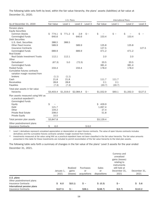The following table sets forth by level, within the fair value hierarchy, the plans' assets (liabilities) at fair value at December 31, 2020.

|                                                                                     |            | U.S. Plans     |           |           |             | <b>International Plans</b> |           |         |  |
|-------------------------------------------------------------------------------------|------------|----------------|-----------|-----------|-------------|----------------------------|-----------|---------|--|
| As of December 31, 2020                                                             | Fair Value | Level 1        | Level 2   | Level 3   | Fair Value  | Level 1                    | Level 2   | Level 3 |  |
| Pension plans                                                                       |            |                |           |           |             |                            |           |         |  |
| <b>Equity Securities</b>                                                            |            |                |           |           |             |                            |           |         |  |
| <b>Common Stocks</b>                                                                | $S$ 774.1  | 771.2 \$<br>Ŝ. | 2.9       | $S -$     | \$          | $$ -$                      | \$        | \$      |  |
| Commingled Funds                                                                    | 640.6      |                | 640.6     |           | 153.4       |                            | 153.4     |         |  |
| <b>Debt Securities</b>                                                              |            |                |           |           |             |                            |           |         |  |
| U.S. Govt. Securities                                                               | 388.5      | 388.5          |           |           |             |                            |           |         |  |
| Other Fixed Income                                                                  | 589.9      |                | 589.9     |           | 125.8       |                            | 125.8     |         |  |
| <b>Insurance Contracts</b>                                                          |            |                |           |           | 127.5       |                            |           | 127.5   |  |
| Commingled Funds                                                                    | 689.9      |                | 689.9     |           | 471.2       |                            | 471.2     |         |  |
| <b>Real Estate</b>                                                                  |            |                |           |           |             |                            |           |         |  |
| <b>Real Estate Investment Trusts</b>                                                | 112.1      | 112.1          |           |           | 2.0         |                            | 2.0       |         |  |
| Other                                                                               |            |                |           |           |             |                            |           |         |  |
| Derivatives <sup>(i)</sup>                                                          | (67.3)     | 5.0            | (72.3)    |           | 20.5        |                            | 20.5      |         |  |
| Commingled Funds                                                                    |            |                |           |           | 381.4       |                            | 381.4     |         |  |
| Pooled Funds                                                                        | 233.4      |                | 233.4     |           | 178.0       |                            | 178.0     |         |  |
| Cumulative futures contracts<br>variation margin received from                      |            |                |           |           |             |                            |           |         |  |
| brokers                                                                             | (1.1)      | (1.1)          |           |           |             |                            |           |         |  |
| Cash                                                                                | 21.8       | 21.8           |           |           | 111.7       | 111.7                      |           |         |  |
| Receivables                                                                         | 28.8       | 28.8           |           |           | 2.1         | 2.1                        |           |         |  |
| Payables                                                                            | (7.3)      | (7.3)          |           |           | (20.7)      | (20.7)                     |           |         |  |
| Total plan assets in fair value                                                     |            |                |           |           |             |                            |           |         |  |
| hierarchy                                                                           | \$3,403.4  | \$1,319.0      | \$2,084.4 | $\zeta -$ | \$1,552.9   | \$93.1                     | \$1,332.3 | \$127.5 |  |
| Plan assets measured using NAV as<br>a practical expedient(ii):<br>Commingled Funds |            |                |           |           |             |                            |           |         |  |
| Equity                                                                              | \$         |                |           |           | Ś.<br>429.9 |                            |           |         |  |
| Debt                                                                                | 121.7      |                |           |           | 1,067.4     |                            |           |         |  |
| Other                                                                               | 104.2      |                |           |           | 27.4        |                            |           |         |  |
| Private Real Estate                                                                 | 208.0      |                |           |           | 51.8        |                            |           |         |  |
| Private Equity                                                                      | 10.5       |                |           |           |             |                            |           |         |  |
| Total pension plan assets                                                           | \$3,847.8  |                |           |           | \$3,129.4   |                            |           |         |  |
| Other postretirement plans<br>Insurance Contracts                                   | \$<br>6.0  |                |           | \$6.0     |             |                            |           |         |  |
|                                                                                     |            |                |           |           |             |                            |           |         |  |

(i) Level 1 derivatives represent unrealized appreciation or depreciation on open futures contracts. The value of open futures contracts includes derivatives and the cumulative futures contracts variation margin received from brokers.

(ii) Investments measured at fair value using NAV as a practical expedient have not been classified in the fair value hierarchy. The fair value amounts presented in this table for these investments are included to permit reconciliation of the fair value hierarchy to the total plan assets.

The following table sets forth a summary of changes in the fair value of the plans' Level 3 assets for the year ended December 31, 2021.

|                                                    | January 1,<br>2021 | Realized<br>gains<br>(losses) | Purchases<br>or<br>acquisitions | Sales<br>or<br>dispositions | Currency and<br>unrealized<br>gains (losses)<br>relating to<br>instruments<br>still held at<br>December 31.<br>2021 | December 31,<br>2021 |
|----------------------------------------------------|--------------------|-------------------------------|---------------------------------|-----------------------------|---------------------------------------------------------------------------------------------------------------------|----------------------|
| U.S. plans<br>Other postretirement plans           |                    |                               |                                 |                             |                                                                                                                     |                      |
| Insurance Contracts<br>International pension plans | \$6.0              | \$(0.1)                       | \$ –                            | \$ (0.3)                    | $S -$                                                                                                               | Ś.<br>5.6            |
| Insurance Contracts                                | \$127.5            | $\mathsf{S}-$                 | \$36.1                          | \$(48.7)                    | \$(4.7)                                                                                                             | \$110.2              |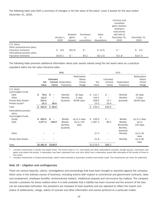The following table sets forth a summary of changes in the fair value of the plans' Level 3 assets for the year ended December 31, 2020.

|                             | January 1,<br>2020 | Realized<br>gains<br>(losses) | Purchases<br>or<br>acquisitions | Sales<br>or<br>dispositions | Currency and<br>unrealized<br>gains (losses)<br>relating to<br>instruments<br>still held at<br>December 31,<br>2020 | December 31,<br>2020 |
|-----------------------------|--------------------|-------------------------------|---------------------------------|-----------------------------|---------------------------------------------------------------------------------------------------------------------|----------------------|
| U.S. plans                  |                    |                               |                                 |                             |                                                                                                                     |                      |
| Other postretirement plans  |                    |                               |                                 |                             |                                                                                                                     |                      |
| Insurance Contracts         | Ŝ.<br>6.9          | \$(0.4)                       | $S-$                            | \$ (0.5)                    | $S -$                                                                                                               | \$<br>6.0            |
| International pension plans |                    |                               |                                 |                             |                                                                                                                     |                      |
| Insurance Contracts         | \$123.1            | $S -$                         | \$4.1                           | \$(11.5)                    | \$11.8                                                                                                              | \$127.5              |

The following table presents additional information about plan assets valued using the net asset value as a practical expedient within the fair value hierarchy table.

|                                                                           |    |                        |                                                            | 2021                                       |                                         |    | 2020                    |                                                 |                                                          |                                                |  |  |
|---------------------------------------------------------------------------|----|------------------------|------------------------------------------------------------|--------------------------------------------|-----------------------------------------|----|-------------------------|-------------------------------------------------|----------------------------------------------------------|------------------------------------------------|--|--|
|                                                                           |    | Fair<br>Value          | Unfunded<br>ments                                          | Commit-Redemption<br>Frequency             | Redemption<br>Notice<br>Period<br>Range |    | Fair<br>Value           | Unfunded<br>Commit-<br>ments                    | Redemption<br>Frequency                                  | Redemption<br><b>Notice</b><br>Period<br>Range |  |  |
| U.S. plans<br>Commingled Funds<br>Debt<br>Other<br>Private Real Estate(i) | Ś  | 78.6<br>112.5<br>234.2 | \$<br>$\overline{\phantom{m}}$<br>$\overline{\phantom{0}}$ | Monthly<br>Monthly<br>Quarterly            | 45 days<br>5 days<br>60-90 days         | Ŝ. | 121.7<br>104.2<br>208.0 | $\hat{S}$ –<br>$\overline{\phantom{m}}$<br>15.7 | Monthly<br>Monthly<br>Quarterly                          | 45 days<br>5 days<br>60-90 days                |  |  |
| Private Equity(ii)<br>Total                                               | \$ | 25.3<br>450.6          | 28.6<br>\$28.6                                             |                                            |                                         | Ŝ. | 10.5<br>444.4           | 20.9<br>\$36.6                                  |                                                          |                                                |  |  |
| International pension<br>plans<br>Commingled Funds                        |    |                        |                                                            |                                            |                                         |    |                         |                                                 |                                                          |                                                |  |  |
| Equity<br>Debt                                                            |    | \$404.5<br>1,077.3     | Ś.<br>$\overline{\phantom{a}}$<br>138.9                    | Weekly<br>Weekly.<br>Monthly,<br>Quarterly | Up to 2 days<br>Up to 120<br>days       | Ŝ. | 429.9<br>1,067.4        | $\hat{S}$ –<br>86.2                             | Weekly<br>Weekly,<br>Bimonthly,<br>Monthly,<br>Quarterly | Up to 2 days<br>Up to<br>120 days              |  |  |
| Other                                                                     |    |                        |                                                            |                                            |                                         |    | 27.4                    |                                                 | Monthly                                                  | Up to 30<br>days                               |  |  |
| Private Real Estate                                                       |    |                        |                                                            |                                            |                                         |    | 51.8                    |                                                 | Monthly                                                  | Up to 90<br>days                               |  |  |
| Total                                                                     |    | \$1,481.8              | \$138.9                                                    |                                            |                                         |    | \$1,576.5               | \$86.2                                          |                                                          |                                                |  |  |

(i) Includes investments in private real estate funds. The funds invest in U.S. real estate and allow redemptions quarterly, though queues, restrictions and gates may extend the period. A redemption has been requested from one fund, which has a redemption queue with estimates of full receipt of three to four years.

(ii) Includes investments in limited partnerships, which invest primarily in secondary markets and private credit. The investments can never be redeemed.

#### **Note 19 – Litigation and contingencies**

There are various lawsuits, claims, investigations and proceedings that have been brought or asserted against the company, which arise in the ordinary course of business, including actions with respect to commercial and government contracts, labor and employment, employee benefits, environmental matters, intellectual property and non-income tax matters. The company records a provision for these matters when it is both probable that a liability has been incurred and the amount of the loss can be reasonably estimated. Any provisions are reviewed at least quarterly and are adjusted to reflect the impact and status of settlements, rulings, advice of counsel and other information and events pertinent to a particular matter.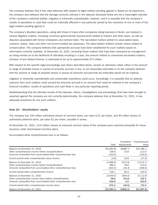The company believes that it has valid defenses with respect to legal matters pending against it. Based on its experience, the company also believes that the damage amounts claimed in the lawsuits disclosed below are not a meaningful indicator of the company's potential liability. Litigation is inherently unpredictable, however, and it is possible that the company's results of operations or cash flow could be materially affected in any particular period by the resolution of one or more of the legal matters pending against it.

The company's Brazilian operations, along with those of many other companies doing business in Brazil, are involved in various litigation matters, including numerous governmental assessments related to indirect and other taxes, as well as disputes associated with former employees and contract labor. The tax-related matters pertain to value-added taxes, customs, duties, sales and other non-income-related tax exposures. The labor-related matters include claims related to compensation. The company believes that appropriate accruals have been established for such matters based on information currently available. At December 31, 2021, excluding those matters that have been assessed by management as being remote as to the likelihood of ultimately resulting in a loss, the amount related to unreserved tax-related matters, inclusive of any related interest, is estimated to be up to approximately \$75 million.

With respect to the specific legal proceedings and claims described above, except as otherwise noted, either (i) the amount or range of possible losses in excess of amounts accrued, if any, is not reasonably estimable or (ii) the company believes that the amount or range of possible losses in excess of amounts accrued that are estimable would not be material.

Litigation is inherently unpredictable and unfavorable resolutions could occur. Accordingly, it is possible that an adverse outcome from such matters could exceed the amounts accrued in an amount that could be material to the company's financial condition, results of operations and cash flows in any particular reporting period.

Notwithstanding that the ultimate results of the lawsuits, claims, investigations and proceedings that have been brought or asserted against the company are not currently determinable, the company believes that at December 31, 2021, it has adequate provisions for any such matters.

## **Note 20 – Stockholders' equity**

The company has 150 million authorized shares of common stock, par value \$.01 per share, and 40 million shares of authorized preferred stock, par value \$1 per share, issuable in series.

At December 31, 2021, 13.0 million shares of unissued common stock of the company were reserved principally for future issuance under stock-based incentive plans.

Accumulated other comprehensive loss is as follows:

|                                                                                                                                                              | Total                           | Translation<br>Adjustments | Postretirement<br>Plans         |
|--------------------------------------------------------------------------------------------------------------------------------------------------------------|---------------------------------|----------------------------|---------------------------------|
| Balance at December 31, 2018<br>Other comprehensive income before reclassifications<br>Amounts reclassified from accumulated other comprehensive loss        | \$(4,084.8)<br>136.8<br>(140.6) | \$ (896.7)<br>23.8         | \$(3,188.1)<br>113.0<br>(140.6) |
| Current period other comprehensive (loss) income                                                                                                             | (3.8)                           | 23.8                       | (27.6)                          |
| Balance at December 31, 2019<br>Other comprehensive income before reclassifications<br>Amounts reclassified from accumulated other comprehensive loss        | (4,088.6)<br>489.4<br>(340.3)   | (872.9)<br>78.6<br>(32.3)  | (3,215.7)<br>410.8<br>(308.0)   |
| Current period other comprehensive income                                                                                                                    | 149.1                           | 46.3                       | 102.8                           |
| Balance at December 31, 2020<br>Other comprehensive income (loss) before reclassifications<br>Amounts reclassified from accumulated other comprehensive loss | (3,939.5)<br>58.6<br>616.8      | (826.6)<br>(43.6)<br>4.0   | (3, 112.9)<br>102.2<br>612.8    |
| Current period other comprehensive income (loss)                                                                                                             | 675.4                           | (39.6)                     | 715.0                           |
| Balance at December 31, 2021                                                                                                                                 | \$(3,264.1)                     | \$ (866.2)                 | \$(2,397.9)                     |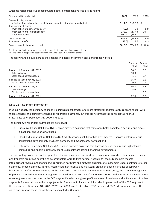Amounts reclassified out of accumulated other comprehensive loss are as follows:

| Year ended December 31,                                                                     | 2021      | 2020                        | 2019    |
|---------------------------------------------------------------------------------------------|-----------|-----------------------------|---------|
| Translation Adjustments:                                                                    |           |                             |         |
| Adjustment for substantial completion of liquidation of foreign subsidiaries <sup>(i)</sup> | S.<br>4.0 | \$ (32.3) \$                |         |
| Postretirement Plans:                                                                       |           |                             |         |
| Amortization of prior service cost <sup>(ii)</sup>                                          | (6.2)     | 5.9                         | 5.9     |
| Amortization of actuarial losses <sup>(ii)</sup>                                            | 178.9     | (177.3)                     | (149.7) |
| Settlement loss(ii)                                                                         | 499.4     | (142.1)                     | (1.1)   |
| Total before tax                                                                            | 676.1     | (345.8)                     | (144.9) |
| Income tax benefit                                                                          | (59.3)    | 5.5                         | 4.3     |
| Total reclassifications for the period                                                      | \$616.8   | $\sin(340.3)$ $\sin(140.6)$ |         |

 $(i)$  Reported in other (expense), net in the consolidated statements of income (loss)

(ii) Included in net periodic postretirement cost (see Note 18, "Employee plans")

The following table summarizes the changes in shares of common stock and treasury stock:

|                              | Common<br>Stock | Treasury<br><b>Stock</b> |
|------------------------------|-----------------|--------------------------|
| Balance at December 31, 2018 | 54.2            | 3.1                      |
| Debt exchange                | 10.6            | -                        |
| Stock-based compensation     | 1.1             | 0.4                      |
| Balance at December 31, 2019 | 65.9            | 3.5                      |
| Stock-based compensation     | 0.9             | 0.3                      |
| Balance at December 31, 2020 | 66.8            | 3.8                      |
| Debt exchange                | 4.6             | 1.2                      |
| Stock-based compensation     | 1.1             | 0.3                      |
| Balance at December 31, 2021 | 72.5            | 5.3                      |

#### **Note 21 – Segment information**

In January 2021, the company changed its organizational structure to more effectively address evolving client needs. With these changes, the company changed its reportable segments, but this did not impact the consolidated financial statements as of December 31, 2020 and 2019.

The company's reportable segments are as follows:

- Digital Workplace Solutions (DWS), which provides solutions that transform digital workplaces securely and create exceptional end-user experiences;
- Cloud and Infrastructure Solutions (C&I), which provides solutions that drive modern IT service platforms, cloud applications development, intelligent services, and cybersecurity services; and
- Enterprise Computing Solutions (ECS), which provides solutions that harness secure, continuous high-intensity computing and enable digital services through software-defined operating environments.

The accounting policies of each segment are the same as those followed by the company as a whole. Intersegment sales and transfers are priced as if the sales or transfers were to third parties. Accordingly, the ECS segment records intersegment revenue and manufacturing profit on hardware and software shipments to customers under contracts of other segments. These segments, in turn, record customer revenue and marketing profits on such shipments of company hardware and software to customers. In the company's consolidated statements of income (loss), the manufacturing costs of products sourced from the ECS segment and sold to other segments' customers are reported in cost of revenue for these other segments. Also included in the ECS segment's sales and gross profit are sales of hardware and software sold to other segments for internal use in their engagements. The amount of such profit included in gross profit of the ECS segment for the years ended December 31, 2021, 2020 and 2019 was \$1.4 million, \$7.8 million and \$5.7 million, respectively. The sales and profit on these transactions is eliminated in Corporate.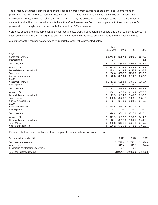The company evaluates segment performance based on gross profit exclusive of the service cost component of postretirement income or expense, restructuring charges, amortization of purchased intangibles and unusual and nonrecurring items, which are included in Corporate. In 2021, the company also changed its internal measurement of segment profitability. Prior period amounts have therefore been reclassified to be comparable to the current period's presentation. No single customer accounts for more than 10% of revenue.

Corporate assets are principally cash and cash equivalents, prepaid postretirement assets and deferred income taxes. The expense or income related to corporate assets and centrally incurred costs are allocated to the business segments.

A summary of the company's operations by reportable segment is presented below:

|                                                                                                                                   | Total                                                              |                                                   |                                                  |                                                  |
|-----------------------------------------------------------------------------------------------------------------------------------|--------------------------------------------------------------------|---------------------------------------------------|--------------------------------------------------|--------------------------------------------------|
|                                                                                                                                   | Segments                                                           | <b>DWS</b>                                        | C&I                                              | ECS                                              |
| 2021<br>Customer revenue<br>Intersegment                                                                                          | \$1,741.0<br>1.4                                                   | \$567.0                                           | \$496.5                                          | \$677.5<br>1.4                                   |
| Total revenue                                                                                                                     | \$1,742.4                                                          | \$567.0                                           | \$496.5                                          | \$678.9                                          |
| Gross profit<br>Depreciation and amortization<br>Total assets<br>Capital expenditures<br>2020                                     | 561.5<br>Ś.<br>Ś<br>129.1<br>\$1,236.6<br>\$<br>78.8               | \$76.3<br>\$18.5<br>\$352.7<br>\$13.4             | \$56.6<br>\$5.1<br>\$290.7<br>\$13.2             | \$428.6<br>\$5.5.5<br>\$593.2<br>\$52.2          |
| Customer revenue                                                                                                                  | \$1,713.2                                                          | \$588.3                                           | \$465.2                                          | \$659.7                                          |
| Intersegment                                                                                                                      | 0.1                                                                |                                                   |                                                  | 0.1                                              |
| Total revenue                                                                                                                     | \$1,713.3                                                          | \$588.3                                           | \$465.2                                          | \$659.8                                          |
| Gross profit<br>Depreciation and amortization<br>Total assets<br>Capital expenditures<br>2019<br>Customer revenue<br>Intersegment | Ś.<br>454.2<br>Ś.<br>119.3<br>\$1,005.3<br>Ś.<br>83.4<br>\$1,878.4 | \$5.5.3<br>\$14.5<br>\$220.7<br>\$13.6<br>\$641.2 | \$23.2<br>\$49.3<br>\$203.6<br>\$24.6<br>\$527.1 | \$375.7<br>\$5.5<br>\$581.0<br>\$45.2<br>\$710.1 |
| Total revenue                                                                                                                     | \$1,878.4                                                          | \$641.2                                           | \$527.1                                          | \$710.1                                          |
| Gross profit<br>Depreciation and amortization<br>Total assets<br>Capital expenditures                                             | Ś<br>512.9<br>Ś<br>116.7<br>Ś<br>962.8<br>Ś.<br>120.2              | \$65.2<br>\$18.0<br>\$182.2<br>\$15.2             | \$33.5<br>\$54.1<br>\$231.1<br>\$42.1            | \$414.2<br>\$44.6<br>\$549.5<br>\$62.9           |

Presented below is a reconciliation of total segment revenue to total consolidated revenue:

| Year ended December 31,             | 2021      | 2020                          | 2019                     |
|-------------------------------------|-----------|-------------------------------|--------------------------|
| Total segment revenue               |           | \$1,742.4 \$1,713.3 \$1,878.4 |                          |
| Other revenue                       | 313.4     | 313.1                         | 344.4                    |
| Elimination of intercompany revenue | (1.4)     | (0.1)                         | $\overline{\phantom{0}}$ |
| Total consolidated revenue          | \$2,054.4 | \$2,026.3 \$2,222.8           |                          |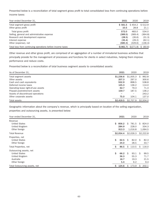Presented below is a reconciliation of total segment gross profit to total consolidated loss from continuing operations before income taxes:

| Year ended December 31,                                   | 2021               | 2020                              | 2019    |
|-----------------------------------------------------------|--------------------|-----------------------------------|---------|
| Total segment gross profit                                | S <sub>561.5</sub> | S 454.2                           | \$512.9 |
| Other gross profit                                        | 10.5               | 28.8                              | 21.1    |
| Total gross profit                                        | 572.0              | 483.0                             | 534.0   |
| Selling, general and administrative expense               | (389.5)            | (369.4)                           | (364.8) |
| Research and development expense                          | (28.5)             | (26.6)                            | (31.3)  |
| Interest expense                                          | (35.4)             | (29.2)                            | (62.1)  |
| Other (expense), net                                      | (580.3)            | (329.6)                           | (136.4) |
| Total loss from continuing operations before income taxes |                    | $$$ (461.7) $$$ (271.8) \$ (60.6) |         |

Other revenue and other gross profit, are comprised of an aggregation of a number of immaterial business activities that principally provide for the management of processes and functions for clients in select industries, helping them improve performance and reduce costs.

Presented below is a reconciliation of total business segment assets to consolidated assets:

| As of December 31.                  | 2021      | 2020      | 2019       |
|-------------------------------------|-----------|-----------|------------|
| Total segment assets                | \$1,236.6 | \$1,005.3 | 962.8<br>S |
| Other assets                        | 207.3     | 297.0     | 300.6      |
| Cash and cash equivalents           | 552.9     | 898.5     | 538.8      |
| Deferred income taxes               | 125.3     | 136.2     | 114.0      |
| Operating lease right-of-use assets | 62.7      | 79.3      | 71.4       |
| Prepaid postretirement assets       | 159.7     | 187.5     | 136.2      |
| Assets of discontinued operations   |           | —         | 243.2      |
| Other corporate assets              | 75.0      | 104.1     | 137.0      |
| Total assets                        | \$2,419.5 | \$2,707.9 | \$2,504.0  |

Geographic information about the company's revenue, which is principally based on location of the selling organization, properties and outsourcing assets, is presented below:

| Year ended December 31,                                                                         | 2021                                    | 2020                                                        | 2019                        |
|-------------------------------------------------------------------------------------------------|-----------------------------------------|-------------------------------------------------------------|-----------------------------|
| Revenue<br><b>United States</b><br>United Kingdom<br>Other foreign                              | S.<br>856.2<br>Ŝ<br>284.9<br>913.3      | 781.5<br>824.0<br>S<br>228.0<br>334.3<br>1,064.5<br>1,016.8 |                             |
| <b>Total Revenue</b>                                                                            | \$2,054.4                               | \$2,222.8<br>\$2,026.3                                      |                             |
| Properties, net<br><b>United States</b><br>Other foreign                                        | Ŝ.<br>Ŝ.<br>62.5<br>24.0                | 82.0<br>- Ś<br>28.5                                         | 82.3<br>33.7                |
| Total Properties, net                                                                           | \$<br>86.5<br>Ŝ.                        | 116.0<br>110.5<br>S                                         |                             |
| Outsourcing assets, net<br><b>United States</b><br>United Kingdom<br>Australia<br>Other foreign | Ś.<br>Ŝ.<br>66.2<br>36.3<br>16.7<br>5.4 | 93.1<br>-Ŝ<br>55.3<br>19.3<br>6.2                           | 99.5<br>71.7<br>21.5<br>9.4 |
| Total Outsourcing assets, net                                                                   | 124.6<br>S<br>S.                        | 173.9<br>202.1<br>S                                         |                             |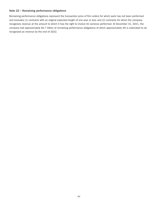## **Note 22 – Remaining performance obligations**

Remaining performance obligations represent the transaction price of firm orders for which work has not been performed and excludes (1) contracts with an original expected length of one year or less and (2) contracts for which the company recognizes revenue at the amount to which it has the right to invoice for services performed. At December 31, 2021, the company had approximately \$0.7 billion of remaining performance obligations of which approximately 4% is estimated to be recognized as revenue by the end of 2022.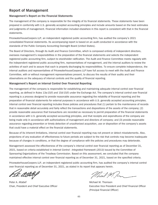## **Report of Management**

## **Management's Report on the Financial Statements**

The management of the company is responsible for the integrity of its financial statements. These statements have been prepared in conformity with U.S. generally accepted accounting principles and include amounts based on the best estimates and judgments of management. Financial information included elsewhere in this report is consistent with that in the financial statements.

PricewaterhouseCoopers LLP, an independent registered public accounting firm, has audited the company's 2021 consolidated financial statements. Its accompanying report is based on an audit conducted in accordance with the standards of the Public Company Accounting Oversight Board (United States).

The Board of Directors, through its Audit and Finance Committee, which is composed entirely of independent directors, oversees management's responsibilities in the preparation of the financial statements and selects the independent registered public accounting firm, subject to stockholder ratification. The Audit and Finance Committee meets regularly with the independent registered public accounting firm, representatives of management, and the internal auditors to review the activities of each and to assure that each is properly discharging its responsibilities. To ensure complete independence, the internal auditors and representatives of PricewaterhouseCoopers LLP have full access to meet with the Audit and Finance Committee, with or without management representatives present, to discuss the results of their audits and their observations on the adequacy of internal controls and the quality of financial reporting.

## **Management's Report on Internal Control Over Financial Reporting**

The management of the company is responsible for establishing and maintaining adequate internal control over financial reporting, as defined in Rules 13a-15(f) and 15d-15(f) under the Exchange Act. The company's internal control over financial reporting is a process designed to provide reasonable assurance regarding the reliability of financial reporting and the preparation of financial statements for external purposes in accordance with U.S. generally accepted accounting principles. Internal control over financial reporting includes those policies and procedures that (1) pertain to the maintenance of records that in reasonable detail accurately and fairly reflect the transactions and dispositions of the assets of the company; (2) provide reasonable assurance that transactions are recorded as necessary to permit preparation of the financial statements in accordance with U.S. generally accepted accounting principles, and that receipts and expenditures of the company are being made only in accordance with authorizations of management and directors of company; and (3) provide reasonable assurance regarding prevention or timely detection of unauthorized acquisition, use or disposition of the company's assets that could have a material effect on the financial statements.

Because of its inherent limitations, internal control over financial reporting may not prevent or detect misstatements. Also, projections of any evaluation of effectiveness to future periods are subject to the risk that controls may become inadequate because of changes in conditions, or that the degree of compliance with the policies and procedures may deteriorate.

Management assessed the effectiveness of the company's internal control over financial reporting as of December 31, 2021, based on criteria established in *Internal Control - Integrated Framework (2013)* issued by the Committee of Sponsoring Organizations of the Treadway Commission. Based on this assessment, we concluded that the company maintained effective internal control over financial reporting as of December 31, 2021, based on the specified criteria.

PricewaterhouseCoopers LLP, an independent registered public accounting firm, has audited the company's internal control over financial reporting as of December 31, 2021, as stated in its report that appears herein.

Peter A. Altabef Michael M. Thomson

Muil Mun

Chair, President and Chief Executive Officer Executive Vice President and Chief Financial Officer (Principal Financial Officer)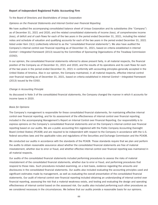## **Report of Independent Registered Public Accounting Firm**

To the Board of Directors and Stockholders of Unisys Corporation

## *Opinions on the Financial Statements and Internal Control over Financial Reporting*

We have audited the accompanying consolidated balance sheet of Unisys Corporation and its subsidiaries (the "Company") as of December 31, 2021 and 2020, and the related consolidated statements of income (loss), of comprehensive income (loss), of deficit and of cash flows for each of the two years in the period ended December 31, 2021, including the related notes and schedule of valuation and qualifying accounts for each of the two years in the period ended December 31, 2021 listed under Item 15(1) (collectively referred to as the "consolidated financial statements"). We also have audited the Company's internal control over financial reporting as of December 31, 2021, based on criteria established in *Internal Control—Integrated Framework* (2013) issued by the Committee of Sponsoring Organizations of the Treadway Commission (COSO).

In our opinion, the consolidated financial statements referred to above present fairly, in all material respects, the financial position of the Company as of December 31, 2021 and 2020, and the results of its operations and its cash flows for each of the two years in the period ended December 31, 2021 in conformity with accounting principles generally accepted in the United States of America. Also in our opinion, the Company maintained, in all material respects, effective internal control over financial reporting as of December 31, 2021, based on criteria established in *Internal Control—Integrated Framework* (2013) issued by the COSO.

## *Change in Accounting Principle*

As discussed in Note 3 of the consolidated financial statements, the Company changed the manner in which it accounts for income taxes in 2020.

## *Basis for Opinions*

The Company's management is responsible for these consolidated financial statements, for maintaining effective internal control over financial reporting, and for its assessment of the effectiveness of internal control over financial reporting, included in the accompanying Management's Report on Internal Control over Financial Reporting. Our responsibility is to express opinions on the Company's consolidated financial statements and on the Company's internal control over financial reporting based on our audits. We are a public accounting firm registered with the Public Company Accounting Oversight Board (United States) (PCAOB) and are required to be independent with respect to the Company in accordance with the U.S. federal securities laws and the applicable rules and regulations of the Securities and Exchange Commission and the PCAOB.

We conducted our audits in accordance with the standards of the PCAOB. Those standards require that we plan and perform the audits to obtain reasonable assurance about whether the consolidated financial statements are free of material misstatement, whether due to error or fraud, and whether effective internal control over financial reporting was maintained in all material respects.

Our audits of the consolidated financial statements included performing procedures to assess the risks of material misstatement of the consolidated financial statements, whether due to error or fraud, and performing procedures that respond to those risks. Such procedures included examining, on a test basis, evidence regarding the amounts and disclosures in the consolidated financial statements. Our audits also included evaluating the accounting principles used and significant estimates made by management, as well as evaluating the overall presentation of the consolidated financial statements. Our audit of internal control over financial reporting included obtaining an understanding of internal control over financial reporting, assessing the risk that a material weakness exists, and testing and evaluating the design and operating effectiveness of internal control based on the assessed risk. Our audits also included performing such other procedures as we considered necessary in the circumstances. We believe that our audits provide a reasonable basis for our opinions.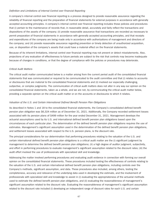#### *Definition and Limitations of Internal Control over Financial Reporting*

A company's internal control over financial reporting is a process designed to provide reasonable assurance regarding the reliability of financial reporting and the preparation of financial statements for external purposes in accordance with generally accepted accounting principles. A company's internal control over financial reporting includes those policies and procedures that (i) pertain to the maintenance of records that, in reasonable detail, accurately and fairly reflect the transactions and dispositions of the assets of the company; (ii) provide reasonable assurance that transactions are recorded as necessary to permit preparation of financial statements in accordance with generally accepted accounting principles, and that receipts and expenditures of the company are being made only in accordance with authorizations of management and directors of the company; and (iii) provide reasonable assurance regarding prevention or timely detection of unauthorized acquisition, use, or disposition of the company's assets that could have a material effect on the financial statements.

Because of its inherent limitations, internal control over financial reporting may not prevent or detect misstatements. Also, projections of any evaluation of effectiveness to future periods are subject to the risk that controls may become inadequate because of changes in conditions, or that the degree of compliance with the policies or procedures may deteriorate.

## *Critical Audit Matters*

The critical audit matter communicated below is a matter arising from the current period audit of the consolidated financial statements that was communicated or required to be communicated to the audit committee and that (i) relates to accounts or disclosures that are material to the consolidated financial statements and (ii) involved our especially challenging, subjective, or complex judgments. The communication of critical audit matters does not alter in any way our opinion on the consolidated financial statements, taken as a whole, and we are not, by communicating the critical audit matter below, providing a separate opinion on the critical audit matter or on the accounts or disclosures to which it relates.

## *Valuation of the U.S. and Certain International Defined Benefit Pension Plan Obligations*

As described in Notes 1 and 18 to the consolidated financial statements, the Company's consolidated defined benefit pension plan obligation was \$6,324 million as of December 31, 2021. Additionally, the Company recorded settlement losses associated with its pension plans of \$499 million for the year ended December 31, 2021. Management develops the actuarial assumptions used by its U.S. and international defined benefit pension plan obligations based upon the circumstances of each particular plan. The determination of the defined benefit pension plan obligations requires the use of estimates. Management's significant assumption used in the determination of the defined benefit pension plan obligations, and settlement losses associated with respect to the U.S. pension plans, is the discount rate.

The principal considerations for our determination that performing procedures relating to the valuation of the U.S. and certain international defined benefit pension plan obligations is a critical audit matter are the (i) significant judgment by management to determine the defined benefit pension plan obligations; (ii) a high degree of auditor judgment, subjectivity, and effort in performing procedures to evaluate management's significant assumption related to the discount rates; (iii) the audit effort involved the use of professionals with specialized skill and knowledge.

Addressing the matter involved performing procedures and evaluating audit evidence in connection with forming our overall opinion on the consolidated financial statements. These procedures included testing the effectiveness of controls relating to the valuation of the U.S. and certain international defined benefit pension plan obligations, including controls over the Company's methods, significant assumption, and data. These procedures also included, among others, testing the completeness, accuracy and relevance of the underlying data used in developing the estimate, and the involvement of professionals with specialized skill and knowledge to assist in (i) evaluating the appropriateness of the actuarial methods used to estimate the defined benefit pension plan obligations, and (ii) evaluating the reasonableness of management's significant assumption related to the discount rate. Evaluating the reasonableness of management's significant assumption related to the discount rate included (i) developing an independent range of discount rates for each U.S. and certain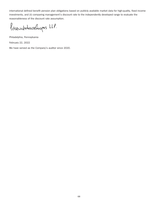international defined benefit pension plan obligations based on publicly available market data for high-quality, fixed income investments, and (ii) comparing management's discount rate to the independently developed range to evaluate the reasonableness of the discount rate assumption.

friceu atents sels opers LLP.

Philadelphia, Pennsylvania

February 22, 2022

We have served as the Company's auditor since 2020.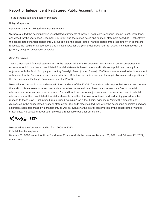# **Report of Independent Registered Public Accounting Firm**

To the Stockholders and Board of Directors

Unisys Corporation:

## *Opinion on the Consolidated Financial Statements*

We have audited the accompanying consolidated statements of income (loss), comprehensive income (loss), cash flows, and deficit for the year ended December 31, 2019, and the related notes and financial statement schedule II (collectively, the consolidated financial statements). In our opinion, the consolidated financial statements present fairly, in all material respects, the results of its operations and its cash flows for the year ended December 31, 2019, in conformity with U.S. generally accepted accounting principles.

## *Basis for Opinion*

These consolidated financial statements are the responsibility of the Company's management. Our responsibility is to express an opinion on these consolidated financial statements based on our audit. We are a public accounting firm registered with the Public Company Accounting Oversight Board (United States) (PCAOB) and are required to be independent with respect to the Company in accordance with the U.S. federal securities laws and the applicable rules and regulations of the Securities and Exchange Commission and the PCAOB.

We conducted our audit in accordance with the standards of the PCAOB. Those standards require that we plan and perform the audit to obtain reasonable assurance about whether the consolidated financial statements are free of material misstatement, whether due to error or fraud. Our audit included performing procedures to assess the risks of material misstatement of the consolidated financial statements, whether due to error or fraud, and performing procedures that respond to those risks. Such procedures included examining, on a test basis, evidence regarding the amounts and disclosures in the consolidated financial statements. Our audit also included evaluating the accounting principles used and significant estimates made by management, as well as evaluating the overall presentation of the consolidated financial statements. We believe that our audit provides a reasonable basis for our opinion.

KPMG LLP

We served as the Company's auditor from 2008 to 2020.

Philadelphia, Pennsylvania

February 28, 2020, except for Note 2 and Note 21, as to which the dates are February 26, 2021 and February 22, 2022, respectively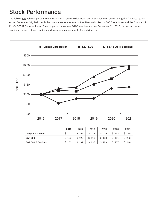# **Stock Performance**

The following graph compares the cumulative total stockholder return on Unisys common stock during the five fiscal years ended December 31, 2021, with the cumulative total return on the Standard & Poor's 500 Stock Index and the Standard & Poor's 500 IT Services Index. The comparison assumes \$100 was invested on December 31, 2016, in Unisys common stock and in each of such indices and assumes reinvestment of any dividends.



|                           | 2016   | 2017     | 2018  | 2019  | 2020  | 2021  |
|---------------------------|--------|----------|-------|-------|-------|-------|
| <b>Unisys Corporation</b> | \$100  | 55<br>S. | 78    | 79    | \$132 | \$138 |
| <b>S&amp;P 500</b>        | \$ 100 | \$122    | \$116 | \$153 | \$181 | \$233 |
| S&P 500 IT Services       | \$100  | \$ 131   | \$137 | \$193 | \$237 | \$248 |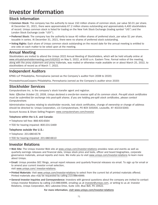# **Investor Information**

# **Stock Information**

- **Common Stock:** The company has the authority to issue 150 million shares of common stock, par value \$0.01 per share. At December 31, 2021, there were approximately 67.2 million shares outstanding and approximately 4,400 stockholders of record. Unisys common stock is listed for trading on the New York Stock Exchange (trading symbol "UIS") and the London Stock Exchange (code "USY").
- **Preferred Stock:** The company has the authority to issue 40 million shares of preferred stock, par value \$1 per share, issuable in series. At December 31, 2021, there were no shares of preferred stock outstanding.
- **Voting Rights:** Each share of Unisys common stock outstanding on the record date for the annual meeting is entitled to one vote on each matter to be voted upon at the meeting.

# **Annual Meeting**

Stockholders are invited to attend the Unisys 2022 Annual Meeting of Stockholders, which will be held virtually online at www.virtualshareholdermeeting.com/UIS2022 on May 5, 2022, at 8:00 a.m. Eastern Time. Formal notice of the meeting, along with the proxy statement and proxy materials, was mailed or otherwise made available on or about March 25, 2022, to stockholders of record as of March 7, 2022.

### **Independent Auditors**

KPMG LLP Philadelphia, Pennsylvania (served as the Company's auditor from 2008 to 2020)

PricewaterhouseCoopers Philadelphia, Pennsylvania (served as the Company's auditor since 2020)

# **Stockholder Services**

Computershare Inc. is the company's stock transfer agent and registrar.

*Note: Effective October 23, 2009, Unisys declared a one-for-ten reverse split of its common stock. Pre-split stock certificates must be submitted for exchange into post-split shares. If you are holding pre-split stock certificates, please contact Computershare.*

Administrative inquiries relating to stockholder records, lost stock certificates, change of ownership or change of address should be directed to: Unisys Corporation, c/o Computershare, PO BOX 505000, Louisville, KY 40233-5000.

Account Access & Share Selling Program: www.computershare.com/investor

#### **Telephone within the U.S. and Canada:**

- Telephone toll free: 866-405-6564
- TDD for hearing impaired: 800-231-5469

#### **Telephone outside the U.S.:**

- Telephone: 201-680-6578
- TDD for hearing impaired: 201-680-6610

# **Investor Relations**

- **Web Site:** The Unisys Investor Web site at www.unisys.com/investor-relations provides news and events as well as quarterly earnings releases and financial data, Unisys stock price and tools, officer and board biographies, corporate governance materials, annual reports and more. We invite you to visit www.unisys.com/investor-relations to learn more about Unisys.
- **Email:** Unisys provides SEC filings, annual report releases and quarterly financial releases via email. To sign up for email or to amend your current investor e-mail selection, visit www.unisys.com/ investor-relations.
- **Printed Materials:** Visit www.unisys.com/investor-relations to select from the current list of printed materials offered. Printed materials also may be requested by calling 215-986-6999.
- **General Investor Inquiries and Correspondence:** Investors with general questions about the company are invited to contact Unisys Investor Relations by calling 215-986-6999, emailing us at investor@unisys.com, or writing to us at: Investor Relations, Unisys Corporation, 801 Lakeview Drive, Suite 100, Blue Bell, PA 19422.

#### **For more information, visit www.unisys.com/investor-relations**